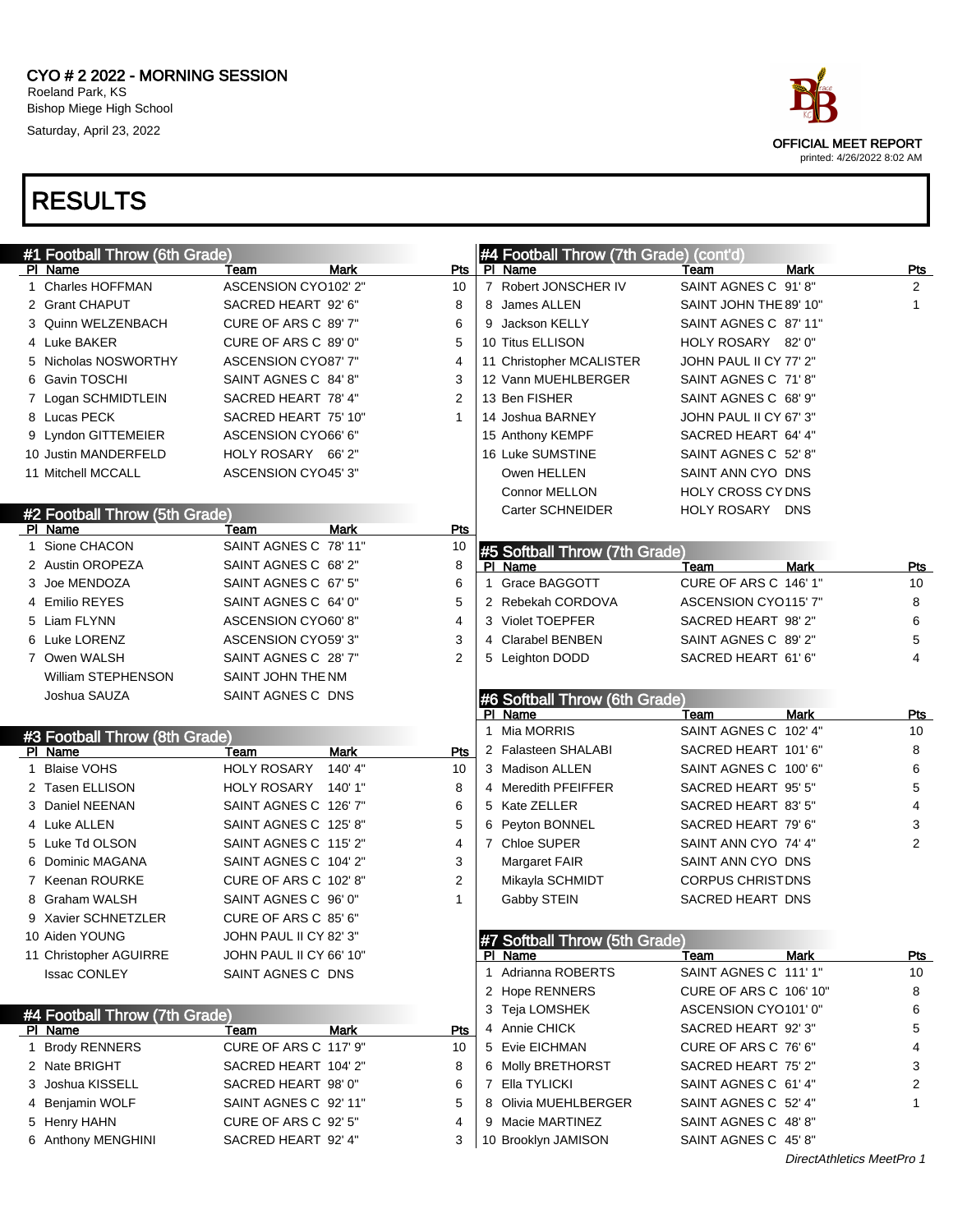#### CYO # 2 2022 - MORNING SESSION Roeland Park, KS Bishop Miege High School Saturday, April 23, 2022



|   | #1 Football Throw (6th Grade)            |                              |                | #4 Football Throw (7th Grade) (cont'd)   |                               |                |
|---|------------------------------------------|------------------------------|----------------|------------------------------------------|-------------------------------|----------------|
|   | PI Name                                  | <b>Mark</b><br>Team          | Pts            | PI Name                                  | <b>Mark</b><br>Team           | <b>Pts</b>     |
|   | 1 Charles HOFFMAN                        | ASCENSION CYO102' 2"         | 10             | 7 Robert JONSCHER IV                     | SAINT AGNES C 91'8"           | 2              |
|   | 2 Grant CHAPUT                           | SACRED HEART 92' 6"          | 8              | 8 James ALLEN                            | SAINT JOHN THE 89' 10"        | 1              |
|   | 3 Quinn WELZENBACH                       | CURE OF ARS C 89' 7"         | 6              | 9 Jackson KELLY                          | SAINT AGNES C 87' 11"         |                |
|   | 4 Luke BAKER                             | CURE OF ARS C 89' 0"         | 5              | 10 Titus ELLISON                         | HOLY ROSARY 82' 0"            |                |
|   | 5 Nicholas NOSWORTHY                     | ASCENSION CYO87' 7"          | 4              | 11 Christopher MCALISTER                 | JOHN PAUL II CY 77' 2"        |                |
|   | 6 Gavin TOSCHI                           | SAINT AGNES C 84' 8"         | 3              | 12 Vann MUEHLBERGER                      | SAINT AGNES C 71'8"           |                |
|   | 7 Logan SCHMIDTLEIN                      | SACRED HEART 78' 4"          | 2              | 13 Ben FISHER                            | SAINT AGNES C 68' 9"          |                |
|   | 8 Lucas PECK                             | SACRED HEART 75' 10"         | $\mathbf{1}$   | 14 Joshua BARNEY                         | JOHN PAUL II CY 67' 3"        |                |
|   | 9 Lyndon GITTEMEIER                      | ASCENSION CYO66' 6"          |                | 15 Anthony KEMPF                         | SACRED HEART 64' 4"           |                |
|   | 10 Justin MANDERFELD                     | HOLY ROSARY 66' 2"           |                | 16 Luke SUMSTINE                         | SAINT AGNES C 52' 8"          |                |
|   | 11 Mitchell MCCALL                       | ASCENSION CYO45' 3"          |                | Owen HELLEN                              | SAINT ANN CYO DNS             |                |
|   |                                          |                              |                | Connor MELLON                            | HOLY CROSS CY DNS             |                |
|   | #2 Football Throw (5th Grade)            |                              |                | Carter SCHNEIDER                         | HOLY ROSARY DNS               |                |
|   | PI Name                                  | <b>Mark</b><br>Team          | <b>Pts</b>     |                                          |                               |                |
| 1 | Sione CHACON                             | SAINT AGNES C 78' 11"        | 10             | #5 Softball Throw (7th Grade)            |                               |                |
|   | 2 Austin OROPEZA                         | SAINT AGNES C 68' 2"         | 8              | PI Name                                  | <b>Mark</b><br>Team           | Pts            |
|   | 3 Joe MENDOZA                            | SAINT AGNES C 67' 5"         | 6              | Grace BAGGOTT<br>1                       | CURE OF ARS C 146' 1"         | 10             |
|   | 4 Emilio REYES                           | SAINT AGNES C 64' 0"         | 5              | 2 Rebekah CORDOVA                        | ASCENSION CYO115' 7"          | 8              |
|   | 5 Liam FLYNN                             | ASCENSION CYO60' 8"          | 4              | 3 Violet TOEPFER                         | SACRED HEART 98' 2"           | 6              |
|   | 6 Luke LORENZ                            | ASCENSION CYO59' 3"          | 3              | 4 Clarabel BENBEN                        | SAINT AGNES C 89' 2"          | 5              |
|   | 7 Owen WALSH                             | SAINT AGNES C 28' 7"         | 2              | 5 Leighton DODD                          | SACRED HEART 61' 6"           | 4              |
|   | William STEPHENSON                       | SAINT JOHN THE NM            |                |                                          |                               |                |
|   | Joshua SAUZA                             | SAINT AGNES C DNS            |                | #6 Softball Throw (6th Grade)            |                               |                |
|   |                                          |                              |                | PI Name                                  | <b>Mark</b><br>Team           | Pts            |
|   |                                          |                              |                | Mia MORRIS<br>1                          | SAINT AGNES C 102' 4"         | 10             |
|   |                                          |                              |                |                                          |                               |                |
|   | #3 Football Throw (8th Grade)<br>PI Name | <b>Mark</b><br>Team          | Pts            | 2 Falasteen SHALABI                      | SACRED HEART 101'6"           | 8              |
|   | 1 Blaise VOHS                            | <b>HOLY ROSARY</b><br>140'4" | 10             | 3 Madison ALLEN                          | SAINT AGNES C 100' 6"         | 6              |
|   | 2 Tasen ELLISON                          | HOLY ROSARY 140' 1"          | 8              | 4 Meredith PFEIFFER                      | SACRED HEART 95' 5"           | 5              |
|   | 3 Daniel NEENAN                          | SAINT AGNES C 126' 7"        | 6              | 5 Kate ZELLER                            | SACRED HEART 83' 5"           | 4              |
|   | 4 Luke ALLEN                             | SAINT AGNES C 125' 8"        | 5              | 6 Peyton BONNEL                          | SACRED HEART 79' 6"           | 3              |
|   | 5 Luke Td OLSON                          | SAINT AGNES C 115'2"         | 4              | 7 Chloe SUPER                            | SAINT ANN CYO 74' 4"          | $\overline{2}$ |
|   | 6 Dominic MAGANA                         | SAINT AGNES C 104' 2"        | 3              | Margaret FAIR                            | SAINT ANN CYO DNS             |                |
|   | 7 Keenan ROURKE                          | CURE OF ARS C 102' 8"        | $\overline{2}$ | Mikayla SCHMIDT                          | <b>CORPUS CHRISTDNS</b>       |                |
|   | 8 Graham WALSH                           | SAINT AGNES C 96' 0"         | 1              | Gabby STEIN                              | SACRED HEART DNS              |                |
|   | 9 Xavier SCHNETZLER                      | CURE OF ARS C 85' 6"         |                |                                          |                               |                |
|   | 10 Aiden YOUNG                           | JOHN PAUL II CY 82' 3"       |                |                                          |                               |                |
|   | 11 Christopher AGUIRRE                   | JOHN PAUL II CY 66' 10"      |                | #7 Softball Throw (5th Grade)<br>PI Name | Mark<br>Team                  | <b>Pts</b>     |
|   | <b>Issac CONLEY</b>                      | SAINT AGNES C DNS            |                | Adrianna ROBERTS<br>1                    | SAINT AGNES C 111' 1"         | 10             |
|   |                                          |                              |                | 2 Hope RENNERS                           | <b>CURE OF ARS C 106' 10"</b> | 8              |
|   |                                          |                              |                | 3 Teja LOMSHEK                           | ASCENSION CYO101' 0"          | 6              |
|   | #4 Football Throw (7th Grade)<br>PI Name | Mark<br>Team                 | Pts            | 4 Annie CHICK                            | SACRED HEART 92' 3"           | 5              |
|   | 1 Brody RENNERS                          | CURE OF ARS C 117' 9"        | 10             | 5 Evie EICHMAN                           | CURE OF ARS C 76' 6"          | 4              |
|   | 2 Nate BRIGHT                            | SACRED HEART 104' 2"         | 8              | 6 Molly BRETHORST                        | SACRED HEART 75' 2"           | 3              |
|   | 3 Joshua KISSELL                         | SACRED HEART 98' 0"          | 6              | 7 Ella TYLICKI                           | SAINT AGNES C 61' 4"          | 2              |
|   | 4 Benjamin WOLF                          | SAINT AGNES C 92' 11"        | 5              | 8 Olivia MUEHLBERGER                     | SAINT AGNES C 52' 4"          |                |
|   | 5 Henry HAHN                             | CURE OF ARS C 92' 5"         | 4              | 9 Macie MARTINEZ                         | SAINT AGNES C 48'8"           |                |
|   | 6 Anthony MENGHINI                       | SACRED HEART 92' 4"          | 3              | 10 Brooklyn JAMISON                      | SAINT AGNES C 45' 8"          |                |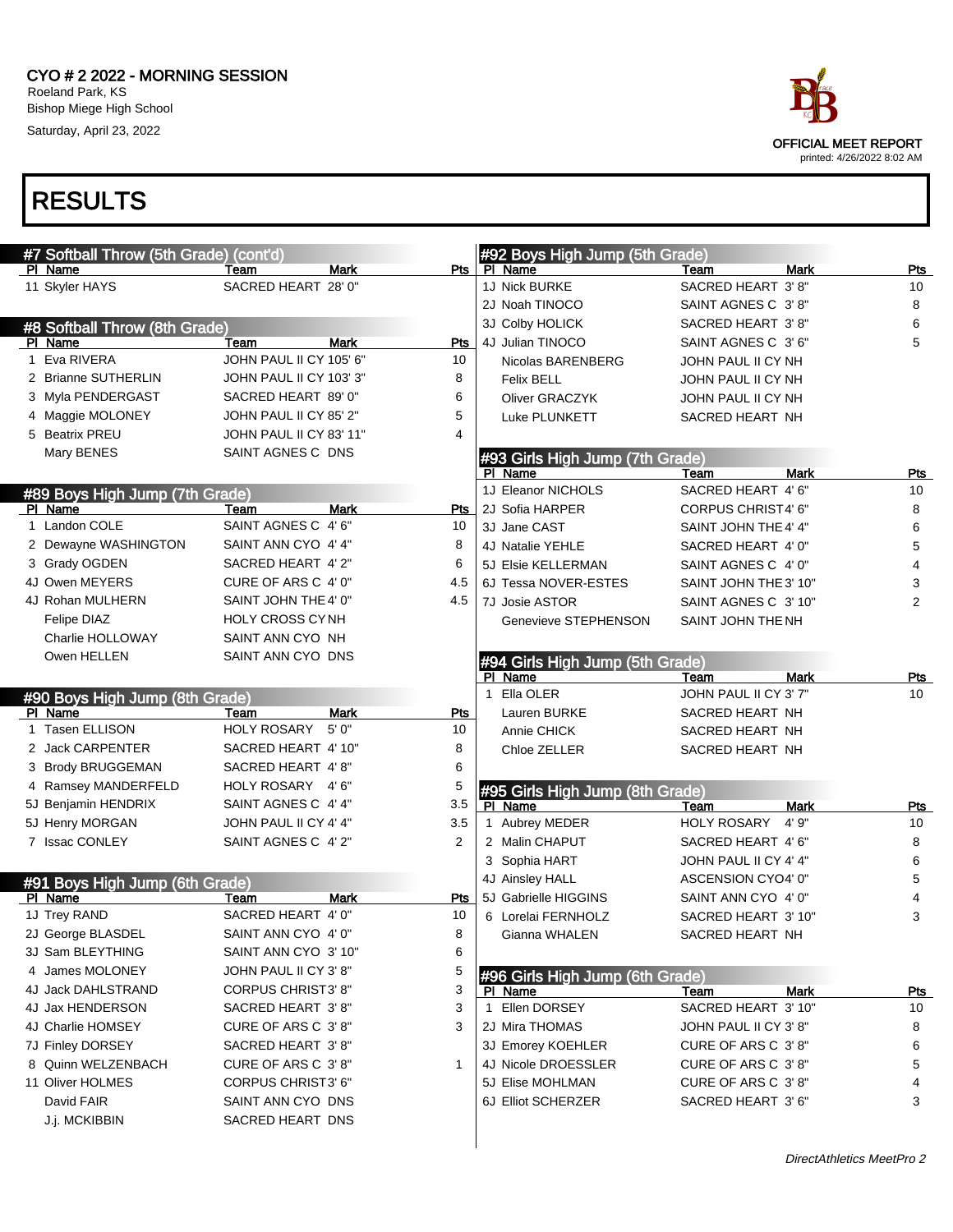#### CYO # 2 2022 - MORNING SESSION Roeland Park, KS Bishop Miege High School Saturday, April 23, 2022

| #7 Softball Throw (5th Grade) (cont'd)<br>PI Name | Team                      | Mark        | Pts | #92 Boys High Jump (5th Grade)<br>PI Name  | Team                  | <b>Mark</b> | Pts        |
|---------------------------------------------------|---------------------------|-------------|-----|--------------------------------------------|-----------------------|-------------|------------|
| 11 Skyler HAYS                                    | SACRED HEART 28' 0"       |             |     | 1J Nick BURKE                              | SACRED HEART 3' 8"    |             | 10         |
|                                                   |                           |             |     | 2J Noah TINOCO                             | SAINT AGNES C 3'8"    |             | 8          |
|                                                   |                           |             |     | 3J Colby HOLICK                            | SACRED HEART 3' 8"    |             | 6          |
| #8 Softball Throw (8th Grade)<br>PI Name          | Team                      | Mark        | Pts | 4J Julian TINOCO                           | SAINT AGNES C 3'6"    |             | 5          |
| 1 Eva RIVERA                                      | JOHN PAUL II CY 105' 6"   |             | 10  | Nicolas BARENBERG                          | JOHN PAUL II CY NH    |             |            |
| 2 Brianne SUTHERLIN                               | JOHN PAUL II CY 103' 3"   |             | 8   | <b>Felix BELL</b>                          | JOHN PAUL II CY NH    |             |            |
| 3 Myla PENDERGAST                                 | SACRED HEART 89' 0"       |             | 6   | Oliver GRACZYK                             | JOHN PAUL II CY NH    |             |            |
| 4 Maggie MOLONEY                                  | JOHN PAUL II CY 85' 2"    |             | 5   | Luke PLUNKETT                              | SACRED HEART NH       |             |            |
| 5 Beatrix PREU                                    | JOHN PAUL II CY 83' 11"   |             | 4   |                                            |                       |             |            |
| Mary BENES                                        | SAINT AGNES C DNS         |             |     |                                            |                       |             |            |
|                                                   |                           |             |     | #93 Girls High Jump (7th Grade)<br>PI Name | Team                  | <b>Mark</b> | Pts        |
|                                                   |                           |             |     | 1J Eleanor NICHOLS                         | SACRED HEART 4' 6"    |             | 10         |
| #89 Boys High Jump (7th Grade)<br>PI Name         | Team                      | Mark        | Pts | 2J Sofia HARPER                            | CORPUS CHRIST4' 6"    |             | 8          |
| 1 Landon COLE                                     | SAINT AGNES C 4' 6"       |             | 10  | 3J Jane CAST                               | SAINT JOHN THE 4' 4"  |             | 6          |
| 2 Dewayne WASHINGTON                              | SAINT ANN CYO 4' 4"       |             | 8   | 4J Natalie YEHLE                           | SACRED HEART 4' 0"    |             | 5          |
| 3 Grady OGDEN                                     | SACRED HEART 4' 2"        |             | 6   | 5J Elsie KELLERMAN                         | SAINT AGNES C 4' 0"   |             | 4          |
| 4J Owen MEYERS                                    | CURE OF ARS C 4' 0"       |             | 4.5 | 6J Tessa NOVER-ESTES                       | SAINT JOHN THE 3' 10" |             | 3          |
| 4J Rohan MULHERN                                  | SAINT JOHN THE 4' 0"      |             | 4.5 | 7J Josie ASTOR                             | SAINT AGNES C 3' 10"  |             | 2          |
| Felipe DIAZ                                       | <b>HOLY CROSS CYNH</b>    |             |     | Genevieve STEPHENSON                       | SAINT JOHN THE NH     |             |            |
| Charlie HOLLOWAY                                  | SAINT ANN CYO NH          |             |     |                                            |                       |             |            |
| Owen HELLEN                                       | SAINT ANN CYO DNS         |             |     |                                            |                       |             |            |
|                                                   |                           |             |     | #94 Girls High Jump (5th Grade)<br>PI Name | Team                  | <b>Mark</b> | <u>Pts</u> |
|                                                   |                           |             | 1   | Ella OLER                                  | JOHN PAUL II CY 3' 7" |             | 10         |
| #90 Boys High Jump (8th Grade)<br>PI Name         | Team                      | <b>Mark</b> | Pts | Lauren BURKE                               | SACRED HEART NH       |             |            |
| 1 Tasen ELLISON                                   | <b>HOLY ROSARY</b>        | 5'0''       | 10  | Annie CHICK                                | SACRED HEART NH       |             |            |
| 2 Jack CARPENTER                                  | SACRED HEART 4' 10"       |             | 8   | Chloe ZELLER                               | SACRED HEART NH       |             |            |
| 3 Brody BRUGGEMAN                                 | SACRED HEART 4'8"         |             | 6   |                                            |                       |             |            |
| 4 Ramsey MANDERFELD                               | HOLY ROSARY               | 4' 6"       | 5   |                                            |                       |             |            |
| 5J Benjamin HENDRIX                               | SAINT AGNES C 4' 4"       |             | 3.5 | #95 Girls High Jump (8th Grade)<br>PI Name | Team                  | <b>Mark</b> | Pts        |
| 5J Henry MORGAN                                   | JOHN PAUL II CY 4' 4"     |             | 3.5 | 1 Aubrey MEDER                             | <b>HOLY ROSARY</b>    | 4' 9"       | 10         |
| 7 Issac CONLEY                                    | SAINT AGNES C 4' 2"       |             | 2   | 2 Malin CHAPUT                             | SACRED HEART 4' 6"    |             | 8          |
|                                                   |                           |             |     | 3 Sophia HART                              | JOHN PAUL II CY 4' 4" |             | 6          |
|                                                   |                           |             |     | 4J Ainsley HALL                            | ASCENSION CYO4' 0"    |             | 5          |
| #91 Boys High Jump (6th Grade)<br>PI Name         | Team                      | <b>Mark</b> | Pts | 5J Gabrielle HIGGINS                       | SAINT ANN CYO 4' 0"   |             | 4          |
| 1J Trey RAND                                      | SACRED HEART 4' 0"        |             | 10  | 6 Lorelai FERNHOLZ                         | SACRED HEART 3' 10"   |             | 3          |
| 2J George BLASDEL                                 | SAINT ANN CYO 4' 0"       |             | 8   | Gianna WHALEN                              | SACRED HEART NH       |             |            |
| 3J Sam BLEYTHING                                  | SAINT ANN CYO 3' 10"      |             | 6   |                                            |                       |             |            |
| 4 James MOLONEY                                   | JOHN PAUL II CY 3' 8"     |             | 5   | #96 Girls High Jump (6th Grade)            |                       |             |            |
| 4J Jack DAHLSTRAND                                | <b>CORPUS CHRIST3' 8"</b> |             | 3   | PI Name                                    | Team                  | Mark        | <b>Pts</b> |
| 4J Jax HENDERSON                                  | SACRED HEART 3'8"         |             | 3   | 1 Ellen DORSEY                             | SACRED HEART 3' 10"   |             | 10         |
| 4J Charlie HOMSEY                                 | CURE OF ARS C 3'8"        |             | 3   | 2J Mira THOMAS                             | JOHN PAUL II CY 3' 8" |             | 8          |
| 7J Finley DORSEY                                  | SACRED HEART 3'8"         |             |     | 3J Emorey KOEHLER                          | CURE OF ARS C 3'8"    |             | 6          |
| 8 Quinn WELZENBACH                                | CURE OF ARS C 3'8"        |             | 1   | 4J Nicole DROESSLER                        | CURE OF ARS C 3'8"    |             | 5          |
| 11 Oliver HOLMES                                  | CORPUS CHRIST3' 6"        |             |     | 5J Elise MOHLMAN                           | CURE OF ARS C 3'8"    |             | 4          |
| David FAIR                                        | SAINT ANN CYO DNS         |             |     | 6J Elliot SCHERZER                         | SACRED HEART 3' 6"    |             | 3          |
| J.j. MCKIBBIN                                     | SACRED HEART DNS          |             |     |                                            |                       |             |            |
|                                                   |                           |             |     |                                            |                       |             |            |
|                                                   |                           |             |     |                                            |                       |             |            |

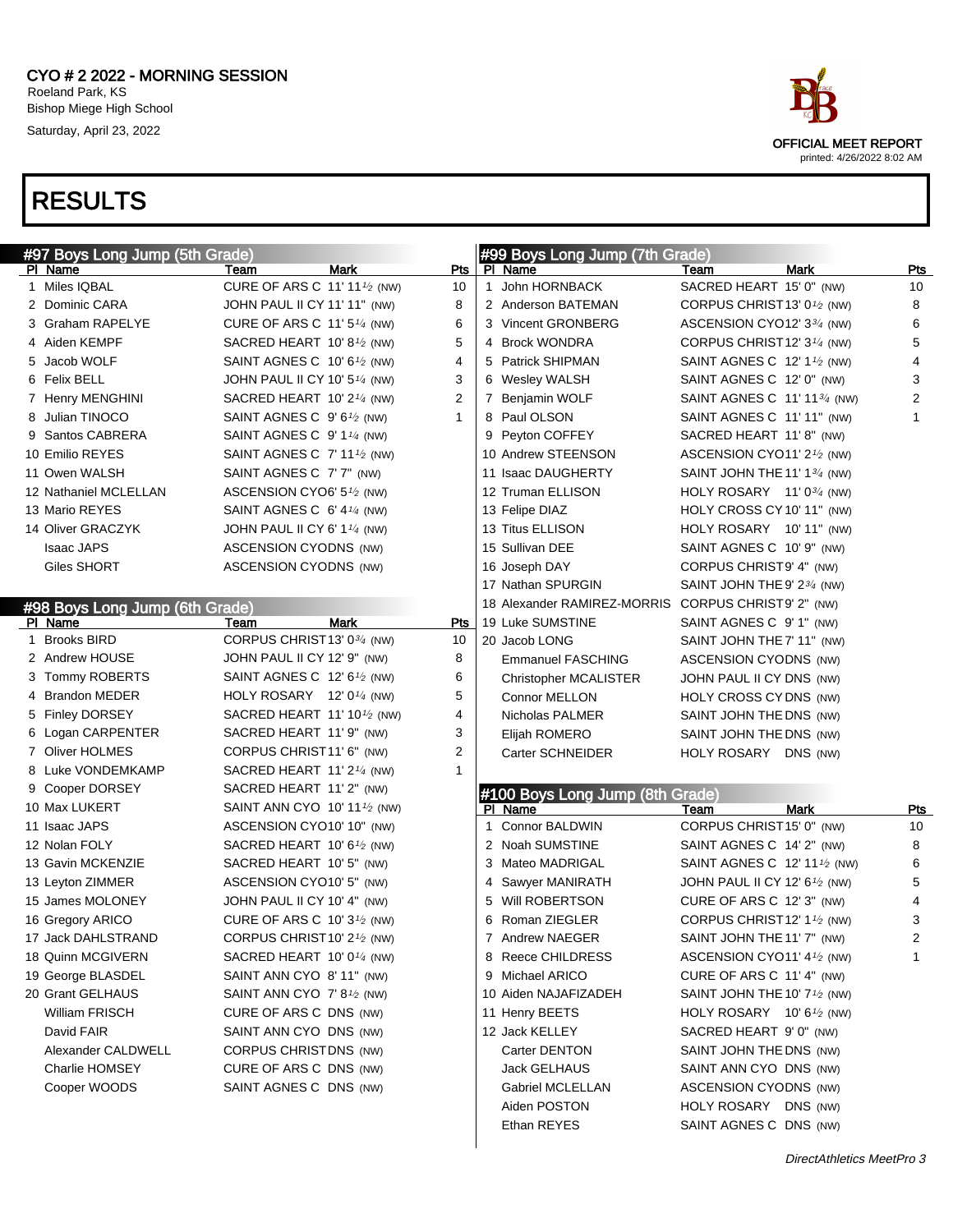

|   | #97 Boys Long Jump (5th Grade) |                                                      |             |                | #99 Boys Long Jump (7th Grade)  |                                                       |             |            |
|---|--------------------------------|------------------------------------------------------|-------------|----------------|---------------------------------|-------------------------------------------------------|-------------|------------|
|   | PI Name                        | Team                                                 | <b>Mark</b> | Pts            | PI Name                         | Team                                                  | <b>Mark</b> | <b>Pts</b> |
| 1 | Miles IQBAL                    | CURE OF ARS C 11' 11 <sup>1</sup> /2 (NW)            |             | 10             | 1 John HORNBACK                 | SACRED HEART 15' 0" (NW)                              |             | 10         |
|   | 2 Dominic CARA                 | JOHN PAUL II CY 11' 11" (NW)                         |             | 8              | 2 Anderson BATEMAN              | CORPUS CHRIST13' 0 <sup>1</sup> /2 (NW)               |             | 8          |
|   | 3 Graham RAPELYE               | CURE OF ARS C $11'5''$ (NW)                          |             | 6              | 3 Vincent GRONBERG              | ASCENSION CYO12' 334 (NW)                             |             | 6          |
|   | 4 Aiden KEMPF                  | SACRED HEART 10'8 <sup>1</sup> / <sub>2</sub> (NW)   |             | 5              | 4 Brock WONDRA                  | CORPUS CHRIST 12' 3 <sup>1/4</sup> (NW)               |             | 5          |
|   | 5 Jacob WOLF                   | SAINT AGNES C $10'6\frac{1}{2}$ (NW)                 |             | $\overline{4}$ | 5 Patrick SHIPMAN               | SAINT AGNES C $12'1'$ (NW)                            |             | 4          |
|   | 6 Felix BELL                   | JOHN PAUL II CY 10' 5 $\frac{1}{4}$ (NW)             |             | 3              | 6 Wesley WALSH                  | SAINT AGNES C 12' 0" (NW)                             |             | 3          |
|   | 7 Henry MENGHINI               | SACRED HEART 10' 2 $\frac{1}{4}$ (NW)                |             | 2              | 7 Benjamin WOLF                 | SAINT AGNES C 11' 11 <sup>3/4</sup> (NW)              |             | 2          |
|   | 8 Julian TINOCO                | SAINT AGNES C $9'6\frac{1}{2}$ (NW)                  |             | $\mathbf{1}$   | 8 Paul OLSON                    | SAINT AGNES C 11'11" (NW)                             |             |            |
|   | 9 Santos CABRERA               | SAINT AGNES C $9'1'4$ (NW)                           |             |                | 9 Peyton COFFEY                 | SACRED HEART 11' 8" (NW)                              |             |            |
|   | 10 Emilio REYES                | SAINT AGNES C $7'$ 11 $\frac{1}{2}$ (NW)             |             |                | 10 Andrew STEENSON              | ASCENSION CYO11' $2\frac{1}{2}$ (NW)                  |             |            |
|   | 11 Owen WALSH                  | SAINT AGNES C 7' 7" (NW)                             |             |                | 11 Isaac DAUGHERTY              | SAINT JOHN THE 11' 1 $\frac{3}{4}$ (NW)               |             |            |
|   | 12 Nathaniel MCLELLAN          | ASCENSION CYO6' 5 <sup>1</sup> /2 (NW)               |             |                | 12 Truman ELLISON               | HOLY ROSARY $11'0^{3/4}$ (NW)                         |             |            |
|   | 13 Mario REYES                 | SAINT AGNES C 6' 4 $\frac{1}{4}$ (NW)                |             |                | 13 Felipe DIAZ                  | HOLY CROSS CY 10' 11" (NW)                            |             |            |
|   | 14 Oliver GRACZYK              | JOHN PAUL II CY 6' 1 $\frac{1}{4}$ (NW)              |             |                | 13 Titus ELLISON                | HOLY ROSARY 10' 11" (NW)                              |             |            |
|   | <b>Isaac JAPS</b>              | ASCENSION CYODNS (NW)                                |             |                | 15 Sullivan DEE                 | SAINT AGNES C 10' 9" (NW)                             |             |            |
|   | Giles SHORT                    | ASCENSION CYODNS (NW)                                |             |                | 16 Joseph DAY                   | CORPUS CHRIST9' 4" (NW)                               |             |            |
|   |                                |                                                      |             |                | 17 Nathan SPURGIN               | SAINT JOHN THE 9' $2\frac{3}{4}$ (NW)                 |             |            |
|   | #98 Boys Long Jump (6th Grade) |                                                      |             |                | 18 Alexander RAMIREZ-MORRIS     | CORPUS CHRIST9' 2" (NW)                               |             |            |
|   | PI Name                        | Team                                                 | <b>Mark</b> | Pts            | 19 Luke SUMSTINE                | SAINT AGNES C 9' 1" (NW)                              |             |            |
|   | 1 Brooks BIRD                  | CORPUS CHRIST13' 03/4 (NW)                           |             | 10             | 20 Jacob LONG                   | SAINT JOHN THE 7' 11" (NW)                            |             |            |
|   | 2 Andrew HOUSE                 | JOHN PAUL II CY 12' 9" (NW)                          |             | 8              | <b>Emmanuel FASCHING</b>        | ASCENSION CYODNS (NW)                                 |             |            |
|   | 3 Tommy ROBERTS                | SAINT AGNES C 12' 6 <sup>1</sup> /2 (NW)             |             | 6              | <b>Christopher MCALISTER</b>    | JOHN PAUL II CY DNS (NW)                              |             |            |
|   | 4 Brandon MEDER                | HOLY ROSARY $12'0\frac{1}{4}$ (NW)                   |             | 5              | Connor MELLON                   | HOLY CROSS CY DNS (NW)                                |             |            |
|   | 5 Finley DORSEY                | SACRED HEART 11' 10 $\frac{1}{2}$ (NW)               |             | 4              | Nicholas PALMER                 | SAINT JOHN THE DNS (NW)                               |             |            |
|   | 6 Logan CARPENTER              | SACRED HEART 11' 9" (NW)                             |             | 3              | Elijah ROMERO                   | SAINT JOHN THE DNS (NW)                               |             |            |
|   | 7 Oliver HOLMES                | CORPUS CHRIST11' 6" (NW)                             |             | $\overline{2}$ | Carter SCHNEIDER                | HOLY ROSARY DNS (NW)                                  |             |            |
|   | 8 Luke VONDEMKAMP              | SACRED HEART 11' 2 $\frac{1}{4}$ (NW)                |             | $\mathbf{1}$   |                                 |                                                       |             |            |
|   | 9 Cooper DORSEY                | SACRED HEART 11' 2" (NW)                             |             |                | #100 Boys Long Jump (8th Grade) |                                                       |             |            |
|   | 10 Max LUKERT                  | SAINT ANN CYO 10' 11 $\frac{1}{2}$ (NW)              |             |                | PI Name                         | Team                                                  | <b>Mark</b> | <u>Pts</u> |
|   | 11 Isaac JAPS                  | ASCENSION CYO10' 10" (NW)                            |             |                | 1 Connor BALDWIN                | CORPUS CHRIST15' 0" (NW)                              |             | 10         |
|   | 12 Nolan FOLY                  | SACRED HEART 10' 6 $\frac{1}{2}$ (NW)                |             |                | 2 Noah SUMSTINE                 | SAINT AGNES C 14' 2" (NW)                             |             | 8          |
|   | 13 Gavin MCKENZIE              | SACRED HEART 10' 5" (NW)                             |             |                | 3 Mateo MADRIGAL                | SAINT AGNES C 12' 11 <sup>1</sup> / <sub>2</sub> (NW) |             | 6          |
|   | 13 Leyton ZIMMER               | ASCENSION CYO10' 5" (NW)                             |             |                | 4 Sawyer MANIRATH               | JOHN PAUL II CY 12' $6\frac{1}{2}$ (NW)               |             | 5          |
|   | 15 James MOLONEY               | JOHN PAUL II CY 10' 4" (NW)                          |             |                | 5 Will ROBERTSON                | CURE OF ARS C 12' 3" (NW)                             |             | 4          |
|   | 16 Gregory ARICO               | CURE OF ARS C 10' 3 <sup>1</sup> / <sub>2</sub> (NW) |             |                | 6 Roman ZIEGLER                 | CORPUS CHRIST 12' 1 <sup>1</sup> /2 (NW)              |             | 3          |
|   | 17 Jack DAHLSTRAND             | CORPUS CHRIST10' 2 <sup>1/2</sup> (NW)               |             |                | 7 Andrew NAEGER                 | SAINT JOHN THE 11' 7" (NW)                            |             | 2          |
|   | 18 Quinn MCGIVERN              | SACRED HEART 10' 0 $\frac{1}{4}$ (NW)                |             |                | 8 Reece CHILDRESS               | ASCENSION CYO11' 4 <sup>1</sup> /2 (NW)               |             | 1          |
|   | 19 George BLASDEL              | SAINT ANN CYO 8' 11" (NW)                            |             |                | 9 Michael ARICO                 | CURE OF ARS C 11' 4" (NW)                             |             |            |
|   | 20 Grant GELHAUS               | SAINT ANN CYO 7' 8 $\frac{1}{2}$ (NW)                |             |                | 10 Aiden NAJAFIZADEH            | SAINT JOHN THE 10' 7 <sup>1</sup> /2 (NW)             |             |            |
|   | <b>William FRISCH</b>          | CURE OF ARS C DNS (NW)                               |             |                | 11 Henry BEETS                  | HOLY ROSARY $10'6\frac{1}{2}$ (NW)                    |             |            |
|   | David FAIR                     | SAINT ANN CYO DNS (NW)                               |             |                | 12 Jack KELLEY                  | SACRED HEART 9'0" (NW)                                |             |            |
|   | Alexander CALDWELL             | CORPUS CHRISTDNS (NW)                                |             |                | Carter DENTON                   | SAINT JOHN THE DNS (NW)                               |             |            |
|   | Charlie HOMSEY                 | CURE OF ARS C DNS (NW)                               |             |                | Jack GELHAUS                    | SAINT ANN CYO DNS (NW)                                |             |            |
|   | Cooper WOODS                   | SAINT AGNES C DNS (NW)                               |             |                | Gabriel MCLELLAN                | ASCENSION CYODNS (NW)                                 |             |            |
|   |                                |                                                      |             |                | Aiden POSTON                    | HOLY ROSARY DNS (NW)                                  |             |            |
|   |                                |                                                      |             |                | Ethan REYES                     | SAINT AGNES C DNS (NW)                                |             |            |
|   |                                |                                                      |             |                |                                 |                                                       |             |            |

 $\overline{\phantom{a}}$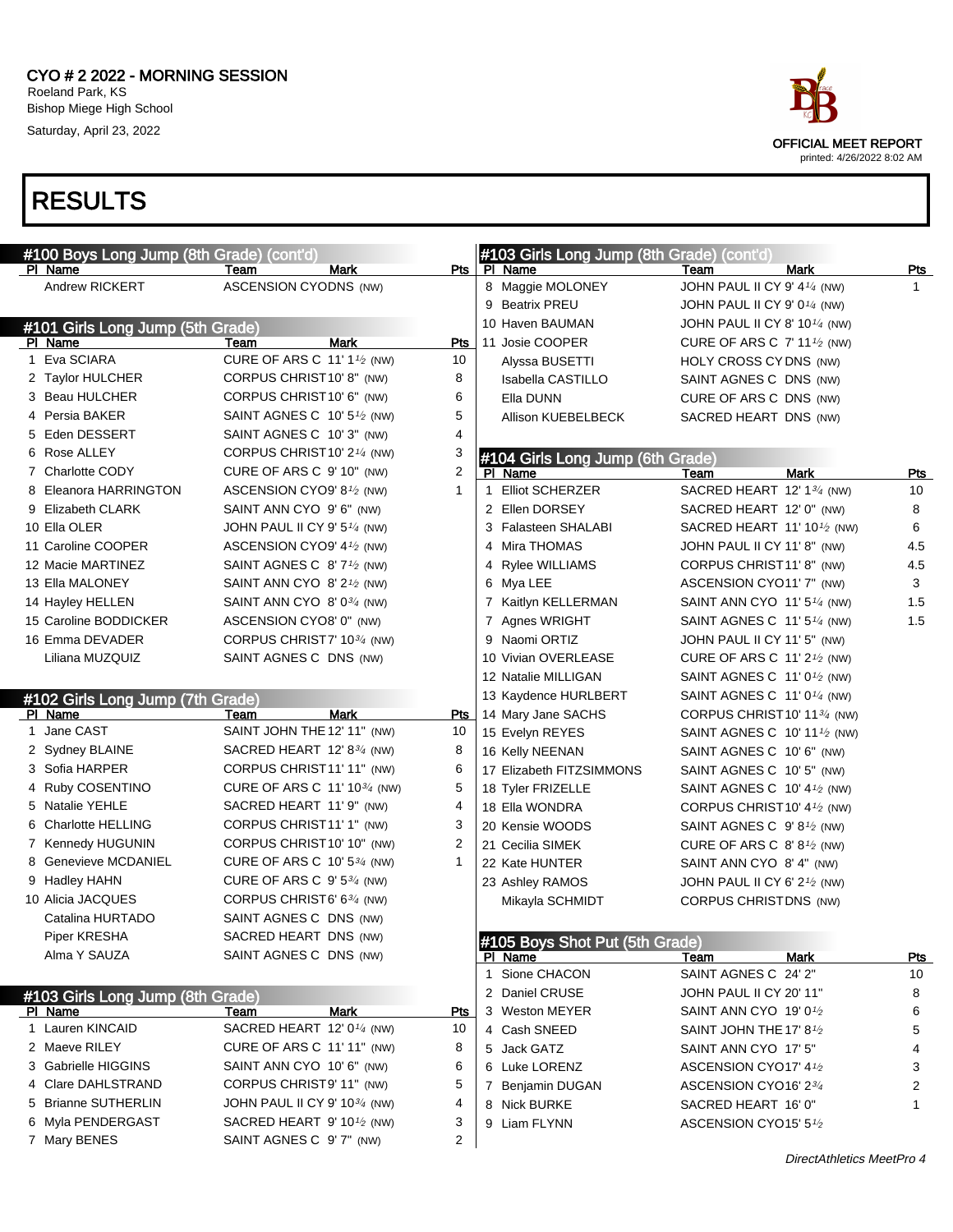#### CYO # 2 2022 - MORNING SESSION Roeland Park, KS Bishop Miege High School

Saturday, April 23, 2022

## RESULTS

| <b>RESULTS</b>                                      |                                                      |                |   |                                                      |                                           |                |
|-----------------------------------------------------|------------------------------------------------------|----------------|---|------------------------------------------------------|-------------------------------------------|----------------|
| #100 Boys Long Jump (8th Grade) (cont'd)<br>PI Name | <b>Mark</b><br>Team                                  | Pts            |   | #103 Girls Long Jump (8th Grade) (cont'd)<br>PI Name | Team<br>Mark                              | Pts            |
| Andrew RICKERT                                      | ASCENSION CYODNS (NW)                                |                |   | 8 Maggie MOLONEY                                     | JOHN PAUL II CY 9' 4 <sup>1/4</sup> (NW)  | 1              |
|                                                     |                                                      |                |   | 9 Beatrix PREU                                       | JOHN PAUL II CY 9' 0 $\frac{1}{4}$ (NW)   |                |
| #101 Girls Long Jump (5th Grade)                    |                                                      |                |   | 10 Haven BAUMAN                                      | JOHN PAUL II CY 8' 10 $\frac{1}{4}$ (NW)  |                |
| PI Name                                             | <b>Mark</b><br>Team                                  | <b>Pts</b>     |   | 11 Josie COOPER                                      | CURE OF ARS C $7'$ 11 $\frac{1}{2}$ (NW)  |                |
| 1 Eva SCIARA                                        | CURE OF ARS C 11' 1 <sup>1</sup> / <sub>2</sub> (NW) | 10             |   | Alyssa BUSETTI                                       | HOLY CROSS CY DNS (NW)                    |                |
| 2 Taylor HULCHER                                    | CORPUS CHRIST10' 8" (NW)                             | 8              |   | Isabella CASTILLO                                    | SAINT AGNES C DNS (NW)                    |                |
| 3 Beau HULCHER                                      | CORPUS CHRIST10' 6" (NW)                             | 6              |   | Ella DUNN                                            | CURE OF ARS C DNS (NW)                    |                |
| 4 Persia BAKER                                      | SAINT AGNES C $10'5\frac{1}{2}$ (NW)                 | 5              |   | Allison KUEBELBECK                                   | SACRED HEART DNS (NW)                     |                |
| 5 Eden DESSERT                                      | SAINT AGNES C 10' 3" (NW)                            | 4              |   |                                                      |                                           |                |
| 6 Rose ALLEY                                        | CORPUS CHRIST 10' 2 <sup>1/4</sup> (NW)              | 3              |   | #104 Girls Long Jump (6th Grade)                     |                                           |                |
| 7 Charlotte CODY                                    | CURE OF ARS C 9' 10" (NW)                            | $\overline{2}$ |   | PI Name                                              | <b>Mark</b><br>Team                       | Pts            |
| 8 Eleanora HARRINGTON                               | ASCENSION CYO9' 8 <sup>1</sup> /2 (NW)               | $\mathbf{1}$   |   | 1 Elliot SCHERZER                                    | SACRED HEART 12' 13/4 (NW)                | 10             |
| 9 Elizabeth CLARK                                   | SAINT ANN CYO 9'6" (NW)                              |                |   | 2 Ellen DORSEY                                       | SACRED HEART 12' 0" (NW)                  | 8              |
| 10 Ella OLER                                        | JOHN PAUL II CY 9' 5 <sup>1/4</sup> (NW)             |                |   | 3 Falasteen SHALABI                                  | SACRED HEART 11' 10 $\frac{1}{2}$ (NW)    | 6              |
| 11 Caroline COOPER                                  | ASCENSION CYO9' 4 <sup>1</sup> /2 (NW)               |                | 4 | Mira THOMAS                                          | JOHN PAUL II CY 11' 8" (NW)               | 4.5            |
| 12 Macie MARTINEZ                                   | SAINT AGNES C $8'7'$ (NW)                            |                | 4 | Rylee WILLIAMS                                       | CORPUS CHRIST11' 8" (NW)                  | 4.5            |
| 13 Ella MALONEY                                     | SAINT ANN CYO 8' $2\frac{1}{2}$ (NW)                 |                |   | 6 Mya LEE                                            | ASCENSION CYO11' 7" (NW)                  | 3              |
| 14 Hayley HELLEN                                    | SAINT ANN CYO 8' 03/4 (NW)                           |                |   | 7 Kaitlyn KELLERMAN                                  | SAINT ANN CYO 11' 5 $\frac{1}{4}$ (NW)    | 1.5            |
| 15 Caroline BODDICKER                               | ASCENSION CYO8' 0" (NW)                              |                |   | 7 Agnes WRIGHT                                       | SAINT AGNES C $11'5\frac{1}{4}$ (NW)      | 1.5            |
| 16 Emma DEVADER                                     | CORPUS CHRIST7' 10 <sup>3/4</sup> (NW)               |                |   | 9 Naomi ORTIZ                                        | JOHN PAUL II CY 11' 5" (NW)               |                |
| Liliana MUZQUIZ                                     | SAINT AGNES C DNS (NW)                               |                |   | 10 Vivian OVERLEASE                                  | CURE OF ARS C $11'2'$ (NW)                |                |
|                                                     |                                                      |                |   | 12 Natalie MILLIGAN                                  | SAINT AGNES C $11'0\frac{1}{2}$ (NW)      |                |
| #102 Girls Long Jump (7th Grade)                    |                                                      |                |   | 13 Kaydence HURLBERT                                 | SAINT AGNES C $11'0\frac{1}{4}$ (NW)      |                |
| PI Name                                             | Mark<br>Team                                         | Pts            |   | 14 Mary Jane SACHS                                   | CORPUS CHRIST 10' 11 <sup>3/4</sup> (NW)  |                |
| 1 Jane CAST                                         | SAINT JOHN THE 12' 11" (NW)                          | 10             |   | 15 Evelyn REYES                                      | SAINT AGNES C $10'$ 11 $\frac{1}{2}$ (NW) |                |
| 2 Sydney BLAINE                                     | SACRED HEART 12' 8 <sup>3/4</sup> (NW)               | 8              |   | 16 Kelly NEENAN                                      | SAINT AGNES C 10' 6" (NW)                 |                |
| 3 Sofia HARPER                                      | CORPUS CHRIST11' 11" (NW)                            | 6              |   | 17 Elizabeth FITZSIMMONS                             | SAINT AGNES C 10' 5" (NW)                 |                |
| 4 Ruby COSENTINO                                    | CURE OF ARS C 11' 10 $\frac{3}{4}$ (NW)              | 5              |   | 18 Tyler FRIZELLE                                    | SAINT AGNES C $10'$ 4 $\frac{1}{2}$ (NW)  |                |
| 5 Natalie YEHLE                                     | SACRED HEART 11' 9" (NW)                             | 4              |   | 18 Ella WONDRA                                       | CORPUS CHRIST 10' 4 <sup>1</sup> /2 (NW)  |                |
| 6 Charlotte HELLING                                 | CORPUS CHRIST11' 1" (NW)                             | 3              |   | 20 Kensie WOODS                                      | SAINT AGNES C 9'8 <sup>1</sup> /2 (NW)    |                |
| 7 Kennedy HUGUNIN                                   | CORPUS CHRIST 10' 10" (NW)                           | $\overline{2}$ |   | 21 Cecilia SIMEK                                     | CURE OF ARS C $8'8'$ (NW)                 |                |
| 8 Genevieve MCDANIEL                                | CURE OF ARS C 10' $5\frac{3}{4}$ (NW)                | $\mathbf{1}$   |   | 22 Kate HUNTER                                       | SAINT ANN CYO 8' 4" (NW)                  |                |
| 9 Hadley HAHN                                       | CURE OF ARS C $9'5^{3/4}$ (NW)                       |                |   | 23 Ashley RAMOS                                      | JOHN PAUL II CY 6' $2\frac{1}{2}$ (NW)    |                |
| 10 Alicia JACQUES                                   | CORPUS CHRIST6' 634 (NW)                             |                |   | Mikayla SCHMIDT                                      | CORPUS CHRISTDNS (NW)                     |                |
| Catalina HURTADO                                    | SAINT AGNES C DNS (NW)                               |                |   |                                                      |                                           |                |
| Piper KRESHA                                        | SACRED HEART DNS (NW)                                |                |   | #105 Boys Shot Put (5th Grade)                       |                                           |                |
| Alma Y SAUZA                                        | SAINT AGNES C DNS (NW)                               |                |   | PI Name                                              | Mark<br>Team                              | <u>Pts</u>     |
|                                                     |                                                      |                |   | 1 Sione CHACON                                       | SAINT AGNES C 24' 2"                      | 10             |
| #103 Girls Long Jump (8th Grade)                    |                                                      |                |   | 2 Daniel CRUSE                                       | JOHN PAUL II CY 20' 11"                   | 8              |
| PI Name                                             | Mark<br>Team                                         | Pts            |   | 3 Weston MEYER                                       | SAINT ANN CYO 19' 0 $1/2$                 | 6              |
| 1 Lauren KINCAID                                    | SACRED HEART 12' $0\frac{1}{4}$ (NW)                 | 10             |   | 4 Cash SNEED                                         | SAINT JOHN THE 17' 8 $1/2$                | 5              |
| 2 Maeve RILEY                                       | CURE OF ARS C 11' 11" (NW)                           | 8              |   | 5 Jack GATZ                                          | SAINT ANN CYO 17' 5"                      | 4              |
| 3 Gabrielle HIGGINS                                 | SAINT ANN CYO 10' 6" (NW)                            | 6              |   | 6 Luke LORENZ                                        | ASCENSION CYO17' 41/2                     | 3              |
| 4 Clare DAHLSTRAND                                  | CORPUS CHRIST9' 11" (NW)                             | 5              |   | 7 Benjamin DUGAN                                     | ASCENSION CYO16' 23/4                     | $\overline{c}$ |
| 5 Brianne SUTHERLIN                                 | JOHN PAUL II CY 9' 10 <sup>3/4</sup> (NW)            | 4              |   | 8 Nick BURKE                                         | SACRED HEART 16' 0"                       | 1              |
| 6 Myla PENDERGAST                                   | SACRED HEART 9' 10 <sup>1</sup> /2 (NW)              | 3              |   | 9 Liam FLYNN                                         | ASCENSION CYO15' 51/2                     |                |
| 7 Mary BENES                                        | SAINT AGNES C 9' 7" (NW)                             | $\overline{2}$ |   |                                                      |                                           |                |



DirectAthletics MeetPro 4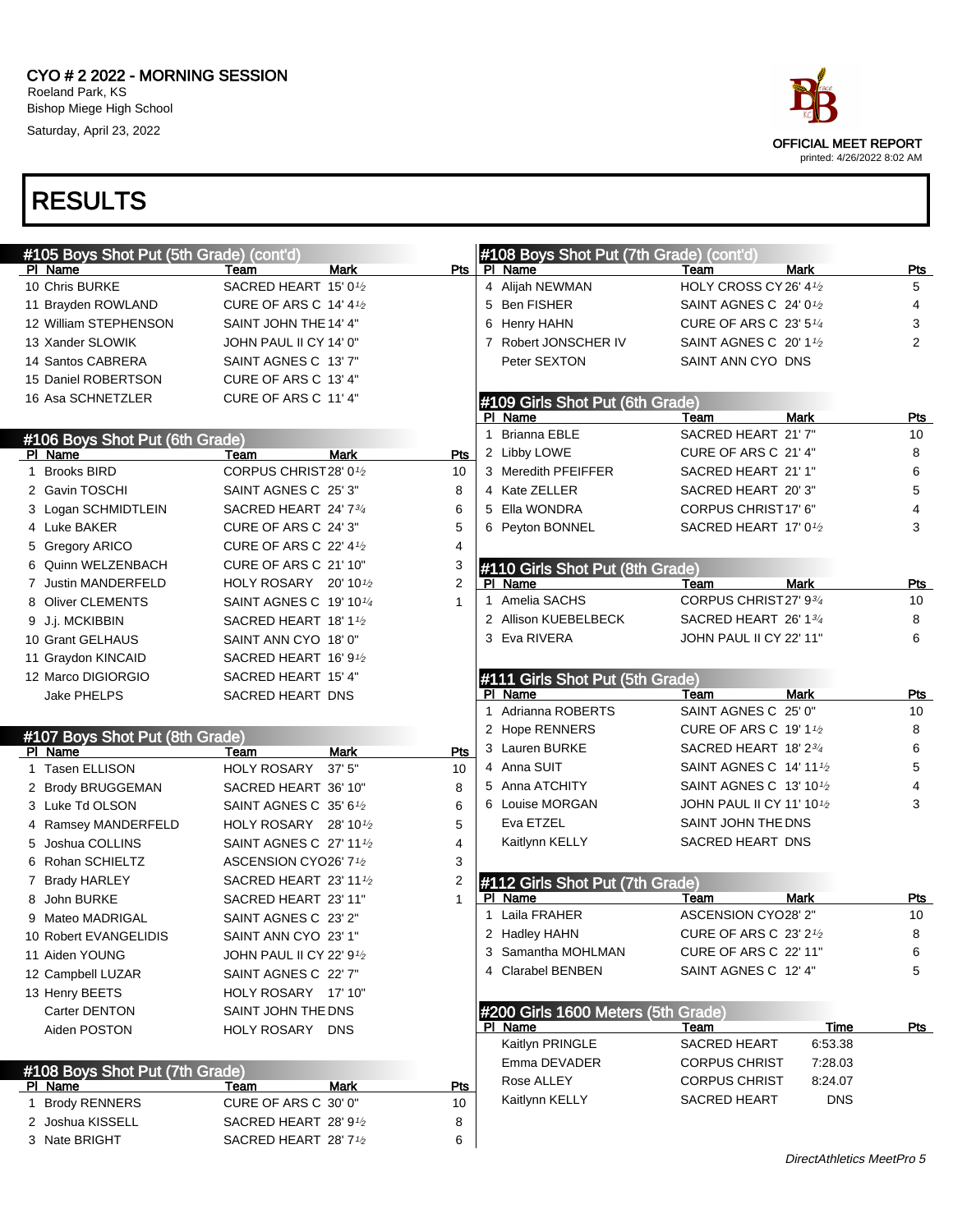#### CYO # 2 2022 - MORNING SESSION Roeland Park, KS Bishop Miege High School Saturday, April 23, 2022



| #105 Boys Shot Put (5th Grade) (cont'd) |                                     |                    |   | #108 Boys Shot Put (7th Grade) (cont'd) |                                        |             |                |
|-----------------------------------------|-------------------------------------|--------------------|---|-----------------------------------------|----------------------------------------|-------------|----------------|
| PI Name                                 | Team                                | Pts<br>Mark        |   | PI Name                                 | Team                                   | <b>Mark</b> | Pts            |
| 10 Chris BURKE                          | SACRED HEART 15' 01/2               |                    |   | 4 Alijah NEWMAN                         | HOLY CROSS CY 26' 4 <sup>1</sup> /2    |             | 5              |
| 11 Brayden ROWLAND                      | <b>CURE OF ARS C 14' 41/2</b>       |                    |   | 5 Ben FISHER                            | SAINT AGNES C 24' 0 <sup>1</sup> /2    |             | 4              |
| 12 William STEPHENSON                   | SAINT JOHN THE 14' 4"               |                    |   | 6 Henry HAHN                            | CURE OF ARS C 23' 5 <sup>1/4</sup>     |             | 3              |
| 13 Xander SLOWIK                        | JOHN PAUL II CY 14' 0"              |                    |   | 7 Robert JONSCHER IV                    | SAINT AGNES C 20' 1 <sup>1</sup> /2    |             | $\overline{2}$ |
| 14 Santos CABRERA                       | SAINT AGNES C 13' 7"                |                    |   | Peter SEXTON                            | SAINT ANN CYO DNS                      |             |                |
| 15 Daniel ROBERTSON                     | CURE OF ARS C 13' 4"                |                    |   |                                         |                                        |             |                |
| 16 Asa SCHNETZLER                       | CURE OF ARS C 11' 4"                |                    |   | #109 Girls Shot Put (6th Grade)         |                                        |             |                |
|                                         |                                     |                    |   | PI Name                                 | Team                                   | <b>Mark</b> | <b>Pts</b>     |
| #106 Boys Shot Put (6th Grade)          |                                     |                    | 1 | Brianna EBLE                            | SACRED HEART 21' 7"                    |             | 10             |
| PI Name                                 | Team                                | Mark<br>Pts        |   | 2 Libby LOWE                            | CURE OF ARS C 21'4"                    |             | 8              |
| 1 Brooks BIRD                           | CORPUS CHRIST28' 01/2               | 10                 |   | 3 Meredith PFEIFFER                     | SACRED HEART 21' 1"                    |             | 6              |
| 2 Gavin TOSCHI                          | SAINT AGNES C 25' 3"                | 8                  |   | 4 Kate ZELLER                           | SACRED HEART 20'3"                     |             | 5              |
| 3 Logan SCHMIDTLEIN                     | SACRED HEART 24' 734                | 6                  |   | 5 Ella WONDRA                           | CORPUS CHRIST17' 6"                    |             | 4              |
| 4 Luke BAKER                            | CURE OF ARS C 24' 3"                | 5                  |   | 6 Peyton BONNEL                         | SACRED HEART 17' 01/2                  |             | 3              |
| 5 Gregory ARICO                         | <b>CURE OF ARS C 22' 41/2</b>       | 4                  |   |                                         |                                        |             |                |
| 6 Quinn WELZENBACH                      | CURE OF ARS C 21' 10"               | 3                  |   | #110 Girls Shot Put (8th Grade)         |                                        |             |                |
| 7 Justin MANDERFELD                     | HOLY ROSARY 20' 10 <sup>1</sup> /2  | 2                  |   | PI Name                                 | Team                                   | <b>Mark</b> | Pts            |
| 8 Oliver CLEMENTS                       | SAINT AGNES C 19' 10 <sup>1/4</sup> | 1                  |   | 1 Amelia SACHS                          | CORPUS CHRIST27' 934                   |             | 10             |
| 9 J.j. MCKIBBIN                         | SACRED HEART 18'1 <sup>1</sup> /2   |                    |   | 2 Allison KUEBELBECK                    | SACRED HEART 26' 13/4                  |             | 8              |
| 10 Grant GELHAUS                        | SAINT ANN CYO 18' 0"                |                    |   | 3 Eva RIVERA                            | JOHN PAUL II CY 22' 11"                |             | 6              |
| 11 Graydon KINCAID                      | SACRED HEART 16' 9 <sup>1</sup> /2  |                    |   |                                         |                                        |             |                |
| 12 Marco DIGIORGIO                      | SACRED HEART 15' 4"                 |                    |   | #111 Girls Shot Put (5th Grade)         |                                        |             |                |
| <b>Jake PHELPS</b>                      | SACRED HEART DNS                    |                    |   | PI Name                                 | Team                                   | <b>Mark</b> | Pts            |
|                                         |                                     |                    |   | 1 Adrianna ROBERTS                      | SAINT AGNES C 25' 0"                   |             | 10             |
| #107 Boys Shot Put (8th Grade)          |                                     |                    |   | 2 Hope RENNERS                          | <b>CURE OF ARS C 19' 11/2</b>          |             | 8              |
| PI Name                                 | Team                                | Mark<br>Pts        |   | 3 Lauren BURKE                          | SACRED HEART 18' 23/4                  |             | 6              |
| 1 Tasen ELLISON                         | <b>HOLY ROSARY</b>                  | 37'5''<br>10       |   | 4 Anna SUIT                             | SAINT AGNES C 14' 11 <sup>1</sup> /2   |             | 5              |
| 2 Brody BRUGGEMAN                       | SACRED HEART 36' 10"                | 8                  |   | 5 Anna ATCHITY                          | SAINT AGNES C 13' 10 <sup>1</sup> /2   |             | 4              |
| 3 Luke Td OLSON                         | SAINT AGNES C 35' 61/2              | 6                  |   | 6 Louise MORGAN                         | JOHN PAUL II CY 11' 10 <sup>1</sup> /2 |             | 3              |
| 4 Ramsey MANDERFELD                     | HOLY ROSARY 28' 101/2               | 5                  |   | Eva ETZEL                               | SAINT JOHN THE DNS                     |             |                |
| 5 Joshua COLLINS                        | SAINT AGNES C 27' 111/2             | 4                  |   | Kaitlynn KELLY                          | SACRED HEART DNS                       |             |                |
| 6 Rohan SCHIELTZ                        | ASCENSION CYO26' 71/2               | 3                  |   |                                         |                                        |             |                |
| 7 Brady HARLEY                          | SACRED HEART 23' 111/2              | 2                  |   | #112 Girls Shot Put (7th Grade)         |                                        |             |                |
| 8 John BURKE                            | SACRED HEART 23' 11"                | 1                  |   | PI Name                                 | Team                                   | Mark        | Pts            |
| 9 Mateo MADRIGAL                        | SAINT AGNES C 23' 2"                |                    |   | 1 Laila FRAHER                          | ASCENSION CYO28' 2"                    |             | 10             |
| 10 Robert EVANGELIDIS                   | SAINT ANN CYO 23' 1"                |                    |   | 2 Hadley HAHN                           | <b>CURE OF ARS C 23' 21/2</b>          |             | 8              |
| 11 Aiden YOUNG                          | JOHN PAUL II CY 22' 91/2            |                    |   | 3 Samantha MOHLMAN                      | CURE OF ARS C 22' 11"                  |             | 6              |
| 12 Campbell LUZAR                       | SAINT AGNES C 22' 7"                |                    |   | 4 Clarabel BENBEN                       | SAINT AGNES C 12' 4"                   |             | 5              |
| 13 Henry BEETS                          | HOLY ROSARY 17' 10"                 |                    |   |                                         |                                        |             |                |
| Carter DENTON                           | SAINT JOHN THE DNS                  |                    |   | #200 Girls 1600 Meters (5th Grade)      |                                        |             |                |
| Aiden POSTON                            | HOLY ROSARY DNS                     |                    |   | PI Name                                 | Team                                   | Time        | <u>Pts</u>     |
|                                         |                                     |                    |   | Kaitlyn PRINGLE                         | <b>SACRED HEART</b>                    | 6:53.38     |                |
| #108 Boys Shot Put (7th Grade)          |                                     |                    |   | Emma DEVADER                            | <b>CORPUS CHRIST</b>                   | 7:28.03     |                |
| PI Name                                 | Team                                | Mark<br><u>Pts</u> |   | Rose ALLEY                              | <b>CORPUS CHRIST</b>                   | 8:24.07     |                |
| 1 Brody RENNERS                         | CURE OF ARS C 30' 0"                | 10                 |   | Kaitlynn KELLY                          | SACRED HEART                           | <b>DNS</b>  |                |
| 2 Joshua KISSELL                        | SACRED HEART 28' 91⁄2               | 8                  |   |                                         |                                        |             |                |
| 3 Nate BRIGHT                           | SACRED HEART 28' 7 <sup>1</sup> /2  | 6                  |   |                                         |                                        |             |                |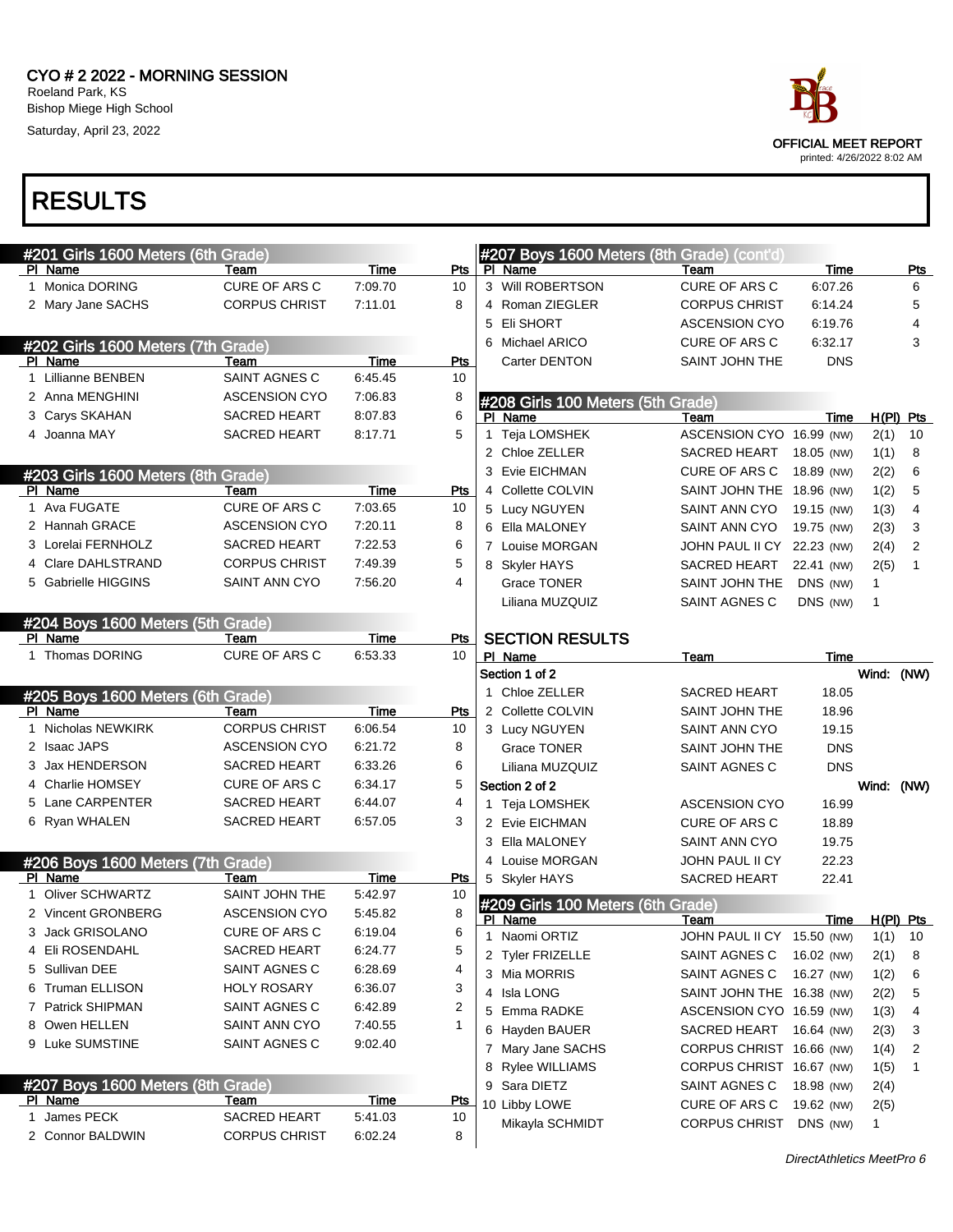

|              | #201 Girls 1600 Meters (6th Grade) |                      |             |            |   | #207 Boys 1600 Meters (8th Grade) (cont'd) |                            |            |             |             |
|--------------|------------------------------------|----------------------|-------------|------------|---|--------------------------------------------|----------------------------|------------|-------------|-------------|
|              | PI Name                            | Team                 | Time        | Pts        |   | PI Name                                    | Team                       | Time       |             | Pts         |
|              | 1 Monica DORING                    | CURE OF ARS C        | 7:09.70     | 10         |   | 3 Will ROBERTSON                           | CURE OF ARS C              | 6:07.26    |             | 6           |
|              | 2 Mary Jane SACHS                  | <b>CORPUS CHRIST</b> | 7:11.01     | 8          |   | 4 Roman ZIEGLER                            | <b>CORPUS CHRIST</b>       | 6:14.24    |             | 5           |
|              |                                    |                      |             |            |   | 5 Eli SHORT                                | <b>ASCENSION CYO</b>       | 6:19.76    |             | 4           |
|              | #202 Girls 1600 Meters (7th Grade) |                      |             |            |   | 6 Michael ARICO                            | <b>CURE OF ARS C</b>       | 6:32.17    |             | 3           |
|              | PI Name                            | Team                 | Time        | <b>Pts</b> |   | Carter DENTON                              | SAINT JOHN THE             | <b>DNS</b> |             |             |
| $\mathbf{1}$ | <b>Lillianne BENBEN</b>            | SAINT AGNES C        | 6.45.45     | 10         |   |                                            |                            |            |             |             |
|              | 2 Anna MENGHINI                    | <b>ASCENSION CYO</b> | 7:06.83     | 8          |   | #208 Girls 100 Meters (5th Grade)          |                            |            |             |             |
|              | 3 Carys SKAHAN                     | <b>SACRED HEART</b>  | 8:07.83     | 6          |   | PI Name                                    | Team                       | Time       |             | $H(PI)$ Pts |
|              | 4 Joanna MAY                       | <b>SACRED HEART</b>  | 8:17.71     | 5          | 1 | Teja LOMSHEK                               | ASCENSION CYO 16.99 (NW)   |            | 2(1)        | 10          |
|              |                                    |                      |             |            |   | 2 Chloe ZELLER                             | SACRED HEART               | 18.05 (NW) | 1(1)        | 8           |
|              | #203 Girls 1600 Meters (8th Grade) |                      |             |            |   | 3 Evie EICHMAN                             | CURE OF ARS C              | 18.89 (NW) | 2(2)        | 6           |
|              | PI Name                            | Team                 | Time        | <b>Pts</b> |   | 4 Collette COLVIN                          | SAINT JOHN THE 18.96 (NW)  |            | 1(2)        | 5           |
|              | 1 Ava FUGATE                       | CURE OF ARS C        | 7:03.65     | 10         |   | 5 Lucy NGUYEN                              | SAINT ANN CYO              | 19.15 (NW) | 1(3)        | 4           |
|              | 2 Hannah GRACE                     | <b>ASCENSION CYO</b> | 7:20.11     | 8          |   | 6 Ella MALONEY                             | SAINT ANN CYO              | 19.75 (NW) | 2(3)        | 3           |
|              | 3 Lorelai FERNHOLZ                 | <b>SACRED HEART</b>  | 7:22.53     | 6          |   | 7 Louise MORGAN                            | JOHN PAUL II CY 22.23 (NW) |            | 2(4)        | 2           |
|              | 4 Clare DAHLSTRAND                 | <b>CORPUS CHRIST</b> | 7:49.39     | 5          |   | 8 Skyler HAYS                              | SACRED HEART               | 22.41 (NW) | 2(5)        | 1           |
|              | 5 Gabrielle HIGGINS                | SAINT ANN CYO        | 7:56.20     | 4          |   | <b>Grace TONER</b>                         | SAINT JOHN THE             | DNS (NW)   | 1           |             |
|              |                                    |                      |             |            |   | Liliana MUZQUIZ                            | SAINT AGNES C              | DNS (NW)   | 1           |             |
|              | #204 Boys 1600 Meters (5th Grade)  |                      |             |            |   |                                            |                            |            |             |             |
|              | PI Name                            | Team                 | Time        | Pts        |   | <b>SECTION RESULTS</b>                     |                            |            |             |             |
|              | 1 Thomas DORING                    | CURE OF ARS C        | 6:53.33     | 10         |   | PI Name                                    | Team                       | Time       |             |             |
|              |                                    |                      |             |            |   | Section 1 of 2                             |                            |            | Wind: (NW)  |             |
|              | #205 Boys 1600 Meters (6th Grade)  |                      |             |            |   | 1 Chloe ZELLER                             | <b>SACRED HEART</b>        | 18.05      |             |             |
|              | PI Name                            | Team                 | Time        | <b>Pts</b> |   | 2 Collette COLVIN                          | SAINT JOHN THE             | 18.96      |             |             |
|              | Nicholas NEWKIRK                   | <b>CORPUS CHRIST</b> | 6:06.54     | 10         |   | 3 Lucy NGUYEN                              | SAINT ANN CYO              | 19.15      |             |             |
|              | 2 Isaac JAPS                       | <b>ASCENSION CYO</b> | 6:21.72     | 8          |   | Grace TONER                                | SAINT JOHN THE             | <b>DNS</b> |             |             |
|              | 3 Jax HENDERSON                    | <b>SACRED HEART</b>  | 6:33.26     | 6          |   | Liliana MUZQUIZ                            | SAINT AGNES C              | <b>DNS</b> |             |             |
|              | 4 Charlie HOMSEY                   | <b>CURE OF ARS C</b> | 6:34.17     | 5          |   | Section 2 of 2                             |                            |            | Wind: (NW)  |             |
|              | 5 Lane CARPENTER                   | <b>SACRED HEART</b>  | 6:44.07     | 4          |   | 1 Teja LOMSHEK                             | <b>ASCENSION CYO</b>       | 16.99      |             |             |
|              | 6 Ryan WHALEN                      | <b>SACRED HEART</b>  | 6:57.05     | 3          |   | 2 Evie EICHMAN                             | <b>CURE OF ARS C</b>       | 18.89      |             |             |
|              |                                    |                      |             |            |   | 3 Ella MALONEY                             | SAINT ANN CYO              | 19.75      |             |             |
|              | #206 Boys 1600 Meters (7th Grade)  |                      |             |            |   | 4 Louise MORGAN                            | JOHN PAUL II CY            | 22.23      |             |             |
|              | PI Name                            | Team                 | Time        | Pts        |   | 5 Skyler HAYS                              | SACRED HEART               | 22.41      |             |             |
|              | <b>Oliver SCHWARTZ</b>             | SAINT JOHN THE       | 5:42.97     | 10         |   | #209 Girls 100 Meters (6th Grade)          |                            |            |             |             |
|              | 2 Vincent GRONBERG                 | <b>ASCENSION CYO</b> | 5:45.82     | 8          |   | PI Name                                    | Team                       | Time       | $H(PI)$ Pts |             |
|              | 3 Jack GRISOLANO                   | <b>CURE OF ARS C</b> | 6:19.04     | 6          | 1 | Naomi ORTIZ                                | JOHN PAUL II CY 15.50 (NW) |            | $1(1)$ 10   |             |
|              | 4 Eli ROSENDAHL                    | <b>SACRED HEART</b>  | 6:24.77     | 5          |   | 2 Tyler FRIZELLE                           | SAINT AGNES C              | 16.02 (NW) | 2(1)        | 8           |
|              | 5 Sullivan DEE                     | SAINT AGNES C        | 6:28.69     | 4          |   | 3 Mia MORRIS                               | SAINT AGNES C              | 16.27 (NW) | 1(2)        | 6           |
|              | 6 Truman ELLISON                   | <b>HOLY ROSARY</b>   | 6:36.07     | 3          |   | 4 Isla LONG                                | SAINT JOHN THE 16.38 (NW)  |            | 2(2)        | 5           |
|              | 7 Patrick SHIPMAN                  | SAINT AGNES C        | 6:42.89     | 2          |   | 5 Emma RADKE                               | ASCENSION CYO 16.59 (NW)   |            | 1(3)        | 4           |
|              | 8 Owen HELLEN                      | SAINT ANN CYO        | 7:40.55     | 1          |   | 6 Hayden BAUER                             | SACRED HEART               | 16.64 (NW) | 2(3)        | 3           |
|              | 9 Luke SUMSTINE                    | SAINT AGNES C        | 9:02.40     |            |   | 7 Mary Jane SACHS                          | CORPUS CHRIST 16.66 (NW)   |            | 1(4)        | 2           |
|              |                                    |                      |             |            |   | 8 Rylee WILLIAMS                           | CORPUS CHRIST 16.67 (NW)   |            | 1(5)        | 1           |
|              | #207 Boys 1600 Meters (8th Grade)  |                      |             |            |   | 9 Sara DIETZ                               | SAINT AGNES C              | 18.98 (NW) | 2(4)        |             |
|              | <b>PI Name</b>                     | Team                 | <b>Time</b> | <b>Pts</b> |   | 10 Libby LOWE                              | CURE OF ARS C              | 19.62 (NW) | 2(5)        |             |
| 1            | James PECK                         | <b>SACRED HEART</b>  | 5:41.03     | 10         |   | Mikayla SCHMIDT                            | <b>CORPUS CHRIST</b>       | DNS (NW)   | 1           |             |
|              | 2 Connor BALDWIN                   | <b>CORPUS CHRIST</b> | 6:02.24     | 8          |   |                                            |                            |            |             |             |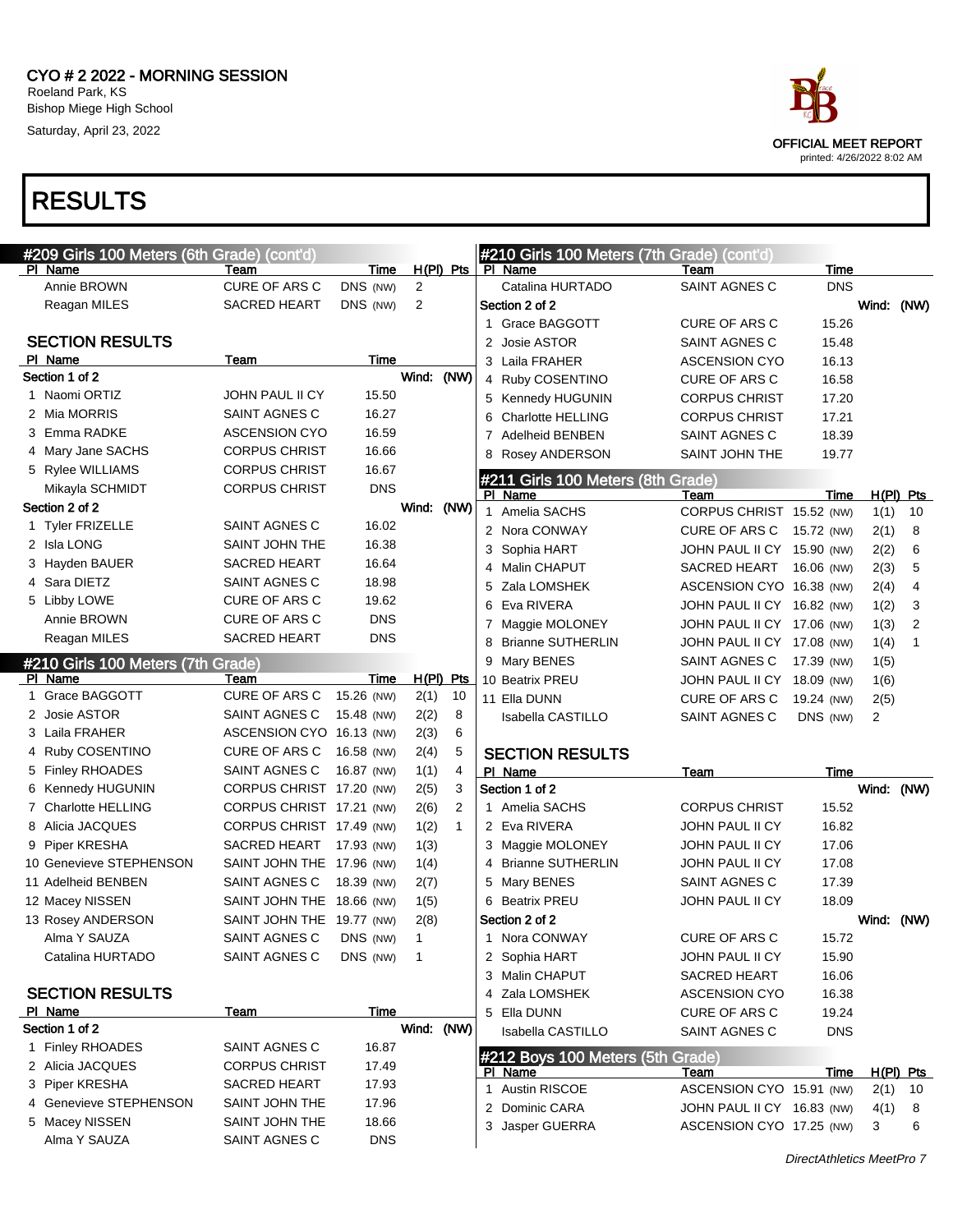

| #209 Girls 100 Meters (6th Grade) (cont'd) |                           |            |                |              |   | #210 Girls 100 Meters (7th Grade) (cont'd) |                            |             |            |                |
|--------------------------------------------|---------------------------|------------|----------------|--------------|---|--------------------------------------------|----------------------------|-------------|------------|----------------|
| PI Name                                    | Team                      | Time       |                | $H(PI)$ Pts  |   | PI Name                                    | Team                       | Time        |            |                |
| Annie BROWN                                | <b>CURE OF ARS C</b>      | DNS (NW)   | 2              |              |   | Catalina HURTADO                           | <b>SAINT AGNES C</b>       | <b>DNS</b>  |            |                |
| Reagan MILES                               | <b>SACRED HEART</b>       | DNS (NW)   | 2              |              |   | Section 2 of 2                             |                            |             | Wind: (NW) |                |
|                                            |                           |            |                |              |   | 1 Grace BAGGOTT                            | <b>CURE OF ARS C</b>       | 15.26       |            |                |
| <b>SECTION RESULTS</b>                     |                           |            |                |              | 2 | Josie ASTOR                                | SAINT AGNES C              | 15.48       |            |                |
| PI Name                                    | Team                      | Time       |                |              |   | 3 Laila FRAHER                             | <b>ASCENSION CYO</b>       | 16.13       |            |                |
| Section 1 of 2                             |                           |            | Wind:          | (NW)         |   | 4 Ruby COSENTINO                           | <b>CURE OF ARS C</b>       | 16.58       |            |                |
| 1 Naomi ORTIZ                              | <b>JOHN PAUL II CY</b>    | 15.50      |                |              |   | 5 Kennedy HUGUNIN                          | <b>CORPUS CHRIST</b>       | 17.20       |            |                |
| 2 Mia MORRIS                               | SAINT AGNES C             | 16.27      |                |              | 6 | <b>Charlotte HELLING</b>                   | <b>CORPUS CHRIST</b>       | 17.21       |            |                |
| 3 Emma RADKE                               | <b>ASCENSION CYO</b>      | 16.59      |                |              | 7 | <b>Adelheid BENBEN</b>                     | SAINT AGNES C              | 18.39       |            |                |
| 4 Mary Jane SACHS                          | <b>CORPUS CHRIST</b>      | 16.66      |                |              |   | 8 Rosey ANDERSON                           | SAINT JOHN THE             | 19.77       |            |                |
| 5 Rylee WILLIAMS                           | <b>CORPUS CHRIST</b>      | 16.67      |                |              |   | #211 Girls 100 Meters (8th Grade)          |                            |             |            |                |
| Mikayla SCHMIDT                            | <b>CORPUS CHRIST</b>      | <b>DNS</b> |                |              |   | PI Name                                    | Team                       | Time        |            | $H(PI)$ Pts    |
| Section 2 of 2                             |                           |            | Wind: (NW)     |              |   | 1 Amelia SACHS                             | CORPUS CHRIST 15.52 (NW)   |             | 1(1)       | 10             |
| 1 Tyler FRIZELLE                           | SAINT AGNES C             | 16.02      |                |              |   | 2 Nora CONWAY                              | CURE OF ARS C 15.72 (NW)   |             | 2(1)       | 8              |
| 2 Isla LONG                                | SAINT JOHN THE            | 16.38      |                |              | 3 | Sophia HART                                | JOHN PAUL II CY 15.90 (NW) |             | 2(2)       | 6              |
| 3 Hayden BAUER                             | <b>SACRED HEART</b>       | 16.64      |                |              |   | 4 Malin CHAPUT                             | SACRED HEART 16.06 (NW)    |             | 2(3)       | 5              |
| 4 Sara DIETZ                               | SAINT AGNES C             | 18.98      |                |              | 5 | Zala LOMSHEK                               | ASCENSION CYO 16.38 (NW)   |             | 2(4)       | 4              |
| 5 Libby LOWE                               | CURE OF ARS C             | 19.62      |                |              | 6 | Eva RIVERA                                 | JOHN PAUL II CY 16.82 (NW) |             | 1(2)       | 3              |
| Annie BROWN                                | CURE OF ARS C             | <b>DNS</b> |                |              |   | 7 Maggie MOLONEY                           | JOHN PAUL II CY 17.06 (NW) |             | 1(3)       | $\overline{2}$ |
| Reagan MILES                               | <b>SACRED HEART</b>       | <b>DNS</b> |                |              | 8 | <b>Brianne SUTHERLIN</b>                   | JOHN PAUL II CY 17.08 (NW) |             | 1(4)       | 1              |
| #210 Girls 100 Meters (7th Grade)          |                           |            |                |              |   | 9 Mary BENES                               | SAINT AGNES C              | 17.39 (NW)  | 1(5)       |                |
| PI Name                                    | Team                      | Time       |                | $H(PI)$ Pts  |   | 10 Beatrix PREU                            | JOHN PAUL II CY 18.09 (NW) |             | 1(6)       |                |
| 1 Grace BAGGOTT                            | <b>CURE OF ARS C</b>      | 15.26 (NW) | 2(1)           | 10           |   | 11 Ella DUNN                               | CURE OF ARS C              | 19.24 (NW)  | 2(5)       |                |
| 2 Josie ASTOR                              | SAINT AGNES C             | 15.48 (NW) | 2(2)           | 8            |   | Isabella CASTILLO                          | SAINT AGNES C              | DNS (NW)    | 2          |                |
| 3 Laila FRAHER                             | ASCENSION CYO 16.13 (NW)  |            | 2(3)           | 6            |   |                                            |                            |             |            |                |
| 4 Ruby COSENTINO                           | CURE OF ARS C             | 16.58 (NW) | 2(4)           | 5            |   | <b>SECTION RESULTS</b>                     |                            |             |            |                |
| 5 Finley RHOADES                           | SAINT AGNES C             | 16.87 (NW) | 1(1)           | 4            |   | PI Name                                    | Team                       | Time        |            |                |
| 6 Kennedy HUGUNIN                          | CORPUS CHRIST 17.20 (NW)  |            | 2(5)           | 3            |   | Section 1 of 2                             |                            |             | Wind: (NW) |                |
| 7 Charlotte HELLING                        | CORPUS CHRIST 17.21 (NW)  |            | 2(6)           | 2            |   | 1 Amelia SACHS                             | <b>CORPUS CHRIST</b>       | 15.52       |            |                |
| 8 Alicia JACQUES                           | CORPUS CHRIST 17.49 (NW)  |            | 1(2)           | $\mathbf{1}$ |   | 2 Eva RIVERA                               | JOHN PAUL II CY            | 16.82       |            |                |
| 9 Piper KRESHA                             | SACRED HEART 17.93 (NW)   |            | 1(3)           |              |   | 3 Maggie MOLONEY                           | JOHN PAUL II CY            | 17.06       |            |                |
| 10 Genevieve STEPHENSON                    | SAINT JOHN THE 17.96 (NW) |            | 1(4)           |              |   | 4 Brianne SUTHERLIN                        | JOHN PAUL II CY            | 17.08       |            |                |
| 11 Adelheid BENBEN                         | SAINT AGNES C             | 18.39 (NW) | 2(7)           |              |   | 5 Mary BENES                               | SAINT AGNES C              | 17.39       |            |                |
| 12 Macey NISSEN                            | SAINT JOHN THE 18.66 (NW) |            | 1(5)           |              |   | 6 Beatrix PREU                             | JOHN PAUL II CY            | 18.09       |            |                |
| 13 Rosey ANDERSON                          | SAINT JOHN THE 19.77 (NW) |            | 2(8)           |              |   | Section 2 of 2                             |                            |             | Wind: (NW) |                |
| Alma Y SAUZA                               | SAINT AGNES C DNS (NW)    |            | $\mathbf{1}$   |              |   | 1 Nora CONWAY                              | CURE OF ARS C              | 15.72       |            |                |
| Catalina HURTADO                           | SAINT AGNES C             | DNS (NW)   | $\overline{1}$ |              |   | 2 Sophia HART                              | JOHN PAUL II CY            | 15.90       |            |                |
|                                            |                           |            |                |              |   | 3 Malin CHAPUT                             | <b>SACRED HEART</b>        | 16.06       |            |                |
| <b>SECTION RESULTS</b>                     |                           |            |                |              |   | 4 Zala LOMSHEK                             | <b>ASCENSION CYO</b>       | 16.38       |            |                |
| PI Name                                    | Team                      | Time       |                |              |   | 5 Ella DUNN                                | CURE OF ARS C              | 19.24       |            |                |
| Section 1 of 2                             |                           |            | Wind: (NW)     |              |   | Isabella CASTILLO                          | SAINT AGNES C              | <b>DNS</b>  |            |                |
| 1 Finley RHOADES                           | SAINT AGNES C             | 16.87      |                |              |   | #212 Boys 100 Meters (5th Grade)           |                            |             |            |                |
| 2 Alicia JACQUES                           | <b>CORPUS CHRIST</b>      | 17.49      |                |              |   | <u>PI Name</u>                             | <u>Team</u>                | <u>Time</u> |            | $H(PI)$ Pts    |
| 3 Piper KRESHA                             | <b>SACRED HEART</b>       | 17.93      |                |              |   | 1 Austin RISCOE                            | ASCENSION CYO 15.91 (NW)   |             | 2(1)       | 10             |
| 4 Genevieve STEPHENSON                     | SAINT JOHN THE            | 17.96      |                |              |   | 2 Dominic CARA                             | JOHN PAUL II CY 16.83 (NW) |             | 4(1)       | 8              |
| 5 Macey NISSEN                             | SAINT JOHN THE            | 18.66      |                |              |   | 3 Jasper GUERRA                            | ASCENSION CYO 17.25 (NW)   |             | 3          | 6              |
| Alma Y SAUZA                               | SAINT AGNES C             | <b>DNS</b> |                |              |   |                                            |                            |             |            |                |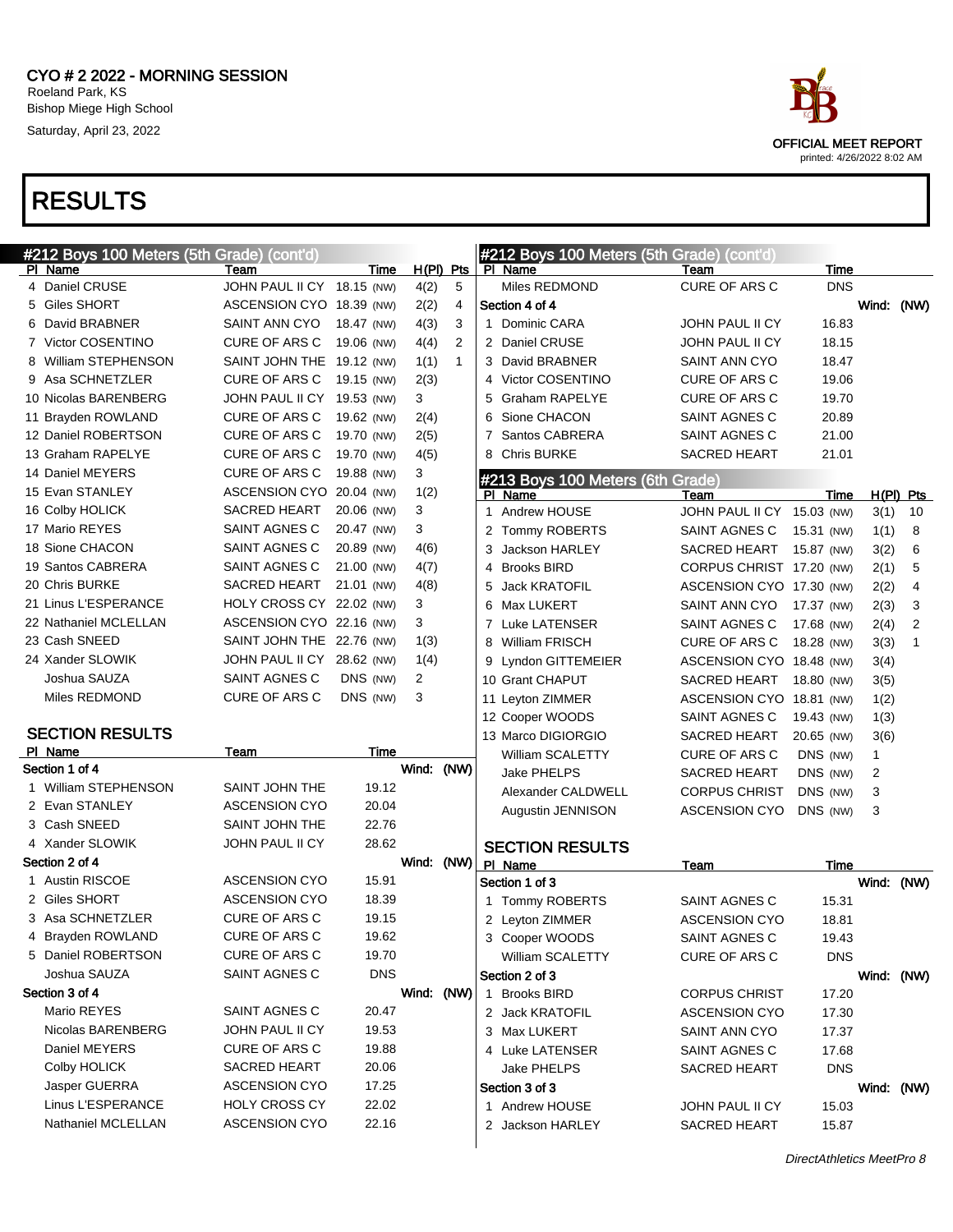

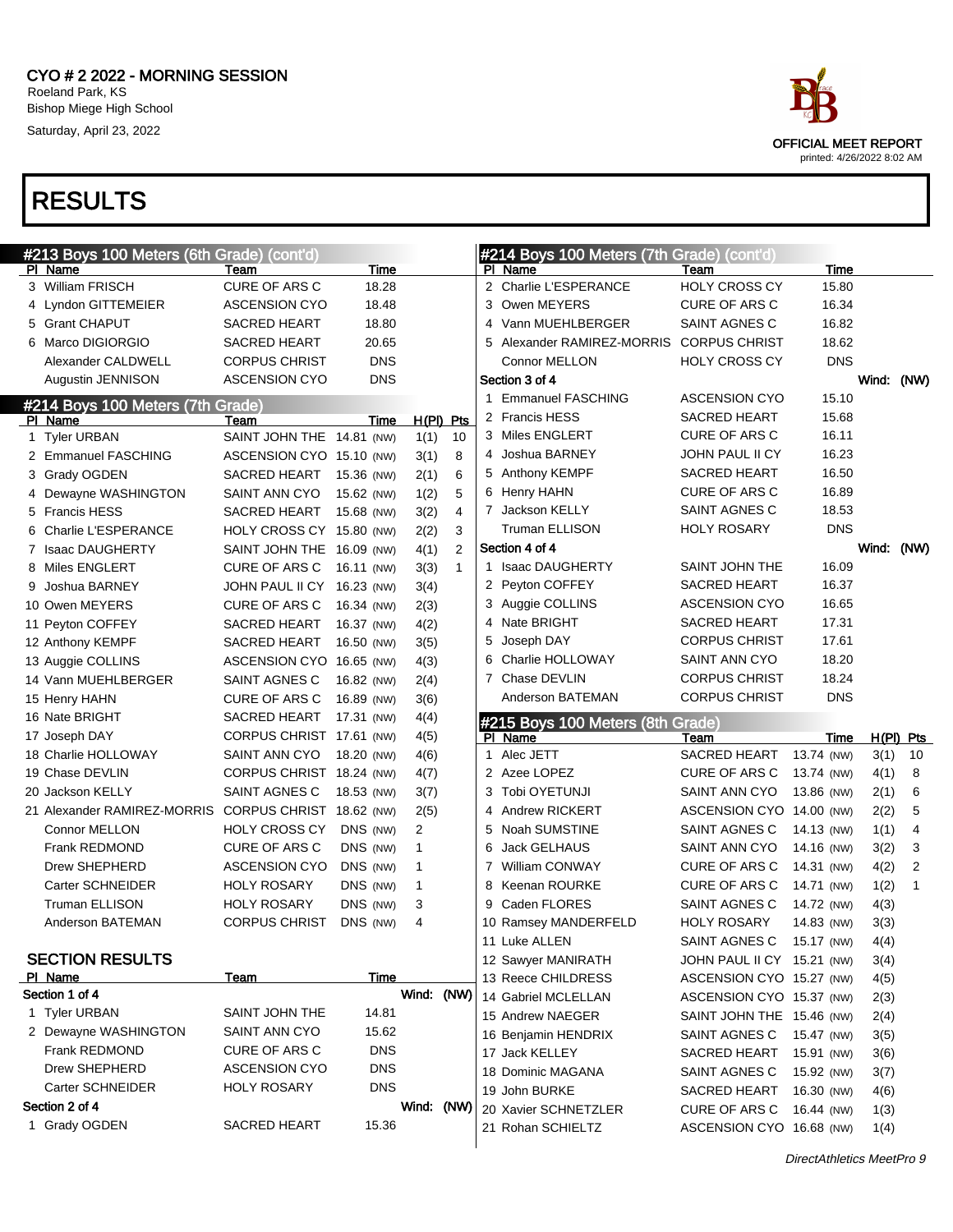

| #213 Boys 100 Meters (6th Grade)      | (cont'd)                              |                          |              |                |                | #214 Boys 100 Meters (7th Grade) | (cont'd)                   |            |            |           |
|---------------------------------------|---------------------------------------|--------------------------|--------------|----------------|----------------|----------------------------------|----------------------------|------------|------------|-----------|
| PI Name                               | Team                                  | Time                     |              |                |                | PI Name                          | Team                       | Time       |            |           |
| 3 William FRISCH                      | <b>CURE OF ARS C</b>                  | 18.28                    |              |                |                | 2 Charlie L'ESPERANCE            | <b>HOLY CROSS CY</b>       | 15.80      |            |           |
| 4 Lyndon GITTEMEIER                   | <b>ASCENSION CYO</b>                  | 18.48                    |              |                | 3              | Owen MEYERS                      | CURE OF ARS C              | 16.34      |            |           |
| 5 Grant CHAPUT                        | <b>SACRED HEART</b>                   | 18.80                    |              |                | 4              | Vann MUEHLBERGER                 | SAINT AGNES C              | 16.82      |            |           |
| 6 Marco DIGIORGIO                     | <b>SACRED HEART</b>                   | 20.65                    |              |                | 5              | Alexander RAMIREZ-MORRIS         | <b>CORPUS CHRIST</b>       | 18.62      |            |           |
| Alexander CALDWELL                    | <b>CORPUS CHRIST</b>                  | <b>DNS</b>               |              |                |                | Connor MELLON                    | <b>HOLY CROSS CY</b>       | <b>DNS</b> |            |           |
| Augustin JENNISON                     | <b>ASCENSION CYO</b>                  | <b>DNS</b>               |              |                |                | Section 3 of 4                   |                            |            | Wind: (NW) |           |
| #214 Boys 100 Meters (7th Grade)      |                                       |                          |              |                |                | 1 Emmanuel FASCHING              | <b>ASCENSION CYO</b>       | 15.10      |            |           |
| PI Name                               | Team                                  | Time                     | $H(PI)$ Pts  |                |                | 2 Francis HESS                   | <b>SACRED HEART</b>        | 15.68      |            |           |
| 1 Tyler URBAN                         | SAINT JOHN THE 14.81 (NW)             |                          | 1(1)         | 10             |                | 3 Miles ENGLERT                  | CURE OF ARS C              | 16.11      |            |           |
| 2 Emmanuel FASCHING                   | ASCENSION CYO 15.10 (NW)              |                          | 3(1)         | 8              |                | 4 Joshua BARNEY                  | JOHN PAUL II CY            | 16.23      |            |           |
| 3 Grady OGDEN                         | SACRED HEART                          | 15.36 (NW)               | 2(1)         | 6              |                | 5 Anthony KEMPF                  | <b>SACRED HEART</b>        | 16.50      |            |           |
| 4 Dewayne WASHINGTON                  | SAINT ANN CYO                         | 15.62 (NW)               | 1(2)         | 5              |                | 6 Henry HAHN                     | CURE OF ARS C              | 16.89      |            |           |
| 5 Francis HESS                        | SACRED HEART                          | 15.68 (NW)               | 3(2)         | $\overline{4}$ |                | 7 Jackson KELLY                  | SAINT AGNES C              | 18.53      |            |           |
| 6 Charlie L'ESPERANCE                 | HOLY CROSS CY 15.80 (NW)              |                          | 2(2)         | 3              |                | <b>Truman ELLISON</b>            | <b>HOLY ROSARY</b>         | <b>DNS</b> |            |           |
| 7 Isaac DAUGHERTY                     | SAINT JOHN THE 16.09 (NW)             |                          | 4(1)         | 2              |                | Section 4 of 4                   |                            |            | Wind: (NW) |           |
| 8 Miles ENGLERT                       | CURE OF ARS C                         | 16.11 (NW)               | 3(3)         | $\mathbf{1}$   |                | 1 Isaac DAUGHERTY                | SAINT JOHN THE             | 16.09      |            |           |
| 9 Joshua BARNEY                       | JOHN PAUL II CY 16.23 (NW)            |                          | 3(4)         |                |                | 2 Peyton COFFEY                  | SACRED HEART               | 16.37      |            |           |
| 10 Owen MEYERS                        | CURE OF ARS C                         | 16.34 (NW)               | 2(3)         |                |                | 3 Auggie COLLINS                 | <b>ASCENSION CYO</b>       | 16.65      |            |           |
| 11 Peyton COFFEY                      | SACRED HEART                          | 16.37 (NW)               | 4(2)         |                | 4              | Nate BRIGHT                      | <b>SACRED HEART</b>        | 17.31      |            |           |
| 12 Anthony KEMPF                      | <b>SACRED HEART</b>                   | 16.50 (NW)               | 3(5)         |                | 5              | Joseph DAY                       | <b>CORPUS CHRIST</b>       | 17.61      |            |           |
| 13 Auggie COLLINS                     | ASCENSION CYO 16.65 (NW)              |                          | 4(3)         |                | 6              | Charlie HOLLOWAY                 | SAINT ANN CYO              | 18.20      |            |           |
| 14 Vann MUEHLBERGER                   | SAINT AGNES C                         | 16.82 (NW)               | 2(4)         |                | $\overline{7}$ | Chase DEVLIN                     | <b>CORPUS CHRIST</b>       | 18.24      |            |           |
| 15 Henry HAHN                         | CURE OF ARS C                         | 16.89 (NW)               | 3(6)         |                |                | Anderson BATEMAN                 | <b>CORPUS CHRIST</b>       | <b>DNS</b> |            |           |
| 16 Nate BRIGHT                        | SACRED HEART                          | 17.31 (NW)               | 4(4)         |                |                | #215 Boys 100 Meters (8th Grade) |                            |            |            |           |
| 17 Joseph DAY                         | CORPUS CHRIST 17.61 (NW)              |                          | 4(5)         |                |                | PI Name                          | Team                       | Time       |            | H(PI) Pts |
| 18 Charlie HOLLOWAY                   | SAINT ANN CYO                         | 18.20 (NW)               | 4(6)         |                |                | 1 Alec JETT                      | <b>SACRED HEART</b>        | 13.74 (NW) | 3(1)       | 10        |
| 19 Chase DEVLIN                       | CORPUS CHRIST 18.24 (NW)              |                          | 4(7)         |                |                | 2 Azee LOPEZ                     | CURE OF ARS C              | 13.74 (NW) | 4(1)       | 8         |
| 20 Jackson KELLY                      | SAINT AGNES C                         | 18.53 (NW)               | 3(7)         |                |                | 3 Tobi OYETUNJI                  | SAINT ANN CYO              | 13.86 (NW) | 2(1)       | 6         |
| 21 Alexander RAMIREZ-MORRIS           | CORPUS CHRIST 18.62 (NW)              |                          | 2(5)         |                |                | 4 Andrew RICKERT                 | ASCENSION CYO 14.00 (NW)   |            | 2(2)       | 5         |
| <b>Connor MELLON</b>                  | <b>HOLY CROSS CY</b>                  | DNS (NW)                 | 2            |                |                | 5 Noah SUMSTINE                  | SAINT AGNES C              | 14.13 (NW) | 1(1)       | 4         |
| Frank REDMOND                         | <b>CURE OF ARS C</b>                  | DNS (NW)                 | $\mathbf{1}$ |                | 6              | Jack GELHAUS                     | SAINT ANN CYO              | 14.16 (NW) | 3(2)       | 3         |
| Drew SHEPHERD                         | <b>ASCENSION CYO</b>                  | DNS (NW)                 | $\mathbf{1}$ |                |                | 7 William CONWAY                 | CURE OF ARS C              | 14.31 (NW) | 4(2)       | 2         |
| Carter SCHNEIDER                      | <b>HOLY ROSARY</b>                    | DNS (NW)                 | $\mathbf{1}$ |                |                | 8 Keenan ROURKE                  | CURE OF ARS C              | 14.71 (NW) | 1(2)       | 1         |
| <b>Truman ELLISON</b>                 | <b>HOLY ROSARY</b>                    | DNS (NW)                 | 3            |                |                | 9 Caden FLORES                   | <b>SAINT AGNES C</b>       | 14.72 (NW) | 4(3)       |           |
| Anderson BATEMAN                      | <b>CORPUS CHRIST</b>                  | DNS (NW)                 | 4            |                |                | 10 Ramsey MANDERFELD             | <b>HOLY ROSARY</b>         | 14.83 (NW) | 3(3)       |           |
|                                       |                                       |                          |              |                |                | 11 Luke ALLEN                    | SAINT AGNES C              | 15.17 (NW) | 4(4)       |           |
| <b>SECTION RESULTS</b>                |                                       |                          |              |                |                | 12 Sawyer MANIRATH               | JOHN PAUL II CY 15.21 (NW) |            | 3(4)       |           |
| PI Name<br>Section 1 of 4             | <u>Team</u>                           | <b>Time</b>              | Wind: (NW)   |                |                | 13 Reece CHILDRESS               | ASCENSION CYO 15.27 (NW)   |            | 4(5)       |           |
|                                       |                                       |                          |              |                |                | 14 Gabriel MCLELLAN              | ASCENSION CYO 15.37 (NW)   |            | 2(3)       |           |
| 1 Tyler URBAN<br>2 Dewayne WASHINGTON | SAINT JOHN THE                        | 14.81                    |              |                |                | 15 Andrew NAEGER                 | SAINT JOHN THE 15.46 (NW)  |            | 2(4)       |           |
|                                       | SAINT ANN CYO                         | 15.62                    |              |                |                | 16 Benjamin HENDRIX              | SAINT AGNES C              | 15.47 (NW) | 3(5)       |           |
| Frank REDMOND<br>Drew SHEPHERD        | CURE OF ARS C<br><b>ASCENSION CYO</b> | <b>DNS</b>               |              |                |                | 17 Jack KELLEY                   | SACRED HEART               | 15.91 (NW) | 3(6)       |           |
|                                       |                                       | <b>DNS</b><br><b>DNS</b> |              |                |                | 18 Dominic MAGANA                | SAINT AGNES C              | 15.92 (NW) | 3(7)       |           |
| Carter SCHNEIDER<br>Section 2 of 4    | <b>HOLY ROSARY</b>                    |                          |              |                |                | 19 John BURKE                    | SACRED HEART               | 16.30 (NW) | 4(6)       |           |
| 1 Grady OGDEN                         | <b>SACRED HEART</b>                   | 15.36                    | Wind: (NW)   |                |                | 20 Xavier SCHNETZLER             | CURE OF ARS C              | 16.44 (NW) | 1(3)       |           |
|                                       |                                       |                          |              |                |                | 21 Rohan SCHIELTZ                | ASCENSION CYO 16.68 (NW)   |            | 1(4)       |           |
|                                       |                                       |                          |              |                |                |                                  |                            |            |            |           |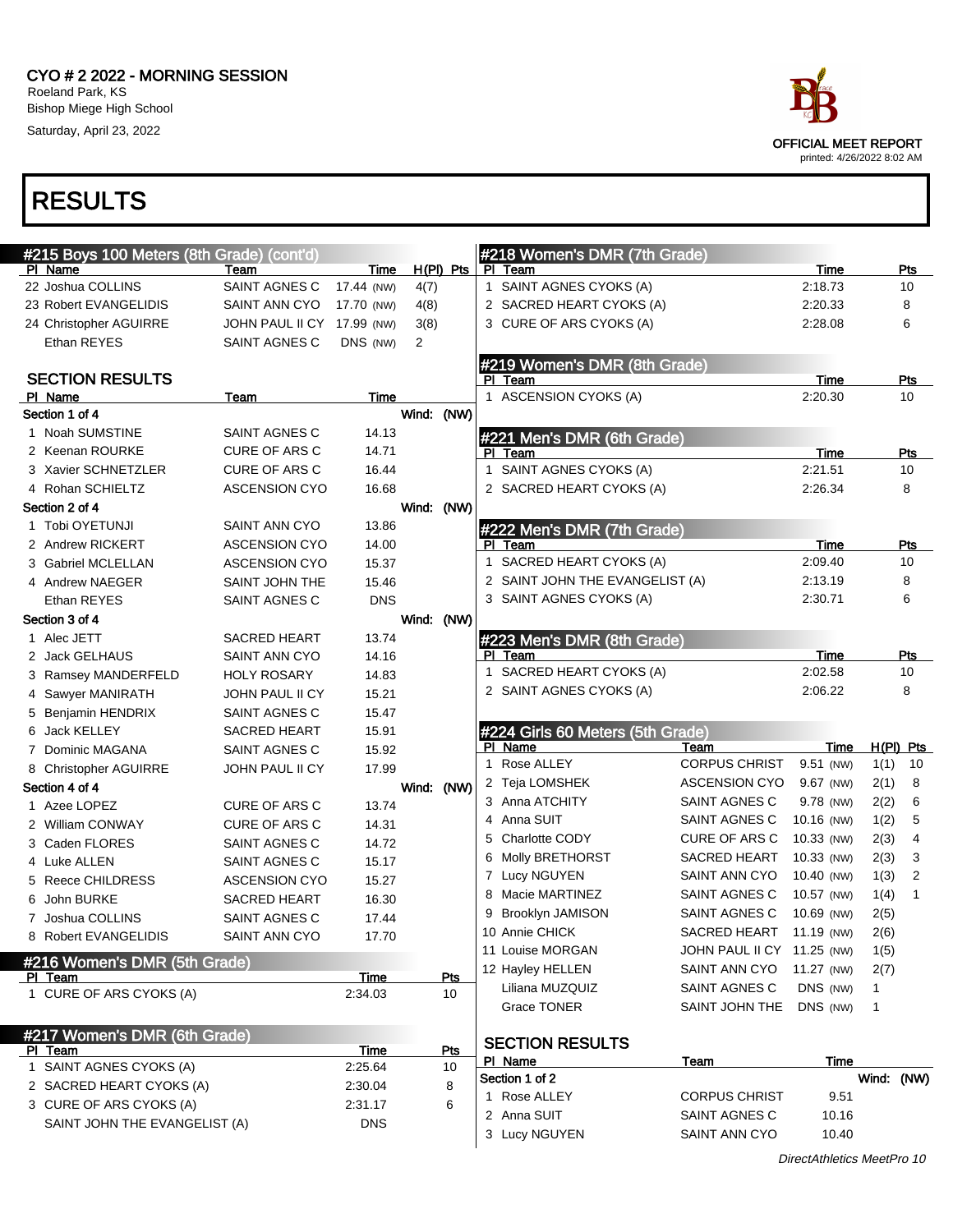

| #215 Boys 100 Meters (8th Grade) (cont'd) |                                      |             |             |            |     | #218 Women's DMR (7th Grade)                |                            |                 |             |           |
|-------------------------------------------|--------------------------------------|-------------|-------------|------------|-----|---------------------------------------------|----------------------------|-----------------|-------------|-----------|
| PI Name                                   | Team                                 | Time        | $H(PI)$ Pts |            | PI. | Team                                        |                            | Time            |             | Pts       |
| 22 Joshua COLLINS                         | SAINT AGNES C                        | 17.44 (NW)  | 4(7)        |            |     | 1 SAINT AGNES CYOKS (A)                     |                            | 2:18.73         |             | 10        |
| 23 Robert EVANGELIDIS                     | SAINT ANN CYO                        | 17.70 (NW)  | 4(8)        |            |     | 2 SACRED HEART CYOKS (A)                    |                            | 2:20.33         |             | 8         |
| 24 Christopher AGUIRRE                    | JOHN PAUL II CY 17.99 (NW)           |             | 3(8)        |            |     | 3 CURE OF ARS CYOKS (A)                     |                            | 2:28.08         |             | 6         |
| Ethan REYES                               | SAINT AGNES C                        | DNS (NW)    | 2           |            |     |                                             |                            |                 |             |           |
|                                           |                                      |             |             |            |     | #219 Women's DMR (8th Grade)                |                            |                 |             |           |
| <b>SECTION RESULTS</b>                    |                                      |             |             |            |     | PI Team                                     |                            | Time            |             | Pts       |
| PI Name                                   | Team                                 | Time        |             |            |     | 1 ASCENSION CYOKS (A)                       |                            | 2:20.30         |             | 10        |
| Section 1 of 4                            |                                      |             | Wind: (NW)  |            |     |                                             |                            |                 |             |           |
| 1 Noah SUMSTINE                           | SAINT AGNES C                        | 14.13       |             |            |     | #221 Men's DMR (6th Grade)                  |                            |                 |             |           |
| 2 Keenan ROURKE                           | <b>CURE OF ARS C</b>                 | 14.71       |             |            |     | PI Team                                     |                            | Time            |             | Pts       |
| 3 Xavier SCHNETZLER                       | <b>CURE OF ARS C</b>                 | 16.44       |             |            | 1   | SAINT AGNES CYOKS (A)                       |                            | 2:21.51         |             | 10        |
| 4 Rohan SCHIELTZ                          | <b>ASCENSION CYO</b>                 | 16.68       |             |            |     | 2 SACRED HEART CYOKS (A)                    |                            | 2:26.34         |             | 8         |
| Section 2 of 4                            |                                      |             | Wind: (NW)  |            |     |                                             |                            |                 |             |           |
| 1 Tobi OYETUNJI                           | SAINT ANN CYO                        | 13.86       |             |            |     | #222 Men's DMR (7th Grade)                  |                            |                 |             |           |
| 2 Andrew RICKERT                          | <b>ASCENSION CYO</b>                 | 14.00       |             |            |     | PI Team                                     |                            | Time            |             | Pts       |
| 3 Gabriel MCLELLAN                        | <b>ASCENSION CYO</b>                 | 15.37       |             |            |     | 1 SACRED HEART CYOKS (A)                    |                            | 2:09.40         |             | 10        |
| 4 Andrew NAEGER                           | SAINT JOHN THE                       | 15.46       |             |            |     | 2 SAINT JOHN THE EVANGELIST (A)             |                            | 2:13.19         |             | 8         |
| Ethan REYES                               | SAINT AGNES C                        | <b>DNS</b>  |             |            |     | 3 SAINT AGNES CYOKS (A)                     |                            | 2:30.71         |             | 6         |
| Section 3 of 4                            |                                      |             | Wind: (NW)  |            |     |                                             |                            |                 |             |           |
| 1 Alec JETT                               | <b>SACRED HEART</b>                  | 13.74       |             |            |     | #223 Men's DMR (8th Grade)<br>PI Team       |                            |                 |             |           |
| 2 Jack GELHAUS                            | SAINT ANN CYO                        | 14.16       |             |            |     | 1 SACRED HEART CYOKS (A)                    |                            | Time<br>2:02.58 |             | Pts<br>10 |
| 3 Ramsey MANDERFELD                       | <b>HOLY ROSARY</b>                   | 14.83       |             |            |     | 2 SAINT AGNES CYOKS (A)                     |                            | 2:06.22         |             | 8         |
| 4 Sawyer MANIRATH                         | <b>JOHN PAUL II CY</b>               | 15.21       |             |            |     |                                             |                            |                 |             |           |
| 5 Benjamin HENDRIX                        | SAINT AGNES C                        | 15.47       |             |            |     |                                             |                            |                 |             |           |
| 6 Jack KELLEY                             | <b>SACRED HEART</b>                  | 15.91       |             |            |     | #224 Girls 60 Meters (5th Grade)<br>PI Name | Team                       | Time            | $H(PI)$ Pts |           |
| 7 Dominic MAGANA                          | SAINT AGNES C                        | 15.92       |             |            |     | 1 Rose ALLEY                                | <b>CORPUS CHRIST</b>       | 9.51 (NW)       | 1(1)        | 10        |
| 8 Christopher AGUIRRE                     | JOHN PAUL II CY                      | 17.99       |             |            |     | 2 Teja LOMSHEK                              | <b>ASCENSION CYO</b>       | 9.67 (NW)       | 2(1)        | 8         |
| Section 4 of 4                            |                                      |             | Wind: (NW)  |            |     | 3 Anna ATCHITY                              | SAINT AGNES C              | 9.78 (NW)       | 2(2)        | 6         |
| 1 Azee LOPEZ                              | <b>CURE OF ARS C</b>                 | 13.74       |             |            | 4   | Anna SUIT                                   | SAINT AGNES C              | 10.16 (NW)      | 1(2)        | 5         |
| 2 William CONWAY                          | <b>CURE OF ARS C</b>                 | 14.31       |             |            |     | 5 Charlotte CODY                            | CURE OF ARS C              | 10.33 (NW)      | 2(3)        | 4         |
| 3 Caden FLORES                            | SAINT AGNES C                        | 14.72       |             |            |     | 6 Molly BRETHORST                           | SACRED HEART               | 10.33 (NW)      | 2(3)        | 3         |
| 4 Luke ALLEN                              | SAINT AGNES C                        | 15.17       |             |            |     | 7 Lucy NGUYEN                               | SAINT ANN CYO              | 10.40 (NW)      | 1(3)        | 2         |
| 5 Reece CHILDRESS                         | <b>ASCENSION CYO</b>                 | 15.27       |             |            |     | 8 Macie MARTINEZ                            | SAINT AGNES C              | 10.57 (NW)      | 1(4)        | 1         |
| 6 John BURKE                              | <b>SACRED HEART</b><br>SAINT AGNES C | 16.30       |             |            |     | Brooklyn JAMISON                            | <b>SAINT AGNES C</b>       | 10.69 (NW)      | 2(5)        |           |
| 7 Joshua COLLINS                          |                                      | 17.44       |             |            |     | 10 Annie CHICK                              | <b>SACRED HEART</b>        | 11.19 (NW)      | 2(6)        |           |
| 8 Robert EVANGELIDIS                      | SAINT ANN CYO                        | 17.70       |             |            |     | 11 Louise MORGAN                            | JOHN PAUL II CY 11.25 (NW) |                 | 1(5)        |           |
| #216 Women's DMR (5th Grade)              |                                      |             |             |            |     | 12 Hayley HELLEN                            | SAINT ANN CYO              | 11.27 (NW)      | 2(7)        |           |
| PI Team                                   |                                      | <b>Time</b> |             | Pts        |     | Liliana MUZQUIZ                             | SAINT AGNES C              | DNS (NW)        | 1           |           |
| 1 CURE OF ARS CYOKS (A)                   |                                      | 2:34.03     |             | 10         |     | Grace TONER                                 | SAINT JOHN THE             | DNS (NW)        | 1           |           |
|                                           |                                      |             |             |            |     |                                             |                            |                 |             |           |
| #217 Women's DMR (6th Grade)              |                                      |             |             |            |     | <b>SECTION RESULTS</b>                      |                            |                 |             |           |
| PI Team                                   |                                      | Time        |             | <b>Pts</b> |     | PI Name                                     | Team                       | Time            |             |           |
| 1 SAINT AGNES CYOKS (A)                   |                                      | 2:25.64     |             | 10         |     | Section 1 of 2                              |                            |                 | Wind: (NW)  |           |
| 2 SACRED HEART CYOKS (A)                  |                                      | 2:30.04     |             | 8          |     | 1 Rose ALLEY                                | <b>CORPUS CHRIST</b>       | 9.51            |             |           |
| 3 CURE OF ARS CYOKS (A)                   |                                      | 2:31.17     |             | 6          |     | 2 Anna SUIT                                 | SAINT AGNES C              | 10.16           |             |           |
| SAINT JOHN THE EVANGELIST (A)             |                                      | <b>DNS</b>  |             |            |     | 3 Lucy NGUYEN                               | SAINT ANN CYO              | 10.40           |             |           |
|                                           |                                      |             |             |            |     |                                             |                            |                 |             |           |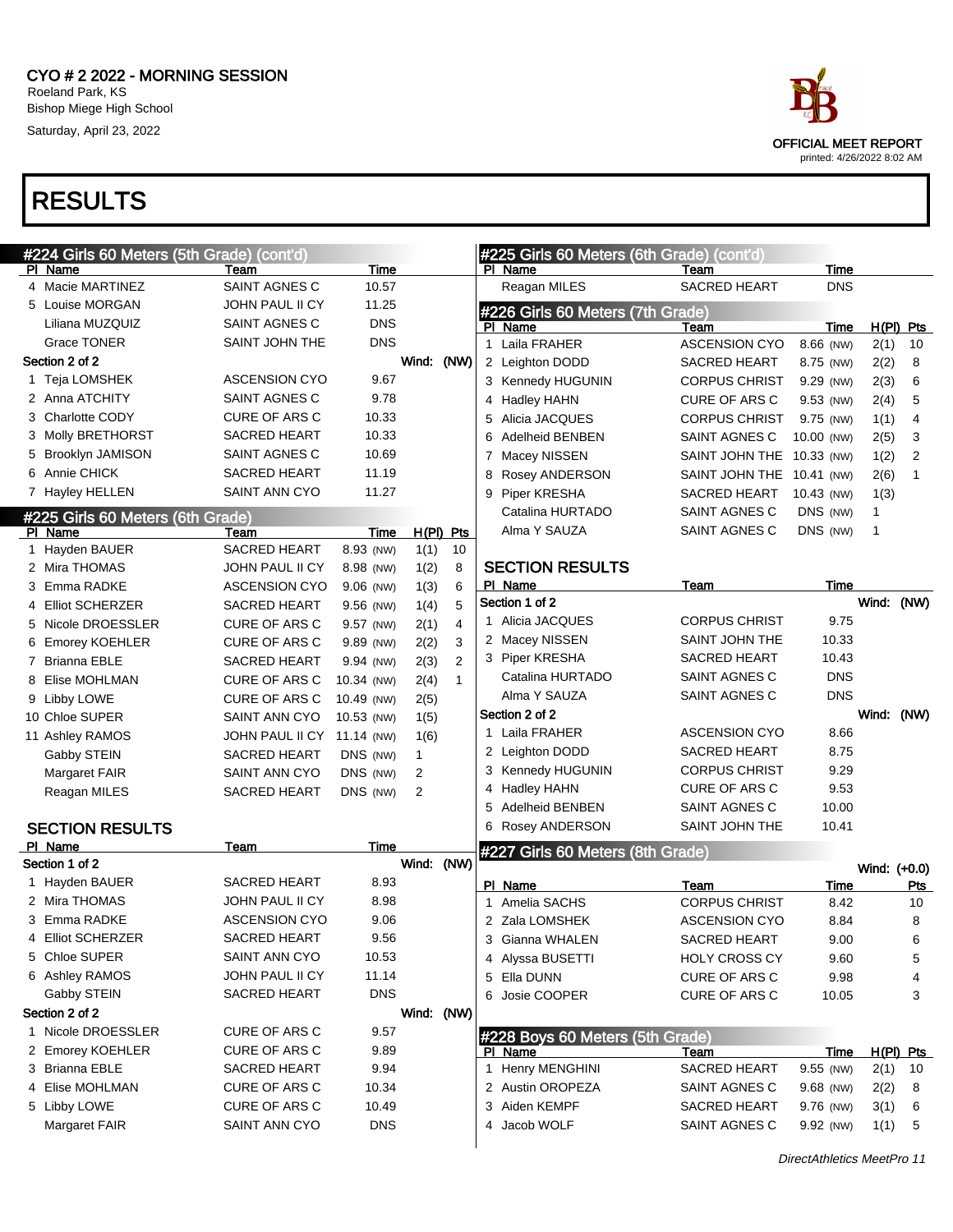

| #224 Girls 60 Meters (5th Grade) (cont'd) |                      |             |                |                |   | #225 Girls 60 Meters (6th Grade) (cont'd) |                      |             |              |                |
|-------------------------------------------|----------------------|-------------|----------------|----------------|---|-------------------------------------------|----------------------|-------------|--------------|----------------|
| PI Name                                   | Team                 | Time        |                |                |   | PI Name                                   | Team                 | Time        |              |                |
| 4 Macie MARTINEZ                          | <b>SAINT AGNES C</b> | 10.57       |                |                |   | Reagan MILES                              | <b>SACRED HEART</b>  | <b>DNS</b>  |              |                |
| 5 Louise MORGAN                           | JOHN PAUL II CY      | 11.25       |                |                |   | #226 Girls 60 Meters (7th Grade)          |                      |             |              |                |
| Liliana MUZQUIZ                           | SAINT AGNES C        | <b>DNS</b>  |                |                |   | PI Name                                   | Team                 | Time        |              | $H(PI)$ Pts    |
| <b>Grace TONER</b>                        | SAINT JOHN THE       | <b>DNS</b>  |                |                |   | 1 Laila FRAHER                            | <b>ASCENSION CYO</b> | 8.66 (NW)   | 2(1)         | 10             |
| Section 2 of 2                            |                      |             | Wind: (NW)     |                |   | 2 Leighton DODD                           | <b>SACRED HEART</b>  | 8.75 (NW)   | 2(2)         | 8              |
| 1 Teja LOMSHEK                            | <b>ASCENSION CYO</b> | 9.67        |                |                |   | 3 Kennedy HUGUNIN                         | <b>CORPUS CHRIST</b> | 9.29 (NW)   | 2(3)         | 6              |
| 2 Anna ATCHITY                            | SAINT AGNES C        | 9.78        |                |                |   | Hadley HAHN                               | <b>CURE OF ARS C</b> | 9.53 (NW)   | 2(4)         | 5              |
| 3 Charlotte CODY                          | <b>CURE OF ARS C</b> | 10.33       |                |                | 5 | Alicia JACQUES                            | <b>CORPUS CHRIST</b> | 9.75 (NW)   | 1(1)         | $\overline{4}$ |
| 3 Molly BRETHORST                         | <b>SACRED HEART</b>  | 10.33       |                |                | 6 | <b>Adelheid BENBEN</b>                    | SAINT AGNES C        | 10.00 (NW)  | 2(5)         | 3              |
| 5 Brooklyn JAMISON                        | SAINT AGNES C        | 10.69       |                |                |   | 7 Macey NISSEN                            | SAINT JOHN THE       | 10.33 (NW)  | 1(2)         | 2              |
| 6 Annie CHICK                             | <b>SACRED HEART</b>  | 11.19       |                |                | 8 | Rosey ANDERSON                            | SAINT JOHN THE       | 10.41 (NW)  | 2(6)         | $\mathbf{1}$   |
| 7 Hayley HELLEN                           | SAINT ANN CYO        | 11.27       |                |                | 9 | Piper KRESHA                              | <b>SACRED HEART</b>  | 10.43 (NW)  | 1(3)         |                |
| #225 Girls 60 Meters (6th Grade)          |                      |             |                |                |   | Catalina HURTADO                          | SAINT AGNES C        | DNS (NW)    | 1            |                |
| <b>PI</b> Name                            | Team                 | Time        |                | $H(PI)$ Pts    |   | Alma Y SAUZA                              | SAINT AGNES C        | DNS (NW)    | 1            |                |
| 1 Hayden BAUER                            | <b>SACRED HEART</b>  | 8.93 (NW)   | 1(1)           | 10             |   |                                           |                      |             |              |                |
| 2 Mira THOMAS                             | JOHN PAUL II CY      | 8.98 (NW)   | 1(2)           | 8              |   | <b>SECTION RESULTS</b>                    |                      |             |              |                |
| 3 Emma RADKE                              | <b>ASCENSION CYO</b> | $9.06$ (NW) | 1(3)           | 6              |   | PI Name                                   | Team                 | Time        |              |                |
| 4 Elliot SCHERZER                         | <b>SACRED HEART</b>  | 9.56 (NW)   | 1(4)           | 5              |   | Section 1 of 2                            |                      |             | Wind: (NW)   |                |
| 5 Nicole DROESSLER                        | <b>CURE OF ARS C</b> | 9.57 (NW)   | 2(1)           | $\overline{4}$ |   | 1 Alicia JACQUES                          | <b>CORPUS CHRIST</b> | 9.75        |              |                |
| 6 Emorey KOEHLER                          | <b>CURE OF ARS C</b> | 9.89 (NW)   | 2(2)           | 3              |   | 2 Macey NISSEN                            | SAINT JOHN THE       | 10.33       |              |                |
| 7 Brianna EBLE                            | <b>SACRED HEART</b>  | 9.94 (NW)   | 2(3)           | $\overline{2}$ |   | 3 Piper KRESHA                            | <b>SACRED HEART</b>  | 10.43       |              |                |
| 8 Elise MOHLMAN                           | <b>CURE OF ARS C</b> | 10.34 (NW)  | 2(4)           | $\mathbf{1}$   |   | Catalina HURTADO                          | SAINT AGNES C        | <b>DNS</b>  |              |                |
| 9 Libby LOWE                              | <b>CURE OF ARS C</b> | 10.49 (NW)  | 2(5)           |                |   | Alma Y SAUZA                              | SAINT AGNES C        | <b>DNS</b>  |              |                |
| 10 Chloe SUPER                            | <b>SAINT ANN CYO</b> | 10.53 (NW)  | 1(5)           |                |   | Section 2 of 2                            |                      |             | Wind: (NW)   |                |
| 11 Ashley RAMOS                           | JOHN PAUL II CY      | 11.14 (NW)  | 1(6)           |                |   | 1 Laila FRAHER                            | <b>ASCENSION CYO</b> | 8.66        |              |                |
| Gabby STEIN                               | <b>SACRED HEART</b>  | DNS (NW)    | 1              |                |   | 2 Leighton DODD                           | <b>SACRED HEART</b>  | 8.75        |              |                |
| <b>Margaret FAIR</b>                      | SAINT ANN CYO        | DNS (NW)    | $\overline{2}$ |                |   | 3 Kennedy HUGUNIN                         | <b>CORPUS CHRIST</b> | 9.29        |              |                |
| Reagan MILES                              | <b>SACRED HEART</b>  | DNS (NW)    | $\overline{2}$ |                | 4 | Hadley HAHN                               | <b>CURE OF ARS C</b> | 9.53        |              |                |
|                                           |                      |             |                |                | 5 | <b>Adelheid BENBEN</b>                    | SAINT AGNES C        | 10.00       |              |                |
| <b>SECTION RESULTS</b>                    |                      |             |                |                | 6 | <b>Rosey ANDERSON</b>                     | SAINT JOHN THE       | 10.41       |              |                |
| PI Name                                   | Team                 | Time        |                |                |   | #227 Girls 60 Meters (8th Grade)          |                      |             |              |                |
| Section 1 of 2                            |                      |             | Wind: (NW)     |                |   |                                           |                      |             | Wind: (+0.0) |                |
| 1 Hayden BAUER                            | <b>SACRED HEART</b>  | 8.93        |                |                |   | PI Name                                   | Team                 | Time        |              | Pts            |
| 2 Mira THOMAS                             | JOHN PAUL II CY      | 8.98        |                |                |   | Amelia SACHS                              | <b>CORPUS CHRIST</b> | 8.42        |              | 10             |
| 3 Emma RADKE                              | <b>ASCENSION CYO</b> | 9.06        |                |                |   | 2 Zala LOMSHEK                            | <b>ASCENSION CYO</b> | 8.84        |              | 8              |
| <b>Elliot SCHERZER</b>                    | SACRED HEART         | 9.56        |                |                |   | 3 Gianna WHALEN                           | SACRED HEART         | 9.00        |              | 6              |
| 5 Chloe SUPER                             | SAINT ANN CYO        | 10.53       |                |                |   | 4 Alyssa BUSETTI                          | <b>HOLY CROSS CY</b> | 9.60        |              | 5              |
| 6 Ashley RAMOS                            | JOHN PAUL II CY      | 11.14       |                |                |   | 5 Ella DUNN                               | CURE OF ARS C        | 9.98        |              | 4              |
| Gabby STEIN                               | SACRED HEART         | <b>DNS</b>  |                |                |   | 6 Josie COOPER                            | CURE OF ARS C        | 10.05       |              | 3              |
| Section 2 of 2                            |                      |             | Wind: (NW)     |                |   |                                           |                      |             |              |                |
| 1 Nicole DROESSLER                        | CURE OF ARS C        | 9.57        |                |                |   | #228 Boys 60 Meters (5th Grade)           |                      |             |              |                |
| 2 Emorey KOEHLER                          | CURE OF ARS C        | 9.89        |                |                |   | PI Name                                   | <u>Team</u>          | <u>Time</u> |              | H(PI) Pts      |
| 3 Brianna EBLE                            | <b>SACRED HEART</b>  | 9.94        |                |                |   | 1 Henry MENGHINI                          | <b>SACRED HEART</b>  | 9.55 (NW)   | 2(1)         | 10             |
| 4 Elise MOHLMAN                           | <b>CURE OF ARS C</b> | 10.34       |                |                |   | 2 Austin OROPEZA                          | SAINT AGNES C        | 9.68 (NW)   | 2(2)         | 8              |
| 5 Libby LOWE                              | CURE OF ARS C        | 10.49       |                |                |   | 3 Aiden KEMPF                             | <b>SACRED HEART</b>  | 9.76 (NW)   | 3(1)         | 6              |
| <b>Margaret FAIR</b>                      | SAINT ANN CYO        | <b>DNS</b>  |                |                |   | 4 Jacob WOLF                              | SAINT AGNES C        | 9.92 (NW)   | 1(1)         | 5              |
|                                           |                      |             |                |                |   |                                           |                      |             |              |                |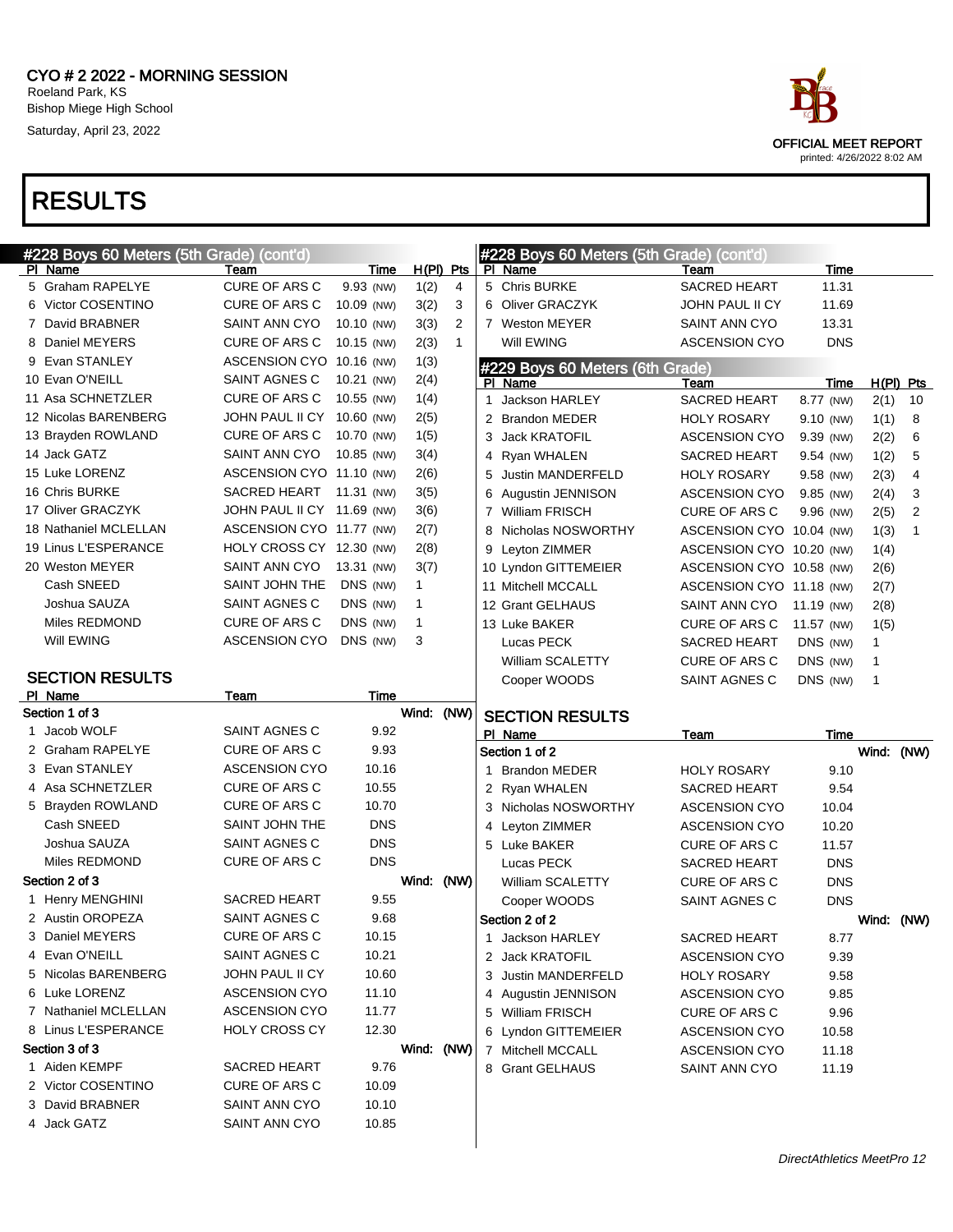

| #228 Boys 60 Meters (5th Grade) (cont'd) |                            |             |              |              | #228 Boys 60 Meters (5th Grade) (cont'd) |                          |             |             |    |
|------------------------------------------|----------------------------|-------------|--------------|--------------|------------------------------------------|--------------------------|-------------|-------------|----|
| PI Name                                  | Team                       | Time        | $H(PI)$ Pts  |              | PI Name                                  | Team                     | Time        |             |    |
| 5 Graham RAPELYE                         | <b>CURE OF ARS C</b>       | 9.93 (NW)   | 1(2)         | 4            | 5 Chris BURKE                            | <b>SACRED HEART</b>      | 11.31       |             |    |
| 6 Victor COSENTINO                       | CURE OF ARS C              | 10.09 (NW)  | 3(2)         | 3            | 6 Oliver GRACZYK                         | JOHN PAUL II CY          | 11.69       |             |    |
| 7 David BRABNER                          | SAINT ANN CYO              | 10.10 (NW)  | 3(3)         | 2            | 7 Weston MEYER                           | SAINT ANN CYO            | 13.31       |             |    |
| 8 Daniel MEYERS                          | CURE OF ARS C              | 10.15 (NW)  | 2(3)         | $\mathbf{1}$ | Will EWING                               | <b>ASCENSION CYO</b>     | <b>DNS</b>  |             |    |
| 9 Evan STANLEY                           | ASCENSION CYO 10.16 (NW)   |             | 1(3)         |              | #229 Boys 60 Meters (6th Grade)          |                          |             |             |    |
| 10 Evan O'NEILL                          | SAINT AGNES C              | 10.21 (NW)  | 2(4)         |              | PI Name                                  | Team                     | Time        | $H(PI)$ Pts |    |
| 11 Asa SCHNETZLER                        | CURE OF ARS C              | 10.55 (NW)  | 1(4)         |              | Jackson HARLEY<br>1                      | <b>SACRED HEART</b>      | 8.77 (NW)   | 2(1)        | 10 |
| 12 Nicolas BARENBERG                     | JOHN PAUL II CY 10.60 (NW) |             | 2(5)         |              | 2 Brandon MEDER                          | <b>HOLY ROSARY</b>       | 9.10 (NW)   | 1(1)        | 8  |
| 13 Brayden ROWLAND                       | CURE OF ARS C              | 10.70 (NW)  | 1(5)         |              | Jack KRATOFIL<br>3                       | <b>ASCENSION CYO</b>     | 9.39 (NW)   | 2(2)        | 6  |
| 14 Jack GATZ                             | SAINT ANN CYO              | 10.85 (NW)  | 3(4)         |              | Ryan WHALEN<br>4                         | <b>SACRED HEART</b>      | 9.54 (NW)   | 1(2)        | 5  |
| 15 Luke LORENZ                           | ASCENSION CYO 11.10 (NW)   |             | 2(6)         |              | Justin MANDERFELD<br>5                   | <b>HOLY ROSARY</b>       | 9.58 (NW)   | 2(3)        | 4  |
| 16 Chris BURKE                           | SACRED HEART 11.31 (NW)    |             | 3(5)         |              | Augustin JENNISON<br>6                   | <b>ASCENSION CYO</b>     | 9.85 (NW)   | 2(4)        | 3  |
| 17 Oliver GRACZYK                        | JOHN PAUL II CY 11.69 (NW) |             | 3(6)         |              | 7 William FRISCH                         | <b>CURE OF ARS C</b>     | 9.96 (NW)   | 2(5)        | 2  |
| 18 Nathaniel MCLELLAN                    | ASCENSION CYO 11.77 (NW)   |             | 2(7)         |              | 8 Nicholas NOSWORTHY                     | ASCENSION CYO 10.04 (NW) |             | 1(3)        | 1  |
| 19 Linus L'ESPERANCE                     | HOLY CROSS CY 12.30 (NW)   |             | 2(8)         |              | 9 Leyton ZIMMER                          | ASCENSION CYO 10.20 (NW) |             | 1(4)        |    |
| 20 Weston MEYER                          | SAINT ANN CYO              | 13.31 (NW)  | 3(7)         |              | 10 Lyndon GITTEMEIER                     | ASCENSION CYO 10.58 (NW) |             | 2(6)        |    |
| Cash SNEED                               | SAINT JOHN THE             | DNS (NW)    | 1            |              | 11 Mitchell MCCALL                       | ASCENSION CYO 11.18 (NW) |             | 2(7)        |    |
| Joshua SAUZA                             | SAINT AGNES C              | DNS (NW)    | 1            |              | 12 Grant GELHAUS                         | SAINT ANN CYO            | 11.19 (NW)  | 2(8)        |    |
| Miles REDMOND                            | CURE OF ARS C              | DNS (NW)    | $\mathbf{1}$ |              | 13 Luke BAKER                            | CURE OF ARS C            | 11.57 (NW)  | 1(5)        |    |
| Will EWING                               | <b>ASCENSION CYO</b>       | DNS (NW)    | 3            |              | Lucas PECK                               | <b>SACRED HEART</b>      | DNS (NW)    | 1           |    |
|                                          |                            |             |              |              | William SCALETTY                         | CURE OF ARS C            | DNS (NW)    | 1           |    |
| <b>SECTION RESULTS</b>                   |                            |             |              |              | Cooper WOODS                             | SAINT AGNES C            | DNS (NW)    | 1           |    |
| PI Name                                  | Team                       | <b>Time</b> |              |              |                                          |                          |             |             |    |
|                                          |                            |             |              |              |                                          |                          |             |             |    |
| Section 1 of 3                           |                            |             | Wind: (NW)   |              | <b>SECTION RESULTS</b>                   |                          |             |             |    |
| 1 Jacob WOLF                             | SAINT AGNES C              | 9.92        |              |              | PI Name                                  | Team                     | <b>Time</b> |             |    |
| 2 Graham RAPELYE                         | <b>CURE OF ARS C</b>       | 9.93        |              |              | Section 1 of 2                           |                          |             | Wind: (NW)  |    |
| 3 Evan STANLEY                           | <b>ASCENSION CYO</b>       | 10.16       |              |              | <b>Brandon MEDER</b><br>1                | <b>HOLY ROSARY</b>       | 9.10        |             |    |
| 4 Asa SCHNETZLER                         | <b>CURE OF ARS C</b>       | 10.55       |              |              | 2 Ryan WHALEN                            | <b>SACRED HEART</b>      | 9.54        |             |    |
| 5 Brayden ROWLAND                        | <b>CURE OF ARS C</b>       | 10.70       |              |              | Nicholas NOSWORTHY<br>3                  | <b>ASCENSION CYO</b>     | 10.04       |             |    |
| Cash SNEED                               | SAINT JOHN THE             | <b>DNS</b>  |              |              | Leyton ZIMMER<br>4                       | <b>ASCENSION CYO</b>     | 10.20       |             |    |
| Joshua SAUZA                             | SAINT AGNES C              | <b>DNS</b>  |              |              | 5 Luke BAKER                             | CURE OF ARS C            | 11.57       |             |    |
| Miles REDMOND                            | <b>CURE OF ARS C</b>       | <b>DNS</b>  |              |              | Lucas PECK                               | <b>SACRED HEART</b>      | <b>DNS</b>  |             |    |
| Section 2 of 3                           |                            |             | Wind: (NW)   |              | William SCALETTY                         | <b>CURE OF ARS C</b>     | <b>DNS</b>  |             |    |
| 1 Henry MENGHINI                         | <b>SACRED HEART</b>        | 9.55        |              |              | Cooper WOODS                             | SAINT AGNES C            | <b>DNS</b>  |             |    |
| 2 Austin OROPEZA                         | SAINT AGNES C              | 9.68        |              |              | Section 2 of 2                           |                          |             | Wind: (NW)  |    |
| 3 Daniel MEYERS                          | CURE OF ARS C              | 10.15       |              |              | 1 Jackson HARLEY                         | SACRED HEART             | 8.77        |             |    |
| 4 Evan O'NEILL                           | SAINT AGNES C              | 10.21       |              |              | 2 Jack KRATOFIL                          | <b>ASCENSION CYO</b>     | 9.39        |             |    |
| 5 Nicolas BARENBERG                      | JOHN PAUL II CY            | 10.60       |              |              | 3 Justin MANDERFELD                      | <b>HOLY ROSARY</b>       | 9.58        |             |    |
| 6 Luke LORENZ                            | <b>ASCENSION CYO</b>       | 11.10       |              |              | 4 Augustin JENNISON                      | <b>ASCENSION CYO</b>     | 9.85        |             |    |
| 7 Nathaniel MCLELLAN                     | <b>ASCENSION CYO</b>       | 11.77       |              |              | 5 William FRISCH                         | CURE OF ARS C            | 9.96        |             |    |
| 8 Linus L'ESPERANCE                      | <b>HOLY CROSS CY</b>       | 12.30       |              |              | 6 Lyndon GITTEMEIER                      | <b>ASCENSION CYO</b>     | 10.58       |             |    |
| Section 3 of 3                           |                            |             | Wind: (NW)   |              | 7 Mitchell MCCALL                        | <b>ASCENSION CYO</b>     | 11.18       |             |    |
| 1 Aiden KEMPF                            | SACRED HEART               | 9.76        |              |              | 8 Grant GELHAUS                          | SAINT ANN CYO            | 11.19       |             |    |
| 2 Victor COSENTINO                       | CURE OF ARS C              | 10.09       |              |              |                                          |                          |             |             |    |
| 3 David BRABNER                          | SAINT ANN CYO              | 10.10       |              |              |                                          |                          |             |             |    |
| 4 Jack GATZ                              | SAINT ANN CYO              | 10.85       |              |              |                                          |                          |             |             |    |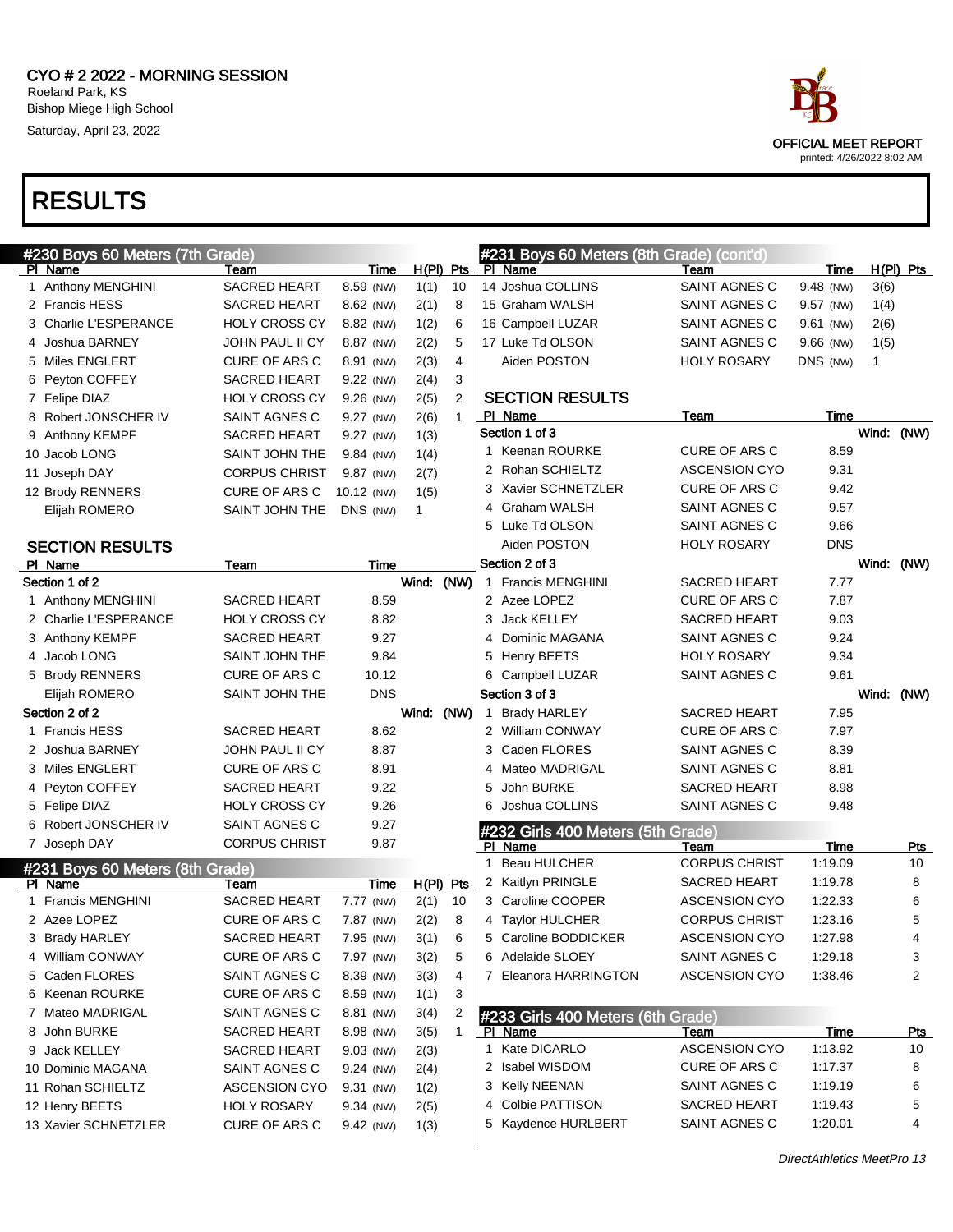



| #230 Boys 60 Meters (7th Grade) |                      |            |             |                |     | #231 Boys 60 Meters (8th Grade) (cont'd)  |                      |            |              |             |
|---------------------------------|----------------------|------------|-------------|----------------|-----|-------------------------------------------|----------------------|------------|--------------|-------------|
| PI Name                         | Team                 | Time       | $H(PI)$ Pts |                |     | PI Name                                   | Team                 | Time       |              | $H(PI)$ Pts |
| 1 Anthony MENGHINI              | SACRED HEART         | 8.59 (NW)  | 1(1)        | 10             |     | 14 Joshua COLLINS                         | SAINT AGNES C        | 9.48 (NW)  | 3(6)         |             |
| 2 Francis HESS                  | <b>SACRED HEART</b>  | 8.62 (NW)  | 2(1)        | 8              |     | 15 Graham WALSH                           | SAINT AGNES C        | 9.57 (NW)  | 1(4)         |             |
| Charlie L'ESPERANCE<br>З        | <b>HOLY CROSS CY</b> | 8.82 (NW)  | 1(2)        | 6              |     | 16 Campbell LUZAR                         | SAINT AGNES C        | 9.61 (NW)  | 2(6)         |             |
| Joshua BARNEY<br>4              | JOHN PAUL II CY      | 8.87 (NW)  | 2(2)        | 5              |     | 17 Luke Td OLSON                          | SAINT AGNES C        | 9.66 (NW)  | 1(5)         |             |
| 5 Miles ENGLERT                 | CURE OF ARS C        | 8.91 (NW)  | 2(3)        | 4              |     | Aiden POSTON                              | <b>HOLY ROSARY</b>   | DNS (NW)   | $\mathbf{1}$ |             |
| Peyton COFFEY<br>6              | <b>SACRED HEART</b>  | 9.22 (NW)  | 2(4)        | 3              |     |                                           |                      |            |              |             |
| 7 Felipe DIAZ                   | <b>HOLY CROSS CY</b> | 9.26 (NW)  | 2(5)        | $\overline{2}$ |     | <b>SECTION RESULTS</b>                    |                      |            |              |             |
| Robert JONSCHER IV<br>8         | SAINT AGNES C        | 9.27 (NW)  | 2(6)        | $\mathbf{1}$   |     | PI Name                                   | <u>Team</u>          | Time       |              |             |
| 9 Anthony KEMPF                 | <b>SACRED HEART</b>  | 9.27 (NW)  | 1(3)        |                |     | Section 1 of 3                            |                      |            | Wind: (NW)   |             |
| 10 Jacob LONG                   | SAINT JOHN THE       | 9.84 (NW)  | 1(4)        |                |     | 1 Keenan ROURKE                           | <b>CURE OF ARS C</b> | 8.59       |              |             |
| 11 Joseph DAY                   | <b>CORPUS CHRIST</b> | 9.87 (NW)  | 2(7)        |                |     | 2 Rohan SCHIELTZ                          | <b>ASCENSION CYO</b> | 9.31       |              |             |
| 12 Brody RENNERS                | <b>CURE OF ARS C</b> | 10.12 (NW) | 1(5)        |                |     | 3 Xavier SCHNETZLER                       | <b>CURE OF ARS C</b> | 9.42       |              |             |
| Elijah ROMERO                   | SAINT JOHN THE       | DNS (NW)   | 1           |                | 4   | Graham WALSH                              | SAINT AGNES C        | 9.57       |              |             |
|                                 |                      |            |             |                |     | 5 Luke Td OLSON                           | SAINT AGNES C        | 9.66       |              |             |
| <b>SECTION RESULTS</b>          |                      |            |             |                |     | Aiden POSTON                              | <b>HOLY ROSARY</b>   | <b>DNS</b> |              |             |
| PI Name                         | Team                 | Time       |             |                |     | Section 2 of 3                            |                      |            | Wind: (NW)   |             |
| Section 1 of 2                  |                      |            | Wind:       | (NW)           |     | 1 Francis MENGHINI                        | <b>SACRED HEART</b>  | 7.77       |              |             |
| 1 Anthony MENGHINI              | <b>SACRED HEART</b>  | 8.59       |             |                |     | 2 Azee LOPEZ                              | <b>CURE OF ARS C</b> | 7.87       |              |             |
| 2 Charlie L'ESPERANCE           | <b>HOLY CROSS CY</b> | 8.82       |             |                | 3   | <b>Jack KELLEY</b>                        | <b>SACRED HEART</b>  | 9.03       |              |             |
| 3 Anthony KEMPF                 | <b>SACRED HEART</b>  | 9.27       |             |                | 4   | Dominic MAGANA                            | SAINT AGNES C        | 9.24       |              |             |
| Jacob LONG<br>4                 | SAINT JOHN THE       | 9.84       |             |                |     | 5 Henry BEETS                             | <b>HOLY ROSARY</b>   | 9.34       |              |             |
| 5 Brody RENNERS                 | CURE OF ARS C        | 10.12      |             |                |     | 6 Campbell LUZAR                          | SAINT AGNES C        | 9.61       |              |             |
| Elijah ROMERO                   | SAINT JOHN THE       | <b>DNS</b> |             |                |     | Section 3 of 3                            |                      |            | Wind: (NW)   |             |
| Section 2 of 2                  |                      |            | Wind:       | (NW)           | 1.  | <b>Brady HARLEY</b>                       | <b>SACRED HEART</b>  | 7.95       |              |             |
| 1 Francis HESS                  | <b>SACRED HEART</b>  | 8.62       |             |                |     | 2 William CONWAY                          | <b>CURE OF ARS C</b> | 7.97       |              |             |
| Joshua BARNEY                   | JOHN PAUL II CY      | 8.87       |             |                | 3   | Caden FLORES                              | SAINT AGNES C        | 8.39       |              |             |
| 3 Miles ENGLERT                 | CURE OF ARS C        | 8.91       |             |                | 4   | Mateo MADRIGAL                            | SAINT AGNES C        | 8.81       |              |             |
| Peyton COFFEY<br>4              | <b>SACRED HEART</b>  | 9.22       |             |                | 5   | John BURKE                                | <b>SACRED HEART</b>  | 8.98       |              |             |
| 5 Felipe DIAZ                   | <b>HOLY CROSS CY</b> | 9.26       |             |                | 6   | Joshua COLLINS                            | SAINT AGNES C        | 9.48       |              |             |
| Robert JONSCHER IV<br>6.        | SAINT AGNES C        | 9.27       |             |                |     |                                           |                      |            |              |             |
| 7 Joseph DAY                    | <b>CORPUS CHRIST</b> | 9.87       |             |                | PI. | #232 Girls 400 Meters (5th Grade)<br>Name | Team                 | Time       |              | Pts         |
|                                 |                      |            |             |                | 1   | <b>Beau HULCHER</b>                       | <b>CORPUS CHRIST</b> | 1:19.09    |              | 10          |
| #231 Boys 60 Meters (8th Grade) | Team                 | Time       | $H(PI)$ Pts |                |     | 2 Kaitlyn PRINGLE                         | SACRED HEART         | 1:19.78    |              | 8           |
| PI Name<br>1 Francis MENGHINI   | <b>SACRED HEART</b>  | 7.77 (NW)  | 2(1)        | 10             |     | 3 Caroline COOPER                         | <b>ASCENSION CYO</b> | 1:22.33    |              | 6           |
| 2 Azee LOPEZ                    | CURE OF ARS C        | 7.87 (NW)  | 2(2)        | 8              |     | 4 Taylor HULCHER                          | <b>CORPUS CHRIST</b> | 1:23.16    |              | 5           |
| 3 Brady HARLEY                  | SACRED HEART         | 7.95 (NW)  | 3(1)        |                |     | Caroline BODDICKER                        | <b>ASCENSION CYO</b> | 1:27.98    |              |             |
| 4 William CONWAY                |                      |            |             | 6              | 5   | 6 Adelaide SLOEY                          |                      |            |              | 4           |
|                                 | CURE OF ARS C        | 7.97 (NW)  | 3(2)        | 5              |     |                                           | SAINT AGNES C        | 1:29.18    |              | 3           |
| 5 Caden FLORES                  | SAINT AGNES C        | 8.39 (NW)  | 3(3)        | 4              |     | 7 Eleanora HARRINGTON                     | <b>ASCENSION CYO</b> | 1:38.46    |              | 2           |
| 6 Keenan ROURKE                 | CURE OF ARS C        | 8.59 (NW)  | 1(1)        | 3              |     |                                           |                      |            |              |             |
| 7 Mateo MADRIGAL                | SAINT AGNES C        | 8.81 (NW)  | 3(4)        | 2              |     | #233 Girls 400 Meters (6th Grade)         |                      |            |              |             |
| 8 John BURKE                    | <b>SACRED HEART</b>  | 8.98 (NW)  | 3(5)        | $\mathbf{1}$   |     | PI Name                                   | Team                 | Time       |              | <u>Pts</u>  |
| 9 Jack KELLEY                   | SACRED HEART         | 9.03 (NW)  | 2(3)        |                |     | 1 Kate DICARLO                            | <b>ASCENSION CYO</b> | 1:13.92    |              | 10          |
| 10 Dominic MAGANA               | SAINT AGNES C        | 9.24 (NW)  | 2(4)        |                |     | 2 Isabel WISDOM                           | CURE OF ARS C        | 1:17.37    |              | 8           |
| 11 Rohan SCHIELTZ               | <b>ASCENSION CYO</b> | 9.31 (NW)  | 1(2)        |                |     | 3 Kelly NEENAN                            | SAINT AGNES C        | 1:19.19    |              | 6           |
| 12 Henry BEETS                  | <b>HOLY ROSARY</b>   | 9.34 (NW)  | 2(5)        |                |     | 4 Colbie PATTISON                         | SACRED HEART         | 1:19.43    |              | 5           |
| 13 Xavier SCHNETZLER            | CURE OF ARS C        | 9.42 (NW)  | 1(3)        |                |     | 5 Kaydence HURLBERT                       | SAINT AGNES C        | 1:20.01    |              | 4           |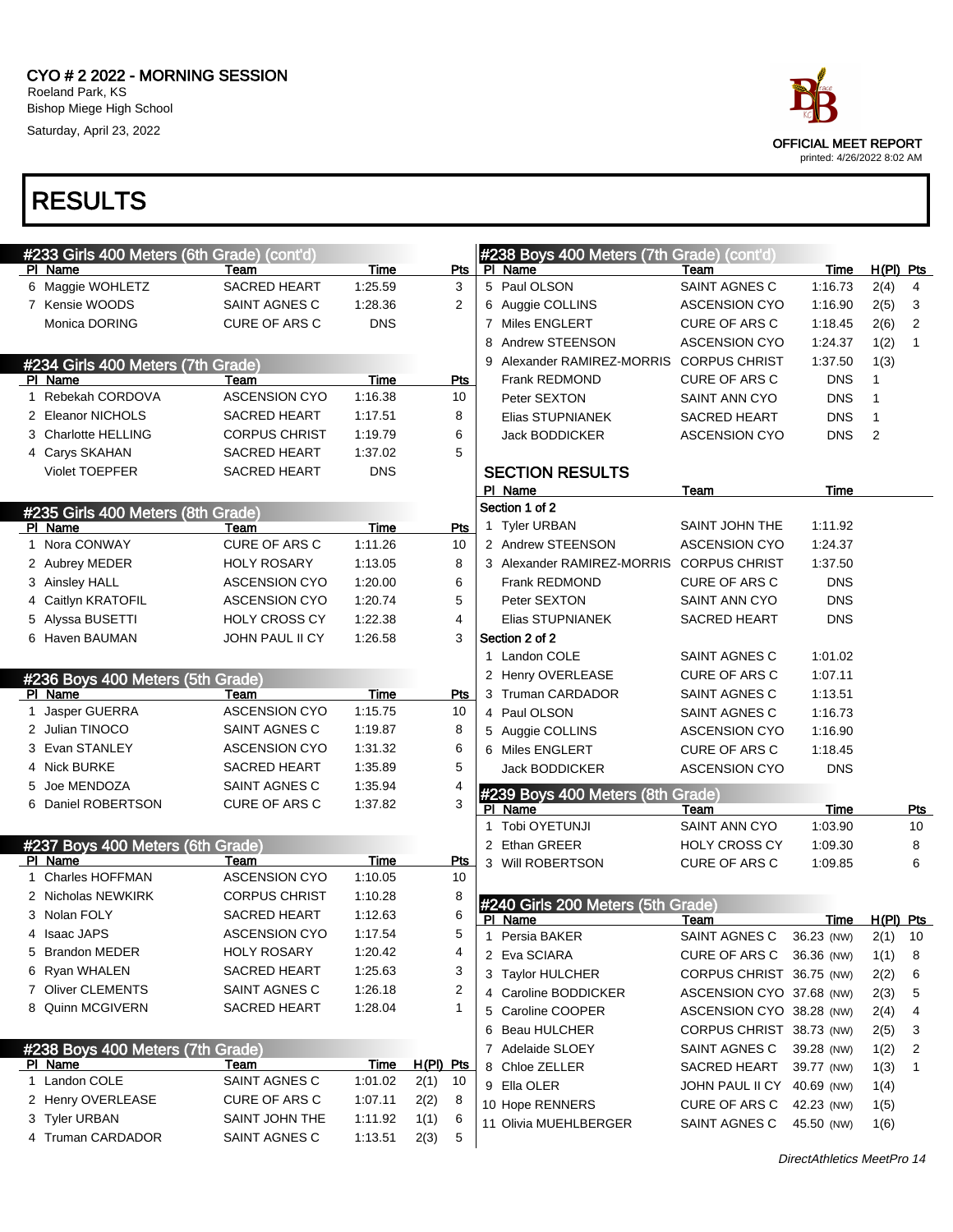

| #233 Girls 400 Meters (6th Grade) (cont'd) |                      |             |             |              | #238 Boys 400 Meters (7th Grade) (cont'd) |                            |            |                |              |
|--------------------------------------------|----------------------|-------------|-------------|--------------|-------------------------------------------|----------------------------|------------|----------------|--------------|
| PI Name                                    | Team                 | Time        | Pts         |              | PI Name                                   | Team                       | Time       | $H(PI)$ Pts    |              |
| 6 Maggie WOHLETZ                           | <b>SACRED HEART</b>  | 1:25.59     | 3           |              | 5 Paul OLSON                              | SAINT AGNES C              | 1:16.73    | 2(4)           | 4            |
| 7 Kensie WOODS                             | SAINT AGNES C        | 1.28.36     | 2           |              | 6 Auggie COLLINS                          | <b>ASCENSION CYO</b>       | 1:16.90    | 2(5)           | 3            |
| Monica DORING                              | <b>CURE OF ARS C</b> | <b>DNS</b>  |             |              | 7 Miles ENGLERT                           | CURE OF ARS C              | 1:18.45    | 2(6)           | 2            |
|                                            |                      |             |             |              | 8 Andrew STEENSON                         | <b>ASCENSION CYO</b>       | 1:24.37    | 1(2)           | $\mathbf{1}$ |
| #234 Girls 400 Meters (7th Grade)          |                      |             |             |              | 9 Alexander RAMIREZ-MORRIS CORPUS CHRIST  |                            | 1:37.50    | 1(3)           |              |
| PI Name                                    | Team                 | <b>Time</b> | <b>Pts</b>  |              | Frank REDMOND                             | <b>CURE OF ARS C</b>       | <b>DNS</b> | $\mathbf{1}$   |              |
| 1 Rebekah CORDOVA                          | <b>ASCENSION CYO</b> | 1:16.38     | 10          |              | Peter SEXTON                              | SAINT ANN CYO              | <b>DNS</b> | 1              |              |
| 2 Eleanor NICHOLS                          | <b>SACRED HEART</b>  | 1:17.51     | 8           |              | Elias STUPNIANEK                          | <b>SACRED HEART</b>        | <b>DNS</b> | $\mathbf{1}$   |              |
| 3 Charlotte HELLING                        | <b>CORPUS CHRIST</b> | 1:19.79     | 6           |              | Jack BODDICKER                            | <b>ASCENSION CYO</b>       | <b>DNS</b> | $\overline{2}$ |              |
| 4 Carys SKAHAN                             | <b>SACRED HEART</b>  | 1:37.02     | 5           |              |                                           |                            |            |                |              |
| <b>Violet TOEPFER</b>                      | SACRED HEART         | <b>DNS</b>  |             |              | <b>SECTION RESULTS</b>                    |                            |            |                |              |
|                                            |                      |             |             |              | PI Name                                   | <b>Team</b>                | Time       |                |              |
| #235 Girls 400 Meters (8th Grade)          |                      |             |             |              | Section 1 of 2                            |                            |            |                |              |
| PI Name                                    | Team                 | Time        | <b>Pts</b>  |              | 1 Tyler URBAN                             | SAINT JOHN THE             | 1:11.92    |                |              |
| 1 Nora CONWAY                              | CURE OF ARS C        | 1:11.26     | 10          |              | 2 Andrew STEENSON                         | <b>ASCENSION CYO</b>       | 1:24.37    |                |              |
| 2 Aubrey MEDER                             | <b>HOLY ROSARY</b>   | 1:13.05     | 8           |              | 3 Alexander RAMIREZ-MORRIS                | <b>CORPUS CHRIST</b>       | 1:37.50    |                |              |
| 3 Ainsley HALL                             | <b>ASCENSION CYO</b> | 1:20.00     | 6           |              | Frank REDMOND                             | <b>CURE OF ARS C</b>       | <b>DNS</b> |                |              |
| 4 Caitlyn KRATOFIL                         | <b>ASCENSION CYO</b> | 1:20.74     | 5           |              | Peter SEXTON                              | SAINT ANN CYO              | <b>DNS</b> |                |              |
| 5 Alyssa BUSETTI                           | <b>HOLY CROSS CY</b> | 1:22.38     | 4           |              | Elias STUPNIANEK                          | <b>SACRED HEART</b>        | <b>DNS</b> |                |              |
| 6 Haven BAUMAN                             | JOHN PAUL II CY      | 1:26.58     | 3           |              | Section 2 of 2                            |                            |            |                |              |
|                                            |                      |             |             |              | 1 Landon COLE                             | SAINT AGNES C              | 1:01.02    |                |              |
| #236 Boys 400 Meters (5th Grade)           |                      |             |             |              | 2 Henry OVERLEASE                         | <b>CURE OF ARS C</b>       | 1:07.11    |                |              |
| PI Name                                    | Team                 | Time        | Pts         |              | 3 Truman CARDADOR                         | SAINT AGNES C              | 1:13.51    |                |              |
| 1 Jasper GUERRA                            | <b>ASCENSION CYO</b> | 1:15.75     | 10          |              | 4 Paul OLSON                              | SAINT AGNES C              | 1:16.73    |                |              |
| 2 Julian TINOCO                            | SAINT AGNES C        | 1:19.87     | 8           |              | 5 Auggie COLLINS                          | <b>ASCENSION CYO</b>       | 1:16.90    |                |              |
| 3 Evan STANLEY                             | <b>ASCENSION CYO</b> | 1:31.32     | 6           |              | 6 Miles ENGLERT                           | <b>CURE OF ARS C</b>       | 1:18.45    |                |              |
| 4 Nick BURKE                               | <b>SACRED HEART</b>  | 1:35.89     | 5           |              | Jack BODDICKER                            | <b>ASCENSION CYO</b>       | <b>DNS</b> |                |              |
| 5 Joe MENDOZA                              | SAINT AGNES C        | 1:35.94     | 4           |              | #239 Boys 400 Meters (8th Grade)          |                            |            |                |              |
| 6 Daniel ROBERTSON                         | CURE OF ARS C        | 1:37.82     | 3           |              | PI Name                                   | Team                       | Time       |                | <u>Pts</u>   |
|                                            |                      |             |             | $\mathbf{1}$ | Tobi OYETUNJI                             | SAINT ANN CYO              | 1:03.90    |                | 10           |
| #237 Boys 400 Meters (6th Grade)           |                      |             |             |              | 2 Ethan GREER                             | HOLY CROSS CY              | 1:09.30    |                | 8            |
| PI Name                                    | Team                 | Time        | <b>Pts</b>  |              | 3 Will ROBERTSON                          | CURE OF ARS C              | 1:09.85    |                | 6            |
| 1 Charles HOFFMAN                          | <b>ASCENSION CYO</b> | 1:10.05     | 10          |              |                                           |                            |            |                |              |
| 2 Nicholas NEWKIRK                         | <b>CORPUS CHRIST</b> | 1:10.28     | 8           |              | #240 Girls 200 Meters (5th Grade)         |                            |            |                |              |
| 3 Nolan FOLY                               | <b>SACRED HEART</b>  | 1:12.63     | 6           |              | PI Name                                   | Team                       | Time       | $H(PI)$ Pts    |              |
| 4 Isaac JAPS                               | <b>ASCENSION CYO</b> | 1:17.54     | 5           | 1            | Persia BAKER                              | SAINT AGNES C              | 36.23 (NW) | $2(1)$ 10      |              |
| 5 Brandon MEDER                            | <b>HOLY ROSARY</b>   | 1:20.42     | 4           |              | 2 Eva SCIARA                              | CURE OF ARS C 36.36 (NW)   |            | 1(1)           | 8            |
| 6 Ryan WHALEN                              | <b>SACRED HEART</b>  | 1:25.63     | 3           |              | 3 Taylor HULCHER                          | CORPUS CHRIST 36.75 (NW)   |            | 2(2)           | 6            |
| 7 Oliver CLEMENTS                          | SAINT AGNES C        | 1:26.18     | 2           |              | 4 Caroline BODDICKER                      | ASCENSION CYO 37.68 (NW)   |            | 2(3)           | 5            |
| 8 Quinn MCGIVERN                           | SACRED HEART         | 1:28.04     | $\mathbf 1$ |              | 5 Caroline COOPER                         | ASCENSION CYO 38.28 (NW)   |            | 2(4)           | 4            |
|                                            |                      |             |             |              | 6 Beau HULCHER                            | CORPUS CHRIST 38.73 (NW)   |            | 2(5)           | 3            |
| #238 Boys 400 Meters (7th Grade)           |                      |             |             |              | 7 Adelaide SLOEY                          | SAINT AGNES C              | 39.28 (NW) | 1(2)           | 2            |
| PI Name                                    | Team                 | <u>Time</u> | H(PI) Pts   |              | 8 Chloe ZELLER                            | SACRED HEART               | 39.77 (NW) | 1(3)           | 1            |
| 1 Landon COLE                              | SAINT AGNES C        | 1:01.02     | 2(1)<br>10  |              | 9 Ella OLER                               | JOHN PAUL II CY 40.69 (NW) |            | 1(4)           |              |
| 2 Henry OVERLEASE                          | CURE OF ARS C        | 1:07.11     | 2(2)<br>8   |              | 10 Hope RENNERS                           | CURE OF ARS C              | 42.23 (NW) | 1(5)           |              |
| 3 Tyler URBAN                              | SAINT JOHN THE       | 1:11.92     | 6<br>1(1)   |              | 11 Olivia MUEHLBERGER                     | SAINT AGNES C              | 45.50 (NW) | 1(6)           |              |
| 4 Truman CARDADOR                          | SAINT AGNES C        | 1:13.51     | 5<br>2(3)   |              |                                           |                            |            |                |              |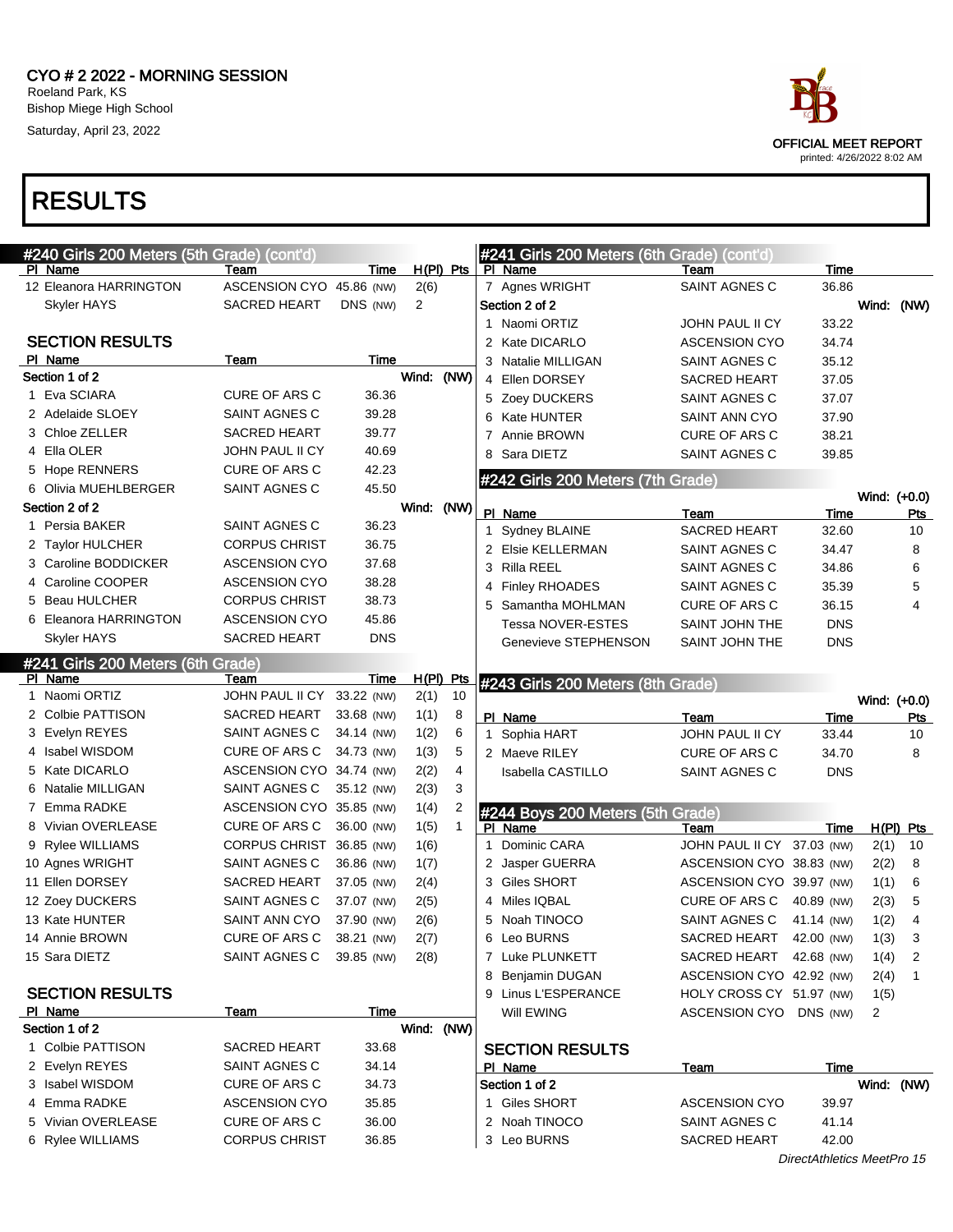

| #240 Girls 200 Meters (5th Grade) (cont'd) |                            |            |                |              |   | #241 Girls 200 Meters (6th Grade) (cont'd)  |                            |            |              |                |
|--------------------------------------------|----------------------------|------------|----------------|--------------|---|---------------------------------------------|----------------------------|------------|--------------|----------------|
| PI Name                                    | Team                       | Time       |                | $H(PI)$ Pts  |   | PI Name                                     | Team                       | Time       |              |                |
| 12 Eleanora HARRINGTON                     | ASCENSION CYO 45.86 (NW)   |            | 2(6)           |              |   | 7 Agnes WRIGHT                              | SAINT AGNES C              | 36.86      |              |                |
| Skyler HAYS                                | <b>SACRED HEART</b>        | DNS (NW)   | $\overline{2}$ |              |   | Section 2 of 2                              |                            |            | Wind: (NW)   |                |
|                                            |                            |            |                |              |   | 1 Naomi ORTIZ                               | JOHN PAUL II CY            | 33.22      |              |                |
| <b>SECTION RESULTS</b>                     |                            |            |                |              |   | 2 Kate DICARLO                              | <b>ASCENSION CYO</b>       | 34.74      |              |                |
| PI Name                                    | Team                       | Time       |                |              |   | 3 Natalie MILLIGAN                          | SAINT AGNES C              | 35.12      |              |                |
| Section 1 of 2                             |                            |            | Wind: (NW)     |              |   | 4 Ellen DORSEY                              | <b>SACRED HEART</b>        | 37.05      |              |                |
| 1 Eva SCIARA                               | <b>CURE OF ARS C</b>       | 36.36      |                |              |   | 5 Zoey DUCKERS                              | SAINT AGNES C              | 37.07      |              |                |
| 2 Adelaide SLOEY                           | SAINT AGNES C              | 39.28      |                |              |   | 6 Kate HUNTER                               | SAINT ANN CYO              | 37.90      |              |                |
| 3 Chloe ZELLER                             | <b>SACRED HEART</b>        | 39.77      |                |              |   | 7 Annie BROWN                               | <b>CURE OF ARS C</b>       | 38.21      |              |                |
| 4 Ella OLER                                | JOHN PAUL II CY            | 40.69      |                |              |   | 8 Sara DIETZ                                | SAINT AGNES C              | 39.85      |              |                |
| 5 Hope RENNERS                             | CURE OF ARS C              | 42.23      |                |              |   | #242 Girls 200 Meters (7th Grade)           |                            |            |              |                |
| 6 Olivia MUEHLBERGER                       | SAINT AGNES C              | 45.50      |                |              |   |                                             |                            |            | Wind: (+0.0) |                |
| Section 2 of 2                             |                            |            | Wind: (NW)     |              |   | PI_Name                                     | Team                       | Time       |              | Pts            |
| 1 Persia BAKER                             | SAINT AGNES C              | 36.23      |                |              |   | 1 Sydney BLAINE                             | <b>SACRED HEART</b>        | 32.60      |              | 10             |
| 2 Taylor HULCHER                           | <b>CORPUS CHRIST</b>       | 36.75      |                |              |   | 2 Elsie KELLERMAN                           | SAINT AGNES C              | 34.47      |              | 8              |
| 3 Caroline BODDICKER                       | <b>ASCENSION CYO</b>       | 37.68      |                |              |   | 3 Rilla REEL                                | SAINT AGNES C              | 34.86      |              | 6              |
| 4 Caroline COOPER                          | <b>ASCENSION CYO</b>       | 38.28      |                |              |   | 4 Finley RHOADES                            | SAINT AGNES C              | 35.39      |              | 5              |
| 5 Beau HULCHER                             | <b>CORPUS CHRIST</b>       | 38.73      |                |              |   | 5 Samantha MOHLMAN                          | <b>CURE OF ARS C</b>       | 36.15      |              | 4              |
| 6 Eleanora HARRINGTON                      | <b>ASCENSION CYO</b>       | 45.86      |                |              |   | Tessa NOVER-ESTES                           | SAINT JOHN THE             | <b>DNS</b> |              |                |
| Skyler HAYS                                | <b>SACRED HEART</b>        | <b>DNS</b> |                |              |   | Genevieve STEPHENSON                        | SAINT JOHN THE             | <b>DNS</b> |              |                |
| #241 Girls 200 Meters (6th Grade)          |                            |            |                |              |   |                                             |                            |            |              |                |
| PI Name                                    | Team                       | Time       |                | $H(PI)$ Pts  |   | #243 Girls 200 Meters (8th Grade)           |                            |            |              |                |
| 1 Naomi ORTIZ                              | JOHN PAUL II CY 33.22 (NW) |            | 2(1)           | 10           |   |                                             |                            |            |              | Wind: (+0.0)   |
|                                            |                            |            |                |              |   |                                             |                            |            |              |                |
| 2 Colbie PATTISON                          | SACRED HEART               | 33.68 (NW) | 1(1)           | 8            |   | PI_Name                                     | Team                       | Time       |              | Pts            |
| 3 Evelyn REYES                             | SAINT AGNES C              | 34.14 (NW) | 1(2)           | 6            |   | 1 Sophia HART                               | JOHN PAUL II CY            | 33.44      |              | 10             |
| 4 Isabel WISDOM                            | CURE OF ARS C              | 34.73 (NW) | 1(3)           | 5            |   | 2 Maeve RILEY                               | <b>CURE OF ARS C</b>       | 34.70      |              | 8              |
| 5 Kate DICARLO                             | ASCENSION CYO 34.74 (NW)   |            | 2(2)           | 4            |   | Isabella CASTILLO                           | SAINT AGNES C              | <b>DNS</b> |              |                |
| 6 Natalie MILLIGAN                         | SAINT AGNES C              | 35.12 (NW) | 2(3)           | 3            |   |                                             |                            |            |              |                |
| 7 Emma RADKE                               | ASCENSION CYO 35.85 (NW)   |            | 1(4)           | 2            |   |                                             |                            |            |              |                |
| 8 Vivian OVERLEASE                         | CURE OF ARS C              | 36.00 (NW) | 1(5)           | $\mathbf{1}$ |   | #244 Boys 200 Meters (5th Grade)<br>PI Name | Team                       | Time       |              | $H(PI)$ Pts    |
| 9 Rylee WILLIAMS                           | CORPUS CHRIST 36.85 (NW)   |            | 1(6)           |              |   | 1 Dominic CARA                              | JOHN PAUL II CY 37.03 (NW) |            | 2(1)         | 10             |
| 10 Agnes WRIGHT                            | SAINT AGNES C              | 36.86 (NW) | 1(7)           |              |   | 2 Jasper GUERRA                             | ASCENSION CYO 38.83 (NW)   |            | 2(2)         | 8              |
| 11 Ellen DORSEY                            | <b>SACRED HEART</b>        | 37.05 (NW) | 2(4)           |              |   | 3 Giles SHORT                               | ASCENSION CYO 39.97 (NW)   |            | 1(1)         | 6              |
| 12 Zoey DUCKERS                            | SAINT AGNES C              | 37.07 (NW) | 2(5)           |              | 4 | Miles IQBAL                                 | CURE OF ARS C              | 40.89 (NW) | 2(3)         | 5              |
| 13 Kate HUNTER                             | SAINT ANN CYO              | 37.90 (NW) | 2(6)           |              |   | 5 Noah TINOCO                               | SAINT AGNES C 41.14 (NW)   |            | 1(2)         | $\overline{4}$ |
| 14 Annie BROWN                             | CURE OF ARS C 38.21 (NW)   |            | 2(7)           |              |   | 6 Leo BURNS                                 | SACRED HEART               | 42.00 (NW) | 1(3)         | 3              |
| 15 Sara DIETZ                              | SAINT AGNES C              | 39.85 (NW) | 2(8)           |              |   | 7 Luke PLUNKETT                             | SACRED HEART 42.68 (NW)    |            | 1(4)         | 2              |
|                                            |                            |            |                |              |   | 8 Benjamin DUGAN                            | ASCENSION CYO 42.92 (NW)   |            | 2(4)         | 1              |
| <b>SECTION RESULTS</b>                     |                            |            |                |              |   | 9 Linus L'ESPERANCE                         | HOLY CROSS CY 51.97 (NW)   |            | 1(5)         |                |
| PI Name                                    | <b>Team</b>                | Time       |                |              |   | Will EWING                                  | ASCENSION CYO DNS (NW)     |            | 2            |                |
| Section 1 of 2                             |                            |            | Wind: (NW)     |              |   |                                             |                            |            |              |                |
| 1 Colbie PATTISON                          | SACRED HEART               | 33.68      |                |              |   | <b>SECTION RESULTS</b>                      |                            |            |              |                |
| 2 Evelyn REYES                             | SAINT AGNES C              | 34.14      |                |              |   | PI Name                                     | <u>Team</u>                | Time       |              |                |
| 3 Isabel WISDOM                            | <b>CURE OF ARS C</b>       | 34.73      |                |              |   | Section 1 of 2                              |                            |            | Wind: (NW)   |                |
| 4 Emma RADKE                               | <b>ASCENSION CYO</b>       | 35.85      |                |              |   | 1 Giles SHORT                               | <b>ASCENSION CYO</b>       | 39.97      |              |                |
| 5 Vivian OVERLEASE                         | <b>CURE OF ARS C</b>       | 36.00      |                |              |   | 2 Noah TINOCO                               | SAINT AGNES C              | 41.14      |              |                |
| 6 Rylee WILLIAMS                           | <b>CORPUS CHRIST</b>       | 36.85      |                |              |   | 3 Leo BURNS                                 | <b>SACRED HEART</b>        | 42.00      |              |                |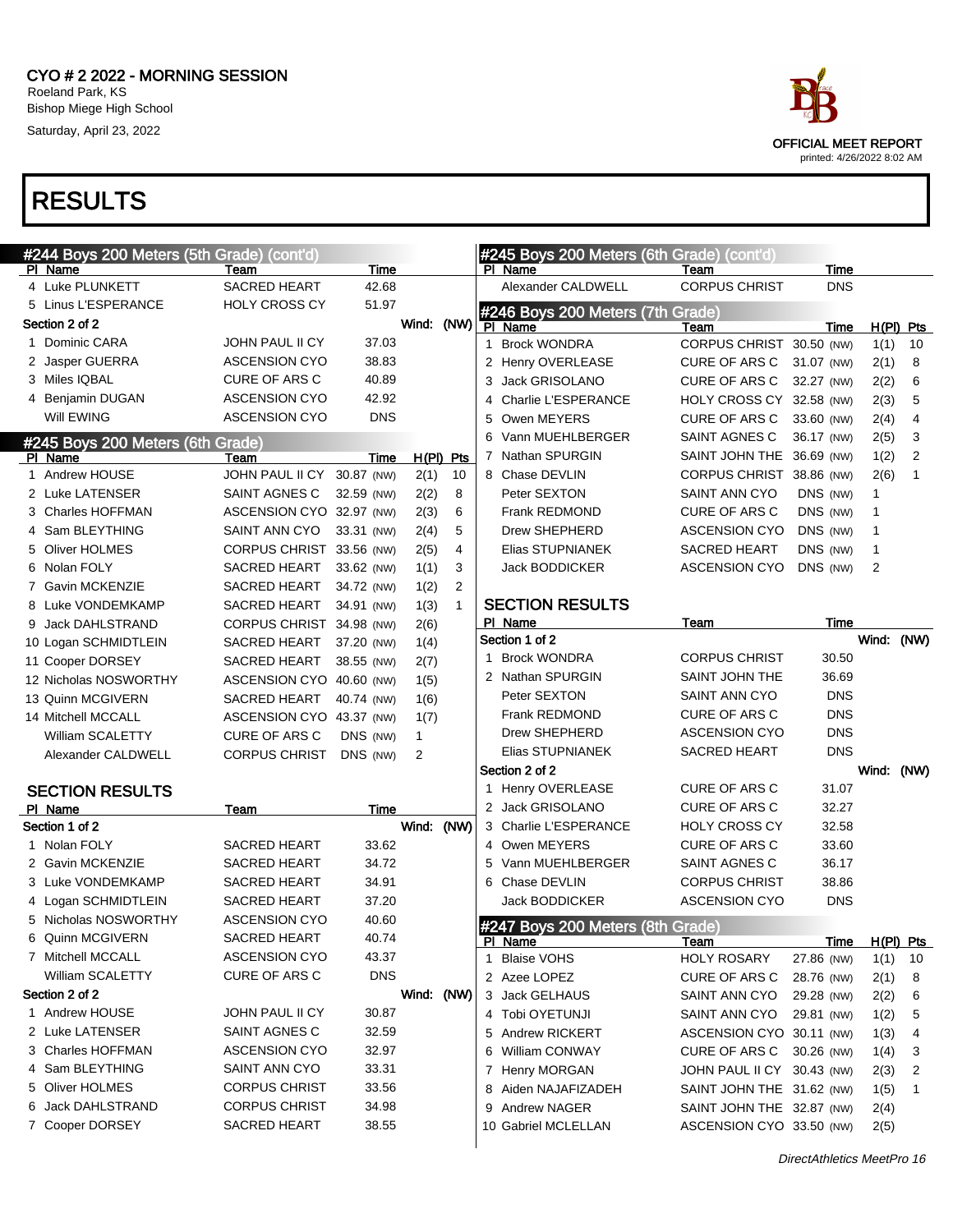

|   | #244 Boys 200 Meters (5th Grade) (cont'd)<br>PI Name | Team                     | Time       |              |                |   | #245 Boys 200 Meters (6th Grade) (cont'd)<br>PI Name | Team                       | Time        |            |                |
|---|------------------------------------------------------|--------------------------|------------|--------------|----------------|---|------------------------------------------------------|----------------------------|-------------|------------|----------------|
|   | 4 Luke PLUNKETT                                      | SACRED HEART             | 42.68      |              |                |   | Alexander CALDWELL                                   | <b>CORPUS CHRIST</b>       | <b>DNS</b>  |            |                |
|   | 5 Linus L'ESPERANCE                                  | <b>HOLY CROSS CY</b>     | 51.97      |              |                |   |                                                      |                            |             |            |                |
|   | Section 2 of 2                                       |                          |            | Wind: (NW)   |                |   | #246 Boys 200 Meters (7th Grade)<br>PI Name          | Team                       | Time        |            | $H(PI)$ Pts    |
|   | 1 Dominic CARA                                       | JOHN PAUL II CY          | 37.03      |              |                | 1 | <b>Brock WONDRA</b>                                  | CORPUS CHRIST 30.50 (NW)   |             | 1(1)       | 10             |
|   | 2 Jasper GUERRA                                      | <b>ASCENSION CYO</b>     | 38.83      |              |                |   | 2 Henry OVERLEASE                                    | CURE OF ARS C              | 31.07 (NW)  | 2(1)       | 8              |
|   | 3 Miles IQBAL                                        | CURE OF ARS C            | 40.89      |              |                | 3 | Jack GRISOLANO                                       | CURE OF ARS C              | 32.27 (NW)  | 2(2)       | 6              |
|   | 4 Benjamin DUGAN                                     | <b>ASCENSION CYO</b>     | 42.92      |              |                | 4 | Charlie L'ESPERANCE                                  | HOLY CROSS CY 32.58 (NW)   |             | 2(3)       | 5              |
|   | Will EWING                                           | <b>ASCENSION CYO</b>     | <b>DNS</b> |              |                | 5 | Owen MEYERS                                          | CURE OF ARS C              | 33.60 (NW)  | 2(4)       | 4              |
|   | #245 Boys 200 Meters (6th Grade)                     |                          |            |              |                |   | 6 Vann MUEHLBERGER                                   | SAINT AGNES C              | 36.17 (NW)  | 2(5)       | 3              |
|   | PI Name                                              | Team                     | Time       | $H(PI)$ Pts  |                |   | 7 Nathan SPURGIN                                     | SAINT JOHN THE 36.69 (NW)  |             | 1(2)       | $\overline{2}$ |
|   | 1 Andrew HOUSE                                       | JOHN PAUL II CY          | 30.87 (NW) | 2(1)         | 10             |   | 8 Chase DEVLIN                                       | CORPUS CHRIST 38.86 (NW)   |             | 2(6)       | $\mathbf{1}$   |
|   | 2 Luke LATENSER                                      | SAINT AGNES C            | 32.59 (NW) | 2(2)         | 8              |   | Peter SEXTON                                         | <b>SAINT ANN CYO</b>       | DNS (NW)    | 1          |                |
|   | 3 Charles HOFFMAN                                    | ASCENSION CYO 32.97 (NW) |            | 2(3)         | 6              |   | Frank REDMOND                                        | CURE OF ARS C              | DNS (NW)    | 1          |                |
|   | 4 Sam BLEYTHING                                      | SAINT ANN CYO            | 33.31 (NW) | 2(4)         | 5              |   | Drew SHEPHERD                                        | <b>ASCENSION CYO</b>       | DNS (NW)    | 1          |                |
|   | 5 Oliver HOLMES                                      | CORPUS CHRIST 33.56 (NW) |            | 2(5)         | 4              |   | Elias STUPNIANEK                                     | SACRED HEART               | DNS (NW)    | 1          |                |
|   | 6 Nolan FOLY                                         | SACRED HEART             | 33.62 (NW) | 1(1)         | 3              |   | Jack BODDICKER                                       | <b>ASCENSION CYO</b>       | DNS (NW)    | 2          |                |
|   | 7 Gavin MCKENZIE                                     | SACRED HEART             | 34.72 (NW) | 1(2)         | $\overline{2}$ |   |                                                      |                            |             |            |                |
|   | 8 Luke VONDEMKAMP                                    | SACRED HEART             | 34.91 (NW) | 1(3)         | $\mathbf{1}$   |   | <b>SECTION RESULTS</b>                               |                            |             |            |                |
|   | 9 Jack DAHLSTRAND                                    | CORPUS CHRIST 34.98 (NW) |            | 2(6)         |                |   | PI Name                                              | Team                       | Time        |            |                |
|   | 10 Logan SCHMIDTLEIN                                 | SACRED HEART             | 37.20 (NW) | 1(4)         |                |   | Section 1 of 2                                       |                            |             | Wind:      | (NW)           |
|   | 11 Cooper DORSEY                                     | SACRED HEART             | 38.55 (NW) | 2(7)         |                |   | 1 Brock WONDRA                                       | <b>CORPUS CHRIST</b>       | 30.50       |            |                |
|   | 12 Nicholas NOSWORTHY                                | ASCENSION CYO 40.60 (NW) |            | 1(5)         |                |   | 2 Nathan SPURGIN                                     | SAINT JOHN THE             | 36.69       |            |                |
|   | 13 Quinn MCGIVERN                                    | SACRED HEART             | 40.74 (NW) | 1(6)         |                |   | Peter SEXTON                                         | SAINT ANN CYO              | <b>DNS</b>  |            |                |
|   | 14 Mitchell MCCALL                                   | ASCENSION CYO 43.37 (NW) |            | 1(7)         |                |   | Frank REDMOND                                        | CURE OF ARS C              | <b>DNS</b>  |            |                |
|   | William SCALETTY                                     | CURE OF ARS C            | DNS (NW)   | $\mathbf{1}$ |                |   | Drew SHEPHERD                                        | <b>ASCENSION CYO</b>       | <b>DNS</b>  |            |                |
|   | Alexander CALDWELL                                   | <b>CORPUS CHRIST</b>     | DNS (NW)   | 2            |                |   | Elias STUPNIANEK                                     | <b>SACRED HEART</b>        | <b>DNS</b>  |            |                |
|   |                                                      |                          |            |              |                |   | Section 2 of 2                                       |                            |             | Wind: (NW) |                |
|   | <b>SECTION RESULTS</b>                               |                          |            |              |                |   | 1 Henry OVERLEASE                                    | <b>CURE OF ARS C</b>       | 31.07       |            |                |
|   | PI Name                                              | Team                     | Time       |              |                |   | 2 Jack GRISOLANO                                     | <b>CURE OF ARS C</b>       | 32.27       |            |                |
|   | Section 1 of 2                                       |                          |            | Wind: (NW)   |                |   | 3 Charlie L'ESPERANCE                                | <b>HOLY CROSS CY</b>       | 32.58       |            |                |
|   | 1 Nolan FOLY                                         | SACRED HEART             | 33.62      |              |                |   | 4 Owen MEYERS                                        | <b>CURE OF ARS C</b>       | 33.60       |            |                |
|   | 2 Gavin MCKENZIE                                     | SACRED HEART             | 34.72      |              |                |   | 5 Vann MUEHLBERGER                                   | SAINT AGNES C              | 36.17       |            |                |
|   | 3 Luke VONDEMKAMP                                    | SACRED HEART             | 34.91      |              |                |   | 6 Chase DEVLIN                                       | <b>CORPUS CHRIST</b>       | 38.86       |            |                |
|   | 4 Logan SCHMIDTLEIN                                  | SACRED HEART             | 37.20      |              |                |   | Jack BODDICKER                                       | <b>ASCENSION CYO</b>       | <b>DNS</b>  |            |                |
|   | 5 Nicholas NOSWORTHY                                 | <b>ASCENSION CYO</b>     | 40.60      |              |                |   | #247 Boys 200 Meters (8th Grade)                     |                            |             |            |                |
| 6 | Quinn MCGIVERN                                       | <b>SACRED HEART</b>      | 40.74      |              |                |   | <u>PI Name</u>                                       | <u>Team</u>                | <u>Time</u> |            | H(PI) Pts      |
|   | 7 Mitchell MCCALL                                    | ASCENSION CYO            | 43.37      |              |                |   | 1 Blaise VOHS                                        | <b>HOLY ROSARY</b>         | 27.86 (NW)  | 1(1)       | 10             |
|   | <b>William SCALETTY</b>                              | <b>CURE OF ARS C</b>     | <b>DNS</b> |              |                |   | 2 Azee LOPEZ                                         | CURE OF ARS C              | 28.76 (NW)  | 2(1)       | 8              |
|   | Section 2 of 2                                       |                          |            | Wind: (NW)   |                |   | 3 Jack GELHAUS                                       | SAINT ANN CYO              | 29.28 (NW)  | 2(2)       | 6              |
|   | 1 Andrew HOUSE                                       | JOHN PAUL II CY          | 30.87      |              |                |   | 4 Tobi OYETUNJI                                      | SAINT ANN CYO              | 29.81 (NW)  | 1(2)       | 5              |
|   | 2 Luke LATENSER                                      | SAINT AGNES C            | 32.59      |              |                |   | 5 Andrew RICKERT                                     | ASCENSION CYO 30.11 (NW)   |             | 1(3)       | 4              |
|   | 3 Charles HOFFMAN                                    | ASCENSION CYO            | 32.97      |              |                |   | 6 William CONWAY                                     | CURE OF ARS C              | 30.26 (NW)  | 1(4)       | 3              |
|   | 4 Sam BLEYTHING                                      | SAINT ANN CYO            | 33.31      |              |                |   | 7 Henry MORGAN                                       | JOHN PAUL II CY 30.43 (NW) |             | 2(3)       | 2              |
|   | 5 Oliver HOLMES                                      | <b>CORPUS CHRIST</b>     | 33.56      |              |                |   | 8 Aiden NAJAFIZADEH                                  | SAINT JOHN THE 31.62 (NW)  |             | 1(5)       | 1              |
| 6 | Jack DAHLSTRAND                                      | <b>CORPUS CHRIST</b>     | 34.98      |              |                |   | 9 Andrew NAGER                                       | SAINT JOHN THE 32.87 (NW)  |             | 2(4)       |                |
|   | 7 Cooper DORSEY                                      | <b>SACRED HEART</b>      | 38.55      |              |                |   | 10 Gabriel MCLELLAN                                  | ASCENSION CYO 33.50 (NW)   |             | 2(5)       |                |
|   |                                                      |                          |            |              |                |   |                                                      |                            |             |            |                |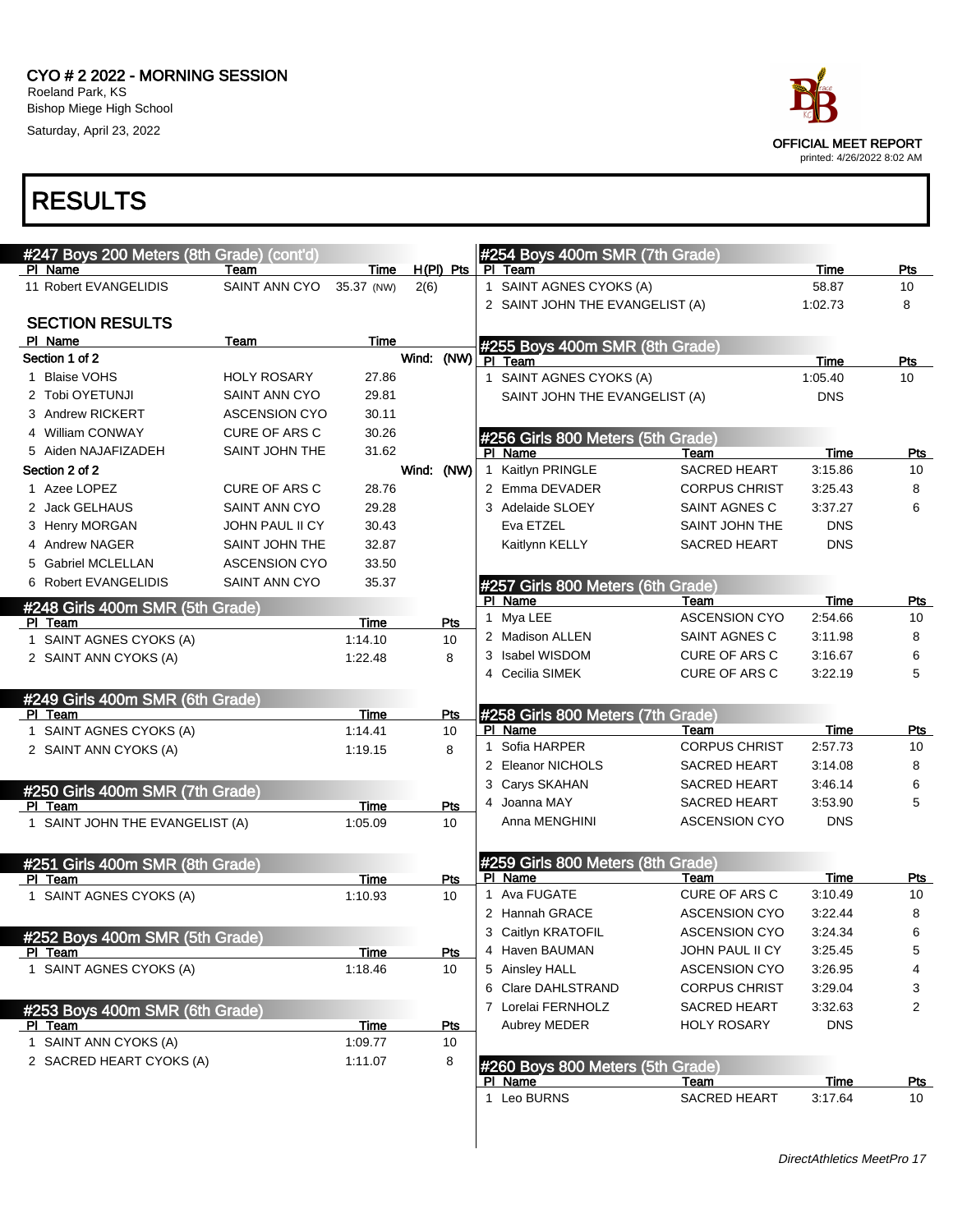

| #247 Boys 200 Meters (8th Grade) (cont'd)  |                                              |                    |            |             |              | #254 Boys 400m SMR (7th Grade)               |                              |                 |                  |
|--------------------------------------------|----------------------------------------------|--------------------|------------|-------------|--------------|----------------------------------------------|------------------------------|-----------------|------------------|
| PI Name                                    | Team                                         | Time               |            | $H(PI)$ Pts |              | PI Team                                      |                              | Time            | Pts              |
| 11 Robert EVANGELIDIS                      | SAINT ANN CYO                                | 35.37 (NW)         | 2(6)       |             |              | 1 SAINT AGNES CYOKS (A)                      |                              | 58.87           | 10               |
|                                            |                                              |                    |            |             |              | 2 SAINT JOHN THE EVANGELIST (A)              |                              | 1:02.73         | 8                |
| <b>SECTION RESULTS</b>                     |                                              |                    |            |             |              |                                              |                              |                 |                  |
| PI Name                                    | Team                                         | Time               |            |             |              | #255 Boys 400m SMR (8th Grade)               |                              |                 |                  |
| Section 1 of 2                             |                                              |                    | Wind:      | (NW)        |              | PI Team                                      |                              | Time            | Pts              |
| 1 Blaise VOHS                              | <b>HOLY ROSARY</b>                           | 27.86              |            |             |              | 1 SAINT AGNES CYOKS (A)                      |                              | 1:05.40         | 10               |
| 2 Tobi OYETUNJI                            | <b>SAINT ANN CYO</b>                         | 29.81              |            |             |              | SAINT JOHN THE EVANGELIST (A)                |                              | <b>DNS</b>      |                  |
| 3 Andrew RICKERT<br>4 William CONWAY       | <b>ASCENSION CYO</b><br><b>CURE OF ARS C</b> | 30.11              |            |             |              |                                              |                              |                 |                  |
|                                            |                                              | 30.26<br>31.62     |            |             |              | #256 Girls 800 Meters (5th Grade)            |                              |                 |                  |
| 5 Aiden NAJAFIZADEH                        | SAINT JOHN THE                               |                    |            |             |              | PI Name<br>Kaitlyn PRINGLE                   | Team<br><b>SACRED HEART</b>  | Time<br>3:15.86 | Pts<br>10        |
| Section 2 of 2<br>1 Azee LOPEZ             |                                              |                    | Wind: (NW) |             | $\mathbf{1}$ | 2 Emma DEVADER                               |                              |                 |                  |
|                                            | <b>CURE OF ARS C</b><br>SAINT ANN CYO        | 28.76              |            |             |              |                                              | <b>CORPUS CHRIST</b>         | 3:25.43         | 8<br>6           |
| 2 Jack GELHAUS                             |                                              | 29.28              |            |             |              | 3 Adelaide SLOEY                             | SAINT AGNES C                | 3:37.27         |                  |
| 3 Henry MORGAN                             | JOHN PAUL II CY                              | 30.43              |            |             |              | Eva ETZEL                                    | SAINT JOHN THE               | <b>DNS</b>      |                  |
| 4 Andrew NAGER                             | <b>SAINT JOHN THE</b>                        | 32.87              |            |             |              | Kaitlynn KELLY                               | <b>SACRED HEART</b>          | <b>DNS</b>      |                  |
| 5 Gabriel MCLELLAN                         | <b>ASCENSION CYO</b>                         | 33.50              |            |             |              |                                              |                              |                 |                  |
| 6 Robert EVANGELIDIS                       | <b>SAINT ANN CYO</b>                         | 35.37              |            |             |              | #257 Girls 800 Meters (6th Grade)            |                              |                 |                  |
| #248 Girls 400m SMR (5th Grade)            |                                              |                    |            |             |              | PI Name<br>1 Mya LEE                         | Team<br><b>ASCENSION CYO</b> | Time<br>2:54.66 | <u>Pts</u><br>10 |
| PI Team                                    |                                              | Time               |            | Pts         |              | 2 Madison ALLEN                              | SAINT AGNES C                | 3:11.98         | 8                |
| 1 SAINT AGNES CYOKS (A)                    |                                              | 1:14.10            |            | 10          |              | 3 Isabel WISDOM                              | <b>CURE OF ARS C</b>         | 3:16.67         | 6                |
| 2 SAINT ANN CYOKS (A)                      |                                              | 1:22.48            |            | 8           |              | 4 Cecilia SIMEK                              | <b>CURE OF ARS C</b>         | 3:22.19         | 5                |
|                                            |                                              |                    |            |             |              |                                              |                              |                 |                  |
| #249 Girls 400m SMR (6th Grade)            |                                              |                    |            |             |              |                                              |                              |                 |                  |
| PI Team<br>1 SAINT AGNES CYOKS (A)         |                                              | Time               |            | Pts<br>10   |              | #258 Girls 800 Meters (7th Grade)<br>PI Name | Team                         | Time            | Pts              |
| 2 SAINT ANN CYOKS (A)                      |                                              | 1:14.41<br>1:19.15 |            | 8           | 1            | Sofia HARPER                                 | <b>CORPUS CHRIST</b>         | 2:57.73         | 10               |
|                                            |                                              |                    |            |             |              | 2 Eleanor NICHOLS                            | <b>SACRED HEART</b>          | 3:14.08         | 8                |
|                                            |                                              |                    |            |             |              | 3 Carys SKAHAN                               | <b>SACRED HEART</b>          | 3:46.14         | 6                |
| #250 Girls 400m SMR (7th Grade)<br>PI Team |                                              | Time               |            | Pts         |              | 4 Joanna MAY                                 | <b>SACRED HEART</b>          | 3:53.90         | 5                |
| 1 SAINT JOHN THE EVANGELIST (A)            |                                              | 1:05.09            |            | 10          |              | Anna MENGHINI                                | <b>ASCENSION CYO</b>         | <b>DNS</b>      |                  |
|                                            |                                              |                    |            |             |              |                                              |                              |                 |                  |
| #251 Girls 400m SMR (8th Grade)            |                                              |                    |            |             |              | #259 Girls 800 Meters (8th Grade)            |                              |                 |                  |
| PI Team                                    |                                              | Time               |            | Pts         |              | PI Name                                      | Team                         | Time            | Pts              |
| 1 SAINT AGNES CYOKS (A)                    |                                              | 1:10.93            |            | 10          |              | 1 Ava FUGATE                                 | <b>CURE OF ARS C</b>         | 3:10.49         | 10               |
|                                            |                                              |                    |            |             |              | 2 Hannah GRACE                               | <b>ASCENSION CYO</b>         | 3:22.44         | 8                |
| #252 Boys 400m SMR (5th Grade)             |                                              |                    |            |             |              | 3 Caitlyn KRATOFIL                           | <b>ASCENSION CYO</b>         | 3:24.34         | 6                |
| PI Team                                    |                                              | Time               |            | Pts         |              | 4 Haven BAUMAN                               | JOHN PAUL II CY              | 3:25.45         | 5                |
| 1 SAINT AGNES CYOKS (A)                    |                                              | 1:18.46            |            | 10          |              | 5 Ainsley HALL                               | <b>ASCENSION CYO</b>         | 3:26.95         | 4                |
|                                            |                                              |                    |            |             |              | 6 Clare DAHLSTRAND                           | <b>CORPUS CHRIST</b>         | 3:29.04         | 3                |
| #253 Boys 400m SMR (6th Grade)             |                                              |                    |            |             |              | 7 Lorelai FERNHOLZ                           | SACRED HEART                 | 3:32.63         | 2                |
| <u>PI Team</u>                             |                                              | <u>Time</u>        |            | <u>Pts</u>  |              | Aubrey MEDER                                 | <b>HOLY ROSARY</b>           | <b>DNS</b>      |                  |
| 1 SAINT ANN CYOKS (A)                      |                                              | 1:09.77            |            | 10          |              |                                              |                              |                 |                  |
| 2 SACRED HEART CYOKS (A)                   |                                              | 1:11.07            |            | 8           |              | #260 Boys 800 Meters (5th Grade)             |                              |                 |                  |
|                                            |                                              |                    |            |             |              | PI Name                                      | Team                         | <b>Time</b>     | <u>Pts</u>       |
|                                            |                                              |                    |            |             |              | 1 Leo BURNS                                  | SACRED HEART                 | 3:17.64         | 10               |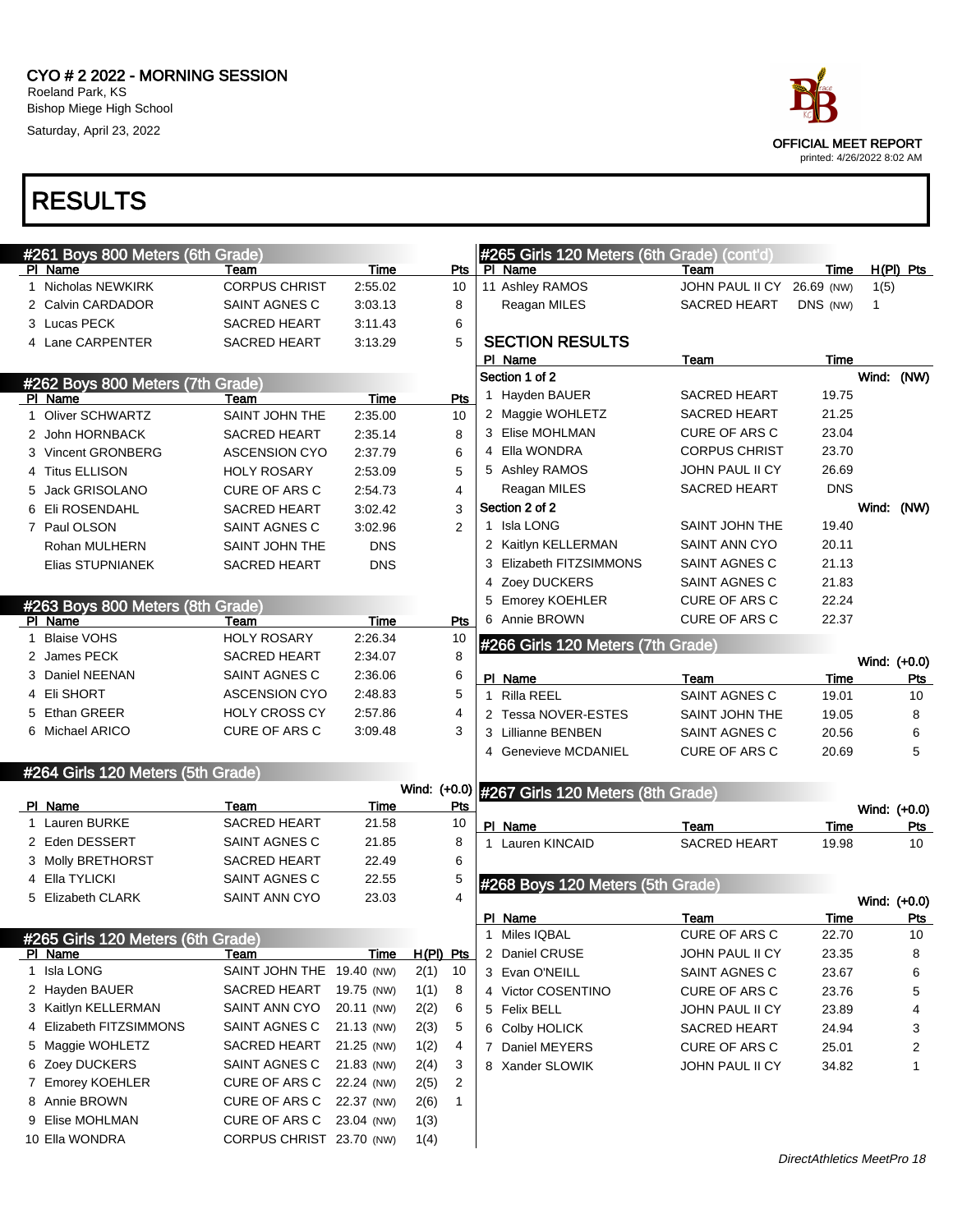

| Time<br>Pts<br>PI Name<br>Team<br>PI Name<br>Time<br>Team<br>1 Nicholas NEWKIRK<br><b>CORPUS CHRIST</b><br>2:55.02<br>11 Ashley RAMOS<br>JOHN PAUL II CY<br>26.69 (NW)<br>1(5)<br>10<br>2 Calvin CARDADOR<br>SAINT AGNES C<br>3:03.13<br>8<br>Reagan MILES<br><b>SACRED HEART</b><br>DNS (NW)<br>$\mathbf{1}$<br>3 Lucas PECK<br><b>SACRED HEART</b><br>3:11.43<br>6<br><b>SECTION RESULTS</b><br>4 Lane CARPENTER<br>5<br><b>SACRED HEART</b><br>3:13.29<br><b>Time</b><br>PI Name<br>Team<br>Section 1 of 2<br>#262 Boys 800 Meters (7th Grade)<br>1 Hayden BAUER<br><b>SACRED HEART</b><br>19.75<br><b>Time</b><br>PI Name<br>Team<br>Pts<br>2 Maggie WOHLETZ<br><b>SACRED HEART</b><br>21.25<br>1 Oliver SCHWARTZ<br>SAINT JOHN THE<br>2:35.00<br>10<br>3 Elise MOHLMAN<br><b>CURE OF ARS C</b><br>23.04<br>8<br>2 John HORNBACK<br><b>SACRED HEART</b><br>2:35.14<br>4 Ella WONDRA<br><b>CORPUS CHRIST</b><br>23.70<br>3 Vincent GRONBERG<br>6<br><b>ASCENSION CYO</b><br>2:37.79<br>5 Ashley RAMOS<br><b>JOHN PAUL II CY</b><br>26.69<br>4 Titus ELLISON<br>5<br><b>HOLY ROSARY</b><br>2:53.09<br><b>DNS</b><br>SACRED HEART<br>Reagan MILES<br>5 Jack GRISOLANO<br>4<br>CURE OF ARS C<br>2:54.73<br>Section 2 of 2<br>6 Eli ROSENDAHL<br>3<br>SACRED HEART<br>3:02.42<br>1 Isla LONG<br>SAINT JOHN THE<br>19.40<br>2<br>7 Paul OLSON<br>3:02.96<br>SAINT AGNES C<br>2 Kaitlyn KELLERMAN<br><b>SAINT ANN CYO</b><br>20.11<br><b>DNS</b><br>Rohan MULHERN<br>SAINT JOHN THE<br>3 Elizabeth FITZSIMMONS<br>SAINT AGNES C<br>21.13<br><b>DNS</b><br>Elias STUPNIANEK<br><b>SACRED HEART</b><br>Zoey DUCKERS<br>SAINT AGNES C<br>21.83<br>4<br>22.24<br><b>Emorey KOEHLER</b><br><b>CURE OF ARS C</b><br>5<br>#263 Boys 800 Meters (8th Grade)<br>6 Annie BROWN<br><b>CURE OF ARS C</b><br>22.37<br>PI Name<br>Team<br>Time<br>Pts<br>1 Blaise VOHS<br><b>HOLY ROSARY</b><br>2:26.34<br>10<br>#266 Girls 120 Meters (7th Grade)<br>8<br>2 James PECK<br>SACRED HEART<br>2:34.07<br>6<br>3 Daniel NEENAN<br>SAINT AGNES C<br>2:36.06<br>PI Name<br>Time<br>Team<br>5<br>4 Eli SHORT<br><b>ASCENSION CYO</b><br>2:48.83<br>Rilla REEL<br>SAINT AGNES C<br>19.01<br>1<br>5 Ethan GREER<br><b>HOLY CROSS CY</b><br>2:57.86<br>4<br>2 Tessa NOVER-ESTES<br>SAINT JOHN THE<br>19.05<br>6 Michael ARICO<br>CURE OF ARS C<br>3<br>3:09.48<br>3 Lillianne BENBEN<br>SAINT AGNES C<br>20.56<br>4 Genevieve MCDANIEL<br><b>CURE OF ARS C</b><br>20.69<br>#264 Girls 120 Meters (5th Grade)<br>Wind: (+0.0) #267 Girls 120 Meters (8th Grade)<br>PI Name<br>Time<br><u>Pts</u><br>Team<br>1 Lauren BURKE<br><b>SACRED HEART</b><br>21.58<br>10<br>PI Name<br>Team<br><b>Time</b><br>2 Eden DESSERT<br>SAINT AGNES C<br>21.85<br>8<br>1 Lauren KINCAID<br><b>SACRED HEART</b><br>19.98<br>3 Molly BRETHORST<br><b>SACRED HEART</b><br>22.49<br>6<br>4 Ella TYLICKI<br>SAINT AGNES C<br>22.55<br>5<br>#268 Boys 120 Meters (5th Grade)<br>4<br>5 Elizabeth CLARK<br>SAINT ANN CYO<br>23.03<br>PI Name<br>Team<br>Time<br>1 Miles IQBAL<br>CURE OF ARS C<br>22.70<br>#265 Girls 120 Meters (6th Grade)<br>H(PI) Pts<br>2 Daniel CRUSE<br>PI Name<br><b>Time</b><br>JOHN PAUL II CY<br>23.35<br>Team<br>1 Isla LONG<br>SAINT JOHN THE 19.40 (NW)<br>2(1)<br>10<br>3 Evan O'NEILL<br>SAINT AGNES C<br>23.67<br>2 Hayden BAUER<br>SACRED HEART<br>19.75 (NW)<br>1(1)<br>8<br>4 Victor COSENTINO<br>CURE OF ARS C<br>23.76<br>3 Kaitlyn KELLERMAN<br>SAINT ANN CYO<br>20.11 (NW)<br>2(2)<br>6<br>5 Felix BELL<br>JOHN PAUL II CY<br>23.89 | $H(PI)$ Pts<br>Wind: (NW)<br>Wind: (NW)<br>Wind: (+0.0)<br><b>Pts</b><br>10<br>8<br>6<br>5<br>Wind: (+0.0)<br>Pts<br>10<br>Wind: (+0.0)<br>Pts<br>10<br>8<br>6<br>5<br>4<br>SAINT AGNES C<br>21.13 (NW)<br>5<br>2(3)<br>6 Colby HOLICK<br>3<br>SACRED HEART<br>24.94<br>SACRED HEART<br>21.25 (NW)<br>4<br>1(2)<br>7 Daniel MEYERS<br>CURE OF ARS C<br>2<br>25.01<br>SAINT AGNES C<br>21.83 (NW)<br>3<br>2(4)<br>8 Xander SLOWIK<br>JOHN PAUL II CY<br>34.82<br>1<br>CURE OF ARS C<br>22.24 (NW)<br>2<br>2(5) | 4 Elizabeth FITZSIMMONS<br>5 Maggie WOHLETZ<br>6 Zoey DUCKERS<br>7 Emorey KOEHLER<br>8 Annie BROWN<br>CURE OF ARS C<br>22.37 (NW)<br>$\mathbf{1}$<br>2(6)<br>9 Elise MOHLMAN<br>CURE OF ARS C<br>23.04 (NW)<br>1(3) | #261 Boys 800 Meters (6th Grade) |  |  | #265 Girls 120 Meters (6th Grade) (cont'd) |  |  |
|--------------------------------------------------------------------------------------------------------------------------------------------------------------------------------------------------------------------------------------------------------------------------------------------------------------------------------------------------------------------------------------------------------------------------------------------------------------------------------------------------------------------------------------------------------------------------------------------------------------------------------------------------------------------------------------------------------------------------------------------------------------------------------------------------------------------------------------------------------------------------------------------------------------------------------------------------------------------------------------------------------------------------------------------------------------------------------------------------------------------------------------------------------------------------------------------------------------------------------------------------------------------------------------------------------------------------------------------------------------------------------------------------------------------------------------------------------------------------------------------------------------------------------------------------------------------------------------------------------------------------------------------------------------------------------------------------------------------------------------------------------------------------------------------------------------------------------------------------------------------------------------------------------------------------------------------------------------------------------------------------------------------------------------------------------------------------------------------------------------------------------------------------------------------------------------------------------------------------------------------------------------------------------------------------------------------------------------------------------------------------------------------------------------------------------------------------------------------------------------------------------------------------------------------------------------------------------------------------------------------------------------------------------------------------------------------------------------------------------------------------------------------------------------------------------------------------------------------------------------------------------------------------------------------------------------------------------------------------------------------------------------------------------------------------------------------------------------------------------------------------------------------------------------------------------------------------------------------------------------------------------------------------------------------------------------------------------------------------------------------------------------------------------------------------------------------------------------------------------------------------------------------------|---------------------------------------------------------------------------------------------------------------------------------------------------------------------------------------------------------------------------------------------------------------------------------------------------------------------------------------------------------------------------------------------------------------------------------------------------------------------------------------------------------------|---------------------------------------------------------------------------------------------------------------------------------------------------------------------------------------------------------------------|----------------------------------|--|--|--------------------------------------------|--|--|
|                                                                                                                                                                                                                                                                                                                                                                                                                                                                                                                                                                                                                                                                                                                                                                                                                                                                                                                                                                                                                                                                                                                                                                                                                                                                                                                                                                                                                                                                                                                                                                                                                                                                                                                                                                                                                                                                                                                                                                                                                                                                                                                                                                                                                                                                                                                                                                                                                                                                                                                                                                                                                                                                                                                                                                                                                                                                                                                                                                                                                                                                                                                                                                                                                                                                                                                                                                                                                                                                                                                          |                                                                                                                                                                                                                                                                                                                                                                                                                                                                                                               |                                                                                                                                                                                                                     |                                  |  |  |                                            |  |  |
|                                                                                                                                                                                                                                                                                                                                                                                                                                                                                                                                                                                                                                                                                                                                                                                                                                                                                                                                                                                                                                                                                                                                                                                                                                                                                                                                                                                                                                                                                                                                                                                                                                                                                                                                                                                                                                                                                                                                                                                                                                                                                                                                                                                                                                                                                                                                                                                                                                                                                                                                                                                                                                                                                                                                                                                                                                                                                                                                                                                                                                                                                                                                                                                                                                                                                                                                                                                                                                                                                                                          |                                                                                                                                                                                                                                                                                                                                                                                                                                                                                                               |                                                                                                                                                                                                                     |                                  |  |  |                                            |  |  |
|                                                                                                                                                                                                                                                                                                                                                                                                                                                                                                                                                                                                                                                                                                                                                                                                                                                                                                                                                                                                                                                                                                                                                                                                                                                                                                                                                                                                                                                                                                                                                                                                                                                                                                                                                                                                                                                                                                                                                                                                                                                                                                                                                                                                                                                                                                                                                                                                                                                                                                                                                                                                                                                                                                                                                                                                                                                                                                                                                                                                                                                                                                                                                                                                                                                                                                                                                                                                                                                                                                                          |                                                                                                                                                                                                                                                                                                                                                                                                                                                                                                               |                                                                                                                                                                                                                     |                                  |  |  |                                            |  |  |
|                                                                                                                                                                                                                                                                                                                                                                                                                                                                                                                                                                                                                                                                                                                                                                                                                                                                                                                                                                                                                                                                                                                                                                                                                                                                                                                                                                                                                                                                                                                                                                                                                                                                                                                                                                                                                                                                                                                                                                                                                                                                                                                                                                                                                                                                                                                                                                                                                                                                                                                                                                                                                                                                                                                                                                                                                                                                                                                                                                                                                                                                                                                                                                                                                                                                                                                                                                                                                                                                                                                          |                                                                                                                                                                                                                                                                                                                                                                                                                                                                                                               |                                                                                                                                                                                                                     |                                  |  |  |                                            |  |  |
|                                                                                                                                                                                                                                                                                                                                                                                                                                                                                                                                                                                                                                                                                                                                                                                                                                                                                                                                                                                                                                                                                                                                                                                                                                                                                                                                                                                                                                                                                                                                                                                                                                                                                                                                                                                                                                                                                                                                                                                                                                                                                                                                                                                                                                                                                                                                                                                                                                                                                                                                                                                                                                                                                                                                                                                                                                                                                                                                                                                                                                                                                                                                                                                                                                                                                                                                                                                                                                                                                                                          |                                                                                                                                                                                                                                                                                                                                                                                                                                                                                                               |                                                                                                                                                                                                                     |                                  |  |  |                                            |  |  |
|                                                                                                                                                                                                                                                                                                                                                                                                                                                                                                                                                                                                                                                                                                                                                                                                                                                                                                                                                                                                                                                                                                                                                                                                                                                                                                                                                                                                                                                                                                                                                                                                                                                                                                                                                                                                                                                                                                                                                                                                                                                                                                                                                                                                                                                                                                                                                                                                                                                                                                                                                                                                                                                                                                                                                                                                                                                                                                                                                                                                                                                                                                                                                                                                                                                                                                                                                                                                                                                                                                                          |                                                                                                                                                                                                                                                                                                                                                                                                                                                                                                               |                                                                                                                                                                                                                     |                                  |  |  |                                            |  |  |
|                                                                                                                                                                                                                                                                                                                                                                                                                                                                                                                                                                                                                                                                                                                                                                                                                                                                                                                                                                                                                                                                                                                                                                                                                                                                                                                                                                                                                                                                                                                                                                                                                                                                                                                                                                                                                                                                                                                                                                                                                                                                                                                                                                                                                                                                                                                                                                                                                                                                                                                                                                                                                                                                                                                                                                                                                                                                                                                                                                                                                                                                                                                                                                                                                                                                                                                                                                                                                                                                                                                          |                                                                                                                                                                                                                                                                                                                                                                                                                                                                                                               |                                                                                                                                                                                                                     |                                  |  |  |                                            |  |  |
|                                                                                                                                                                                                                                                                                                                                                                                                                                                                                                                                                                                                                                                                                                                                                                                                                                                                                                                                                                                                                                                                                                                                                                                                                                                                                                                                                                                                                                                                                                                                                                                                                                                                                                                                                                                                                                                                                                                                                                                                                                                                                                                                                                                                                                                                                                                                                                                                                                                                                                                                                                                                                                                                                                                                                                                                                                                                                                                                                                                                                                                                                                                                                                                                                                                                                                                                                                                                                                                                                                                          |                                                                                                                                                                                                                                                                                                                                                                                                                                                                                                               |                                                                                                                                                                                                                     |                                  |  |  |                                            |  |  |
|                                                                                                                                                                                                                                                                                                                                                                                                                                                                                                                                                                                                                                                                                                                                                                                                                                                                                                                                                                                                                                                                                                                                                                                                                                                                                                                                                                                                                                                                                                                                                                                                                                                                                                                                                                                                                                                                                                                                                                                                                                                                                                                                                                                                                                                                                                                                                                                                                                                                                                                                                                                                                                                                                                                                                                                                                                                                                                                                                                                                                                                                                                                                                                                                                                                                                                                                                                                                                                                                                                                          |                                                                                                                                                                                                                                                                                                                                                                                                                                                                                                               |                                                                                                                                                                                                                     |                                  |  |  |                                            |  |  |
|                                                                                                                                                                                                                                                                                                                                                                                                                                                                                                                                                                                                                                                                                                                                                                                                                                                                                                                                                                                                                                                                                                                                                                                                                                                                                                                                                                                                                                                                                                                                                                                                                                                                                                                                                                                                                                                                                                                                                                                                                                                                                                                                                                                                                                                                                                                                                                                                                                                                                                                                                                                                                                                                                                                                                                                                                                                                                                                                                                                                                                                                                                                                                                                                                                                                                                                                                                                                                                                                                                                          |                                                                                                                                                                                                                                                                                                                                                                                                                                                                                                               |                                                                                                                                                                                                                     |                                  |  |  |                                            |  |  |
|                                                                                                                                                                                                                                                                                                                                                                                                                                                                                                                                                                                                                                                                                                                                                                                                                                                                                                                                                                                                                                                                                                                                                                                                                                                                                                                                                                                                                                                                                                                                                                                                                                                                                                                                                                                                                                                                                                                                                                                                                                                                                                                                                                                                                                                                                                                                                                                                                                                                                                                                                                                                                                                                                                                                                                                                                                                                                                                                                                                                                                                                                                                                                                                                                                                                                                                                                                                                                                                                                                                          |                                                                                                                                                                                                                                                                                                                                                                                                                                                                                                               |                                                                                                                                                                                                                     |                                  |  |  |                                            |  |  |
|                                                                                                                                                                                                                                                                                                                                                                                                                                                                                                                                                                                                                                                                                                                                                                                                                                                                                                                                                                                                                                                                                                                                                                                                                                                                                                                                                                                                                                                                                                                                                                                                                                                                                                                                                                                                                                                                                                                                                                                                                                                                                                                                                                                                                                                                                                                                                                                                                                                                                                                                                                                                                                                                                                                                                                                                                                                                                                                                                                                                                                                                                                                                                                                                                                                                                                                                                                                                                                                                                                                          |                                                                                                                                                                                                                                                                                                                                                                                                                                                                                                               |                                                                                                                                                                                                                     |                                  |  |  |                                            |  |  |
|                                                                                                                                                                                                                                                                                                                                                                                                                                                                                                                                                                                                                                                                                                                                                                                                                                                                                                                                                                                                                                                                                                                                                                                                                                                                                                                                                                                                                                                                                                                                                                                                                                                                                                                                                                                                                                                                                                                                                                                                                                                                                                                                                                                                                                                                                                                                                                                                                                                                                                                                                                                                                                                                                                                                                                                                                                                                                                                                                                                                                                                                                                                                                                                                                                                                                                                                                                                                                                                                                                                          |                                                                                                                                                                                                                                                                                                                                                                                                                                                                                                               |                                                                                                                                                                                                                     |                                  |  |  |                                            |  |  |
|                                                                                                                                                                                                                                                                                                                                                                                                                                                                                                                                                                                                                                                                                                                                                                                                                                                                                                                                                                                                                                                                                                                                                                                                                                                                                                                                                                                                                                                                                                                                                                                                                                                                                                                                                                                                                                                                                                                                                                                                                                                                                                                                                                                                                                                                                                                                                                                                                                                                                                                                                                                                                                                                                                                                                                                                                                                                                                                                                                                                                                                                                                                                                                                                                                                                                                                                                                                                                                                                                                                          |                                                                                                                                                                                                                                                                                                                                                                                                                                                                                                               |                                                                                                                                                                                                                     |                                  |  |  |                                            |  |  |
|                                                                                                                                                                                                                                                                                                                                                                                                                                                                                                                                                                                                                                                                                                                                                                                                                                                                                                                                                                                                                                                                                                                                                                                                                                                                                                                                                                                                                                                                                                                                                                                                                                                                                                                                                                                                                                                                                                                                                                                                                                                                                                                                                                                                                                                                                                                                                                                                                                                                                                                                                                                                                                                                                                                                                                                                                                                                                                                                                                                                                                                                                                                                                                                                                                                                                                                                                                                                                                                                                                                          |                                                                                                                                                                                                                                                                                                                                                                                                                                                                                                               |                                                                                                                                                                                                                     |                                  |  |  |                                            |  |  |
|                                                                                                                                                                                                                                                                                                                                                                                                                                                                                                                                                                                                                                                                                                                                                                                                                                                                                                                                                                                                                                                                                                                                                                                                                                                                                                                                                                                                                                                                                                                                                                                                                                                                                                                                                                                                                                                                                                                                                                                                                                                                                                                                                                                                                                                                                                                                                                                                                                                                                                                                                                                                                                                                                                                                                                                                                                                                                                                                                                                                                                                                                                                                                                                                                                                                                                                                                                                                                                                                                                                          |                                                                                                                                                                                                                                                                                                                                                                                                                                                                                                               |                                                                                                                                                                                                                     |                                  |  |  |                                            |  |  |
|                                                                                                                                                                                                                                                                                                                                                                                                                                                                                                                                                                                                                                                                                                                                                                                                                                                                                                                                                                                                                                                                                                                                                                                                                                                                                                                                                                                                                                                                                                                                                                                                                                                                                                                                                                                                                                                                                                                                                                                                                                                                                                                                                                                                                                                                                                                                                                                                                                                                                                                                                                                                                                                                                                                                                                                                                                                                                                                                                                                                                                                                                                                                                                                                                                                                                                                                                                                                                                                                                                                          |                                                                                                                                                                                                                                                                                                                                                                                                                                                                                                               |                                                                                                                                                                                                                     |                                  |  |  |                                            |  |  |
|                                                                                                                                                                                                                                                                                                                                                                                                                                                                                                                                                                                                                                                                                                                                                                                                                                                                                                                                                                                                                                                                                                                                                                                                                                                                                                                                                                                                                                                                                                                                                                                                                                                                                                                                                                                                                                                                                                                                                                                                                                                                                                                                                                                                                                                                                                                                                                                                                                                                                                                                                                                                                                                                                                                                                                                                                                                                                                                                                                                                                                                                                                                                                                                                                                                                                                                                                                                                                                                                                                                          |                                                                                                                                                                                                                                                                                                                                                                                                                                                                                                               |                                                                                                                                                                                                                     |                                  |  |  |                                            |  |  |
|                                                                                                                                                                                                                                                                                                                                                                                                                                                                                                                                                                                                                                                                                                                                                                                                                                                                                                                                                                                                                                                                                                                                                                                                                                                                                                                                                                                                                                                                                                                                                                                                                                                                                                                                                                                                                                                                                                                                                                                                                                                                                                                                                                                                                                                                                                                                                                                                                                                                                                                                                                                                                                                                                                                                                                                                                                                                                                                                                                                                                                                                                                                                                                                                                                                                                                                                                                                                                                                                                                                          |                                                                                                                                                                                                                                                                                                                                                                                                                                                                                                               |                                                                                                                                                                                                                     |                                  |  |  |                                            |  |  |
|                                                                                                                                                                                                                                                                                                                                                                                                                                                                                                                                                                                                                                                                                                                                                                                                                                                                                                                                                                                                                                                                                                                                                                                                                                                                                                                                                                                                                                                                                                                                                                                                                                                                                                                                                                                                                                                                                                                                                                                                                                                                                                                                                                                                                                                                                                                                                                                                                                                                                                                                                                                                                                                                                                                                                                                                                                                                                                                                                                                                                                                                                                                                                                                                                                                                                                                                                                                                                                                                                                                          |                                                                                                                                                                                                                                                                                                                                                                                                                                                                                                               |                                                                                                                                                                                                                     |                                  |  |  |                                            |  |  |
|                                                                                                                                                                                                                                                                                                                                                                                                                                                                                                                                                                                                                                                                                                                                                                                                                                                                                                                                                                                                                                                                                                                                                                                                                                                                                                                                                                                                                                                                                                                                                                                                                                                                                                                                                                                                                                                                                                                                                                                                                                                                                                                                                                                                                                                                                                                                                                                                                                                                                                                                                                                                                                                                                                                                                                                                                                                                                                                                                                                                                                                                                                                                                                                                                                                                                                                                                                                                                                                                                                                          |                                                                                                                                                                                                                                                                                                                                                                                                                                                                                                               |                                                                                                                                                                                                                     |                                  |  |  |                                            |  |  |
|                                                                                                                                                                                                                                                                                                                                                                                                                                                                                                                                                                                                                                                                                                                                                                                                                                                                                                                                                                                                                                                                                                                                                                                                                                                                                                                                                                                                                                                                                                                                                                                                                                                                                                                                                                                                                                                                                                                                                                                                                                                                                                                                                                                                                                                                                                                                                                                                                                                                                                                                                                                                                                                                                                                                                                                                                                                                                                                                                                                                                                                                                                                                                                                                                                                                                                                                                                                                                                                                                                                          |                                                                                                                                                                                                                                                                                                                                                                                                                                                                                                               |                                                                                                                                                                                                                     |                                  |  |  |                                            |  |  |
|                                                                                                                                                                                                                                                                                                                                                                                                                                                                                                                                                                                                                                                                                                                                                                                                                                                                                                                                                                                                                                                                                                                                                                                                                                                                                                                                                                                                                                                                                                                                                                                                                                                                                                                                                                                                                                                                                                                                                                                                                                                                                                                                                                                                                                                                                                                                                                                                                                                                                                                                                                                                                                                                                                                                                                                                                                                                                                                                                                                                                                                                                                                                                                                                                                                                                                                                                                                                                                                                                                                          |                                                                                                                                                                                                                                                                                                                                                                                                                                                                                                               |                                                                                                                                                                                                                     |                                  |  |  |                                            |  |  |
|                                                                                                                                                                                                                                                                                                                                                                                                                                                                                                                                                                                                                                                                                                                                                                                                                                                                                                                                                                                                                                                                                                                                                                                                                                                                                                                                                                                                                                                                                                                                                                                                                                                                                                                                                                                                                                                                                                                                                                                                                                                                                                                                                                                                                                                                                                                                                                                                                                                                                                                                                                                                                                                                                                                                                                                                                                                                                                                                                                                                                                                                                                                                                                                                                                                                                                                                                                                                                                                                                                                          |                                                                                                                                                                                                                                                                                                                                                                                                                                                                                                               |                                                                                                                                                                                                                     |                                  |  |  |                                            |  |  |
|                                                                                                                                                                                                                                                                                                                                                                                                                                                                                                                                                                                                                                                                                                                                                                                                                                                                                                                                                                                                                                                                                                                                                                                                                                                                                                                                                                                                                                                                                                                                                                                                                                                                                                                                                                                                                                                                                                                                                                                                                                                                                                                                                                                                                                                                                                                                                                                                                                                                                                                                                                                                                                                                                                                                                                                                                                                                                                                                                                                                                                                                                                                                                                                                                                                                                                                                                                                                                                                                                                                          |                                                                                                                                                                                                                                                                                                                                                                                                                                                                                                               |                                                                                                                                                                                                                     |                                  |  |  |                                            |  |  |
|                                                                                                                                                                                                                                                                                                                                                                                                                                                                                                                                                                                                                                                                                                                                                                                                                                                                                                                                                                                                                                                                                                                                                                                                                                                                                                                                                                                                                                                                                                                                                                                                                                                                                                                                                                                                                                                                                                                                                                                                                                                                                                                                                                                                                                                                                                                                                                                                                                                                                                                                                                                                                                                                                                                                                                                                                                                                                                                                                                                                                                                                                                                                                                                                                                                                                                                                                                                                                                                                                                                          |                                                                                                                                                                                                                                                                                                                                                                                                                                                                                                               |                                                                                                                                                                                                                     |                                  |  |  |                                            |  |  |
|                                                                                                                                                                                                                                                                                                                                                                                                                                                                                                                                                                                                                                                                                                                                                                                                                                                                                                                                                                                                                                                                                                                                                                                                                                                                                                                                                                                                                                                                                                                                                                                                                                                                                                                                                                                                                                                                                                                                                                                                                                                                                                                                                                                                                                                                                                                                                                                                                                                                                                                                                                                                                                                                                                                                                                                                                                                                                                                                                                                                                                                                                                                                                                                                                                                                                                                                                                                                                                                                                                                          |                                                                                                                                                                                                                                                                                                                                                                                                                                                                                                               |                                                                                                                                                                                                                     |                                  |  |  |                                            |  |  |
|                                                                                                                                                                                                                                                                                                                                                                                                                                                                                                                                                                                                                                                                                                                                                                                                                                                                                                                                                                                                                                                                                                                                                                                                                                                                                                                                                                                                                                                                                                                                                                                                                                                                                                                                                                                                                                                                                                                                                                                                                                                                                                                                                                                                                                                                                                                                                                                                                                                                                                                                                                                                                                                                                                                                                                                                                                                                                                                                                                                                                                                                                                                                                                                                                                                                                                                                                                                                                                                                                                                          |                                                                                                                                                                                                                                                                                                                                                                                                                                                                                                               |                                                                                                                                                                                                                     |                                  |  |  |                                            |  |  |
|                                                                                                                                                                                                                                                                                                                                                                                                                                                                                                                                                                                                                                                                                                                                                                                                                                                                                                                                                                                                                                                                                                                                                                                                                                                                                                                                                                                                                                                                                                                                                                                                                                                                                                                                                                                                                                                                                                                                                                                                                                                                                                                                                                                                                                                                                                                                                                                                                                                                                                                                                                                                                                                                                                                                                                                                                                                                                                                                                                                                                                                                                                                                                                                                                                                                                                                                                                                                                                                                                                                          |                                                                                                                                                                                                                                                                                                                                                                                                                                                                                                               |                                                                                                                                                                                                                     |                                  |  |  |                                            |  |  |
|                                                                                                                                                                                                                                                                                                                                                                                                                                                                                                                                                                                                                                                                                                                                                                                                                                                                                                                                                                                                                                                                                                                                                                                                                                                                                                                                                                                                                                                                                                                                                                                                                                                                                                                                                                                                                                                                                                                                                                                                                                                                                                                                                                                                                                                                                                                                                                                                                                                                                                                                                                                                                                                                                                                                                                                                                                                                                                                                                                                                                                                                                                                                                                                                                                                                                                                                                                                                                                                                                                                          |                                                                                                                                                                                                                                                                                                                                                                                                                                                                                                               |                                                                                                                                                                                                                     |                                  |  |  |                                            |  |  |
|                                                                                                                                                                                                                                                                                                                                                                                                                                                                                                                                                                                                                                                                                                                                                                                                                                                                                                                                                                                                                                                                                                                                                                                                                                                                                                                                                                                                                                                                                                                                                                                                                                                                                                                                                                                                                                                                                                                                                                                                                                                                                                                                                                                                                                                                                                                                                                                                                                                                                                                                                                                                                                                                                                                                                                                                                                                                                                                                                                                                                                                                                                                                                                                                                                                                                                                                                                                                                                                                                                                          |                                                                                                                                                                                                                                                                                                                                                                                                                                                                                                               |                                                                                                                                                                                                                     |                                  |  |  |                                            |  |  |
|                                                                                                                                                                                                                                                                                                                                                                                                                                                                                                                                                                                                                                                                                                                                                                                                                                                                                                                                                                                                                                                                                                                                                                                                                                                                                                                                                                                                                                                                                                                                                                                                                                                                                                                                                                                                                                                                                                                                                                                                                                                                                                                                                                                                                                                                                                                                                                                                                                                                                                                                                                                                                                                                                                                                                                                                                                                                                                                                                                                                                                                                                                                                                                                                                                                                                                                                                                                                                                                                                                                          |                                                                                                                                                                                                                                                                                                                                                                                                                                                                                                               |                                                                                                                                                                                                                     |                                  |  |  |                                            |  |  |
|                                                                                                                                                                                                                                                                                                                                                                                                                                                                                                                                                                                                                                                                                                                                                                                                                                                                                                                                                                                                                                                                                                                                                                                                                                                                                                                                                                                                                                                                                                                                                                                                                                                                                                                                                                                                                                                                                                                                                                                                                                                                                                                                                                                                                                                                                                                                                                                                                                                                                                                                                                                                                                                                                                                                                                                                                                                                                                                                                                                                                                                                                                                                                                                                                                                                                                                                                                                                                                                                                                                          |                                                                                                                                                                                                                                                                                                                                                                                                                                                                                                               |                                                                                                                                                                                                                     |                                  |  |  |                                            |  |  |
|                                                                                                                                                                                                                                                                                                                                                                                                                                                                                                                                                                                                                                                                                                                                                                                                                                                                                                                                                                                                                                                                                                                                                                                                                                                                                                                                                                                                                                                                                                                                                                                                                                                                                                                                                                                                                                                                                                                                                                                                                                                                                                                                                                                                                                                                                                                                                                                                                                                                                                                                                                                                                                                                                                                                                                                                                                                                                                                                                                                                                                                                                                                                                                                                                                                                                                                                                                                                                                                                                                                          |                                                                                                                                                                                                                                                                                                                                                                                                                                                                                                               |                                                                                                                                                                                                                     |                                  |  |  |                                            |  |  |
|                                                                                                                                                                                                                                                                                                                                                                                                                                                                                                                                                                                                                                                                                                                                                                                                                                                                                                                                                                                                                                                                                                                                                                                                                                                                                                                                                                                                                                                                                                                                                                                                                                                                                                                                                                                                                                                                                                                                                                                                                                                                                                                                                                                                                                                                                                                                                                                                                                                                                                                                                                                                                                                                                                                                                                                                                                                                                                                                                                                                                                                                                                                                                                                                                                                                                                                                                                                                                                                                                                                          |                                                                                                                                                                                                                                                                                                                                                                                                                                                                                                               |                                                                                                                                                                                                                     |                                  |  |  |                                            |  |  |
|                                                                                                                                                                                                                                                                                                                                                                                                                                                                                                                                                                                                                                                                                                                                                                                                                                                                                                                                                                                                                                                                                                                                                                                                                                                                                                                                                                                                                                                                                                                                                                                                                                                                                                                                                                                                                                                                                                                                                                                                                                                                                                                                                                                                                                                                                                                                                                                                                                                                                                                                                                                                                                                                                                                                                                                                                                                                                                                                                                                                                                                                                                                                                                                                                                                                                                                                                                                                                                                                                                                          |                                                                                                                                                                                                                                                                                                                                                                                                                                                                                                               |                                                                                                                                                                                                                     |                                  |  |  |                                            |  |  |
|                                                                                                                                                                                                                                                                                                                                                                                                                                                                                                                                                                                                                                                                                                                                                                                                                                                                                                                                                                                                                                                                                                                                                                                                                                                                                                                                                                                                                                                                                                                                                                                                                                                                                                                                                                                                                                                                                                                                                                                                                                                                                                                                                                                                                                                                                                                                                                                                                                                                                                                                                                                                                                                                                                                                                                                                                                                                                                                                                                                                                                                                                                                                                                                                                                                                                                                                                                                                                                                                                                                          |                                                                                                                                                                                                                                                                                                                                                                                                                                                                                                               |                                                                                                                                                                                                                     |                                  |  |  |                                            |  |  |
|                                                                                                                                                                                                                                                                                                                                                                                                                                                                                                                                                                                                                                                                                                                                                                                                                                                                                                                                                                                                                                                                                                                                                                                                                                                                                                                                                                                                                                                                                                                                                                                                                                                                                                                                                                                                                                                                                                                                                                                                                                                                                                                                                                                                                                                                                                                                                                                                                                                                                                                                                                                                                                                                                                                                                                                                                                                                                                                                                                                                                                                                                                                                                                                                                                                                                                                                                                                                                                                                                                                          |                                                                                                                                                                                                                                                                                                                                                                                                                                                                                                               |                                                                                                                                                                                                                     |                                  |  |  |                                            |  |  |
|                                                                                                                                                                                                                                                                                                                                                                                                                                                                                                                                                                                                                                                                                                                                                                                                                                                                                                                                                                                                                                                                                                                                                                                                                                                                                                                                                                                                                                                                                                                                                                                                                                                                                                                                                                                                                                                                                                                                                                                                                                                                                                                                                                                                                                                                                                                                                                                                                                                                                                                                                                                                                                                                                                                                                                                                                                                                                                                                                                                                                                                                                                                                                                                                                                                                                                                                                                                                                                                                                                                          |                                                                                                                                                                                                                                                                                                                                                                                                                                                                                                               |                                                                                                                                                                                                                     |                                  |  |  |                                            |  |  |
|                                                                                                                                                                                                                                                                                                                                                                                                                                                                                                                                                                                                                                                                                                                                                                                                                                                                                                                                                                                                                                                                                                                                                                                                                                                                                                                                                                                                                                                                                                                                                                                                                                                                                                                                                                                                                                                                                                                                                                                                                                                                                                                                                                                                                                                                                                                                                                                                                                                                                                                                                                                                                                                                                                                                                                                                                                                                                                                                                                                                                                                                                                                                                                                                                                                                                                                                                                                                                                                                                                                          |                                                                                                                                                                                                                                                                                                                                                                                                                                                                                                               |                                                                                                                                                                                                                     |                                  |  |  |                                            |  |  |
|                                                                                                                                                                                                                                                                                                                                                                                                                                                                                                                                                                                                                                                                                                                                                                                                                                                                                                                                                                                                                                                                                                                                                                                                                                                                                                                                                                                                                                                                                                                                                                                                                                                                                                                                                                                                                                                                                                                                                                                                                                                                                                                                                                                                                                                                                                                                                                                                                                                                                                                                                                                                                                                                                                                                                                                                                                                                                                                                                                                                                                                                                                                                                                                                                                                                                                                                                                                                                                                                                                                          |                                                                                                                                                                                                                                                                                                                                                                                                                                                                                                               |                                                                                                                                                                                                                     |                                  |  |  |                                            |  |  |
|                                                                                                                                                                                                                                                                                                                                                                                                                                                                                                                                                                                                                                                                                                                                                                                                                                                                                                                                                                                                                                                                                                                                                                                                                                                                                                                                                                                                                                                                                                                                                                                                                                                                                                                                                                                                                                                                                                                                                                                                                                                                                                                                                                                                                                                                                                                                                                                                                                                                                                                                                                                                                                                                                                                                                                                                                                                                                                                                                                                                                                                                                                                                                                                                                                                                                                                                                                                                                                                                                                                          |                                                                                                                                                                                                                                                                                                                                                                                                                                                                                                               |                                                                                                                                                                                                                     |                                  |  |  |                                            |  |  |
|                                                                                                                                                                                                                                                                                                                                                                                                                                                                                                                                                                                                                                                                                                                                                                                                                                                                                                                                                                                                                                                                                                                                                                                                                                                                                                                                                                                                                                                                                                                                                                                                                                                                                                                                                                                                                                                                                                                                                                                                                                                                                                                                                                                                                                                                                                                                                                                                                                                                                                                                                                                                                                                                                                                                                                                                                                                                                                                                                                                                                                                                                                                                                                                                                                                                                                                                                                                                                                                                                                                          |                                                                                                                                                                                                                                                                                                                                                                                                                                                                                                               |                                                                                                                                                                                                                     |                                  |  |  |                                            |  |  |
|                                                                                                                                                                                                                                                                                                                                                                                                                                                                                                                                                                                                                                                                                                                                                                                                                                                                                                                                                                                                                                                                                                                                                                                                                                                                                                                                                                                                                                                                                                                                                                                                                                                                                                                                                                                                                                                                                                                                                                                                                                                                                                                                                                                                                                                                                                                                                                                                                                                                                                                                                                                                                                                                                                                                                                                                                                                                                                                                                                                                                                                                                                                                                                                                                                                                                                                                                                                                                                                                                                                          |                                                                                                                                                                                                                                                                                                                                                                                                                                                                                                               |                                                                                                                                                                                                                     |                                  |  |  |                                            |  |  |
|                                                                                                                                                                                                                                                                                                                                                                                                                                                                                                                                                                                                                                                                                                                                                                                                                                                                                                                                                                                                                                                                                                                                                                                                                                                                                                                                                                                                                                                                                                                                                                                                                                                                                                                                                                                                                                                                                                                                                                                                                                                                                                                                                                                                                                                                                                                                                                                                                                                                                                                                                                                                                                                                                                                                                                                                                                                                                                                                                                                                                                                                                                                                                                                                                                                                                                                                                                                                                                                                                                                          |                                                                                                                                                                                                                                                                                                                                                                                                                                                                                                               |                                                                                                                                                                                                                     |                                  |  |  |                                            |  |  |
|                                                                                                                                                                                                                                                                                                                                                                                                                                                                                                                                                                                                                                                                                                                                                                                                                                                                                                                                                                                                                                                                                                                                                                                                                                                                                                                                                                                                                                                                                                                                                                                                                                                                                                                                                                                                                                                                                                                                                                                                                                                                                                                                                                                                                                                                                                                                                                                                                                                                                                                                                                                                                                                                                                                                                                                                                                                                                                                                                                                                                                                                                                                                                                                                                                                                                                                                                                                                                                                                                                                          |                                                                                                                                                                                                                                                                                                                                                                                                                                                                                                               |                                                                                                                                                                                                                     |                                  |  |  |                                            |  |  |
|                                                                                                                                                                                                                                                                                                                                                                                                                                                                                                                                                                                                                                                                                                                                                                                                                                                                                                                                                                                                                                                                                                                                                                                                                                                                                                                                                                                                                                                                                                                                                                                                                                                                                                                                                                                                                                                                                                                                                                                                                                                                                                                                                                                                                                                                                                                                                                                                                                                                                                                                                                                                                                                                                                                                                                                                                                                                                                                                                                                                                                                                                                                                                                                                                                                                                                                                                                                                                                                                                                                          |                                                                                                                                                                                                                                                                                                                                                                                                                                                                                                               | 10 Ella WONDRA<br>CORPUS CHRIST 23.70 (NW)<br>1(4)                                                                                                                                                                  |                                  |  |  |                                            |  |  |